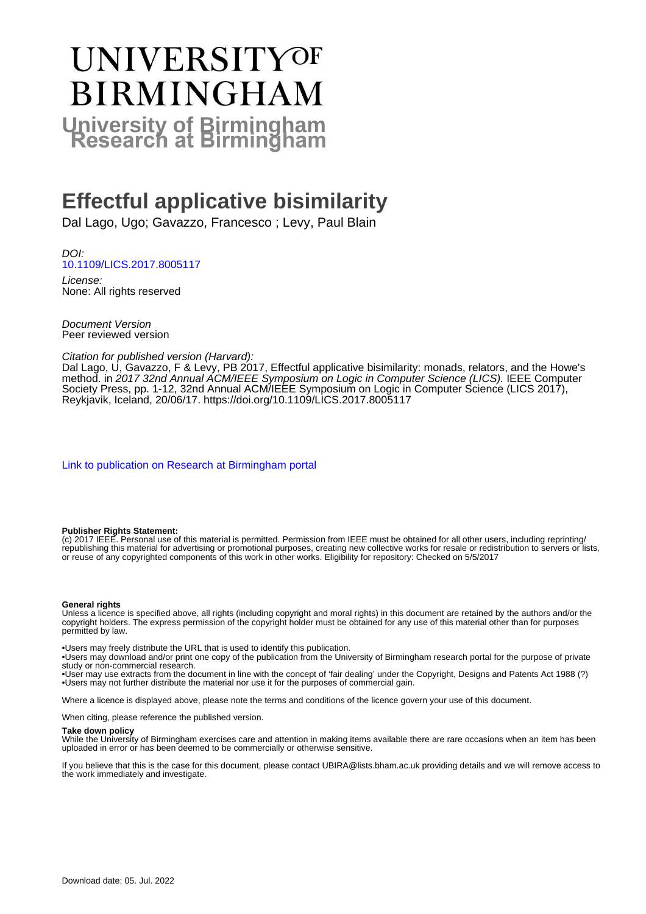# UNIVERSITYOF **BIRMINGHAM University of Birmingham**

# **Effectful applicative bisimilarity**

Dal Lago, Ugo; Gavazzo, Francesco ; Levy, Paul Blain

DOI: [10.1109/LICS.2017.8005117](https://doi.org/10.1109/LICS.2017.8005117)

License: None: All rights reserved

Document Version Peer reviewed version

#### Citation for published version (Harvard):

Dal Lago, U, Gavazzo, F & Levy, PB 2017, Effectful applicative bisimilarity: monads, relators, and the Howe's method. in 2017 32nd Annual ACM/IEEE Symposium on Logic in Computer Science (LICS). IEEE Computer Society Press, pp. 1-12, 32nd Annual ACM/IEEE Symposium on Logic in Computer Science (LICS 2017), Reykjavik, Iceland, 20/06/17. <https://doi.org/10.1109/LICS.2017.8005117>

[Link to publication on Research at Birmingham portal](https://birmingham.elsevierpure.com/en/publications/01e961ee-f53f-42a0-98e7-0ac568125a46)

#### **Publisher Rights Statement:**

(c) 2017 IEEE. Personal use of this material is permitted. Permission from IEEE must be obtained for all other users, including reprinting/ republishing this material for advertising or promotional purposes, creating new collective works for resale or redistribution to servers or lists, or reuse of any copyrighted components of this work in other works. Eligibility for repository: Checked on 5/5/2017

#### **General rights**

Unless a licence is specified above, all rights (including copyright and moral rights) in this document are retained by the authors and/or the copyright holders. The express permission of the copyright holder must be obtained for any use of this material other than for purposes permitted by law.

• Users may freely distribute the URL that is used to identify this publication.

• Users may download and/or print one copy of the publication from the University of Birmingham research portal for the purpose of private study or non-commercial research.

• User may use extracts from the document in line with the concept of 'fair dealing' under the Copyright, Designs and Patents Act 1988 (?) • Users may not further distribute the material nor use it for the purposes of commercial gain.

Where a licence is displayed above, please note the terms and conditions of the licence govern your use of this document.

When citing, please reference the published version.

#### **Take down policy**

While the University of Birmingham exercises care and attention in making items available there are rare occasions when an item has been uploaded in error or has been deemed to be commercially or otherwise sensitive.

If you believe that this is the case for this document, please contact UBIRA@lists.bham.ac.uk providing details and we will remove access to the work immediately and investigate.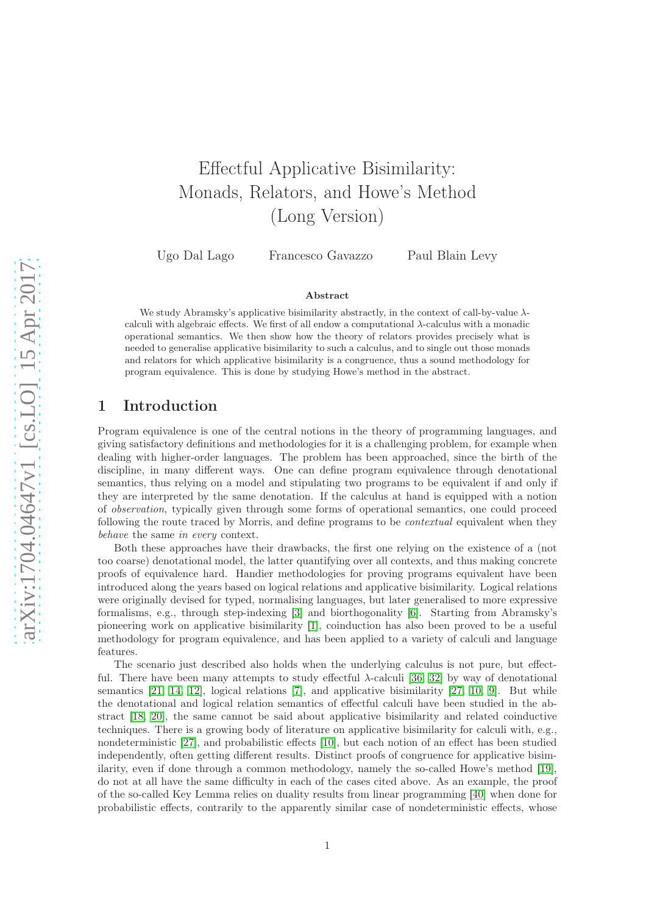# Effectful Applicative Bisimilarity: Monads, Relators, and Howe's Method (Long Version)

Ugo Dal Lago Francesco Gavazzo Paul Blain Levy

#### Abstract

We study Abramsky's applicative bisimilarity abstractly, in the context of call-by-value  $\lambda$ calculi with algebraic effects. We first of all endow a computational  $\lambda$ -calculus with a monadic operational semantics. We then show how the theory of relators provides precisely what is needed to generalise applicative bisimilarity to such a calculus, and to single out those monads and relators for which applicative bisimilarity is a congruence, thus a sound methodology for program equivalence. This is done by studying Howe's method in the abstract.

# 1 Introduction

Program equivalence is one of the central notions in the theory of programming languages, and giving satisfactory definitions and methodologies for it is a challenging problem, for example when dealing with higher-order languages. The problem has been approached, since the birth of the discipline, in many different ways. One can define program equivalence through denotational semantics, thus relying on a model and stipulating two programs to be equivalent if and only if they are interpreted by the same denotation. If the calculus at hand is equipped with a notion of observation, typically given through some forms of operational semantics, one could proceed following the route traced by Morris, and define programs to be contextual equivalent when they behave the same in every context.

Both these approaches have their drawbacks, the first one relying on the existence of a (not too coarse) denotational model, the latter quantifying over all contexts, and thus making concrete proofs of equivalence hard. Handier methodologies for proving programs equivalent have been introduced along the years based on logical relations and applicative bisimilarity. Logical relations were originally devised for typed, normalising languages, but later generalised to more expressive formalisms, e.g., through step-indexing [\[3\]](#page-28-0) and biorthogonality [\[6\]](#page-29-0). Starting from Abramsky's pioneering work on applicative bisimilarity [\[1\]](#page-28-1), coinduction has also been proved to be a useful methodology for program equivalence, and has been applied to a variety of calculi and language features.

The scenario just described also holds when the underlying calculus is not pure, but effectful. There have been many attempts to study effectful  $\lambda$ -calculi [\[36,](#page-30-0) [32\]](#page-30-1) by way of denotational semantics [\[21,](#page-29-1) [14,](#page-29-2) [12\]](#page-29-3), logical relations [\[7\]](#page-29-4), and applicative bisimilarity [\[27,](#page-30-2) [10,](#page-29-5) [9\]](#page-29-6). But while the denotational and logical relation semantics of effectful calculi have been studied in the abstract [\[18,](#page-29-7) [20\]](#page-29-8), the same cannot be said about applicative bisimilarity and related coinductive techniques. There is a growing body of literature on applicative bisimilarity for calculi with, e.g., nondeterministic [\[27\]](#page-30-2), and probabilistic effects [\[10\]](#page-29-5), but each notion of an effect has been studied independently, often getting different results. Distinct proofs of congruence for applicative bisimilarity, even if done through a common methodology, namely the so-called Howe's method [\[19\]](#page-29-9), do not at all have the same difficulty in each of the cases cited above. As an example, the proof of the so-called Key Lemma relies on duality results from linear programming [\[40\]](#page-30-3) when done for probabilistic effects, contrarily to the apparently similar case of nondeterministic effects, whose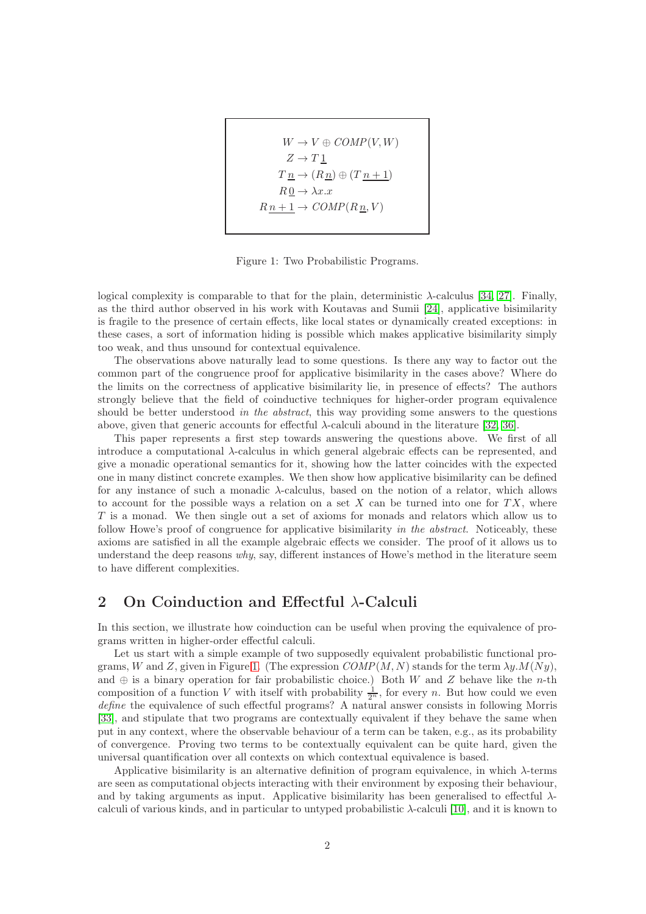$$
W \to V \oplus COMP(V, W)
$$
  
\n
$$
Z \to T \underline{1}
$$
  
\n
$$
T \underline{n} \to (R \underline{n}) \oplus (T \underline{n+1})
$$
  
\n
$$
R \underline{0} \to \lambda x.x
$$
  
\n
$$
R \underline{n+1} \to COMP(R \underline{n}, V)
$$

<span id="page-2-0"></span>Figure 1: Two Probabilistic Programs.

logical complexity is comparable to that for the plain, deterministic  $\lambda$ -calculus [\[34,](#page-30-4) [27\]](#page-30-2). Finally, as the third author observed in his work with Koutavas and Sumii [\[24\]](#page-29-10), applicative bisimilarity is fragile to the presence of certain effects, like local states or dynamically created exceptions: in these cases, a sort of information hiding is possible which makes applicative bisimilarity simply too weak, and thus unsound for contextual equivalence.

The observations above naturally lead to some questions. Is there any way to factor out the common part of the congruence proof for applicative bisimilarity in the cases above? Where do the limits on the correctness of applicative bisimilarity lie, in presence of effects? The authors strongly believe that the field of coinductive techniques for higher-order program equivalence should be better understood in the abstract, this way providing some answers to the questions above, given that generic accounts for effectful  $\lambda$ -calculi abound in the literature [\[32,](#page-30-1) [36\]](#page-30-0).

This paper represents a first step towards answering the questions above. We first of all introduce a computational λ-calculus in which general algebraic effects can be represented, and give a monadic operational semantics for it, showing how the latter coincides with the expected one in many distinct concrete examples. We then show how applicative bisimilarity can be defined for any instance of such a monadic  $\lambda$ -calculus, based on the notion of a relator, which allows to account for the possible ways a relation on a set  $X$  can be turned into one for  $TX$ , where T is a monad. We then single out a set of axioms for monads and relators which allow us to follow Howe's proof of congruence for applicative bisimilarity in the abstract. Noticeably, these axioms are satisfied in all the example algebraic effects we consider. The proof of it allows us to understand the deep reasons why, say, different instances of Howe's method in the literature seem to have different complexities.

# <span id="page-2-1"></span>2 On Coinduction and Effectful  $\lambda$ -Calculi

In this section, we illustrate how coinduction can be useful when proving the equivalence of programs written in higher-order effectful calculi.

Let us start with a simple example of two supposedly equivalent probabilistic functional pro-grams, W and Z, given in Figure [1.](#page-2-0) (The expression  $COMP(M, N)$  stands for the term  $\lambda y.M(Ny)$ , and  $\oplus$  is a binary operation for fair probabilistic choice.) Both W and Z behave like the n-th composition of a function V with itself with probability  $\frac{1}{2^n}$ , for every n. But how could we even define the equivalence of such effectful programs? A natural answer consists in following Morris [\[33\]](#page-30-5), and stipulate that two programs are contextually equivalent if they behave the same when put in any context, where the observable behaviour of a term can be taken, e.g., as its probability of convergence. Proving two terms to be contextually equivalent can be quite hard, given the universal quantification over all contexts on which contextual equivalence is based.

Applicative bisimilarity is an alternative definition of program equivalence, in which  $\lambda$ -terms are seen as computational objects interacting with their environment by exposing their behaviour, and by taking arguments as input. Applicative bisimilarity has been generalised to effectful  $\lambda$ calculi of various kinds, and in particular to untyped probabilistic  $\lambda$ -calculi [\[10\]](#page-29-5), and it is known to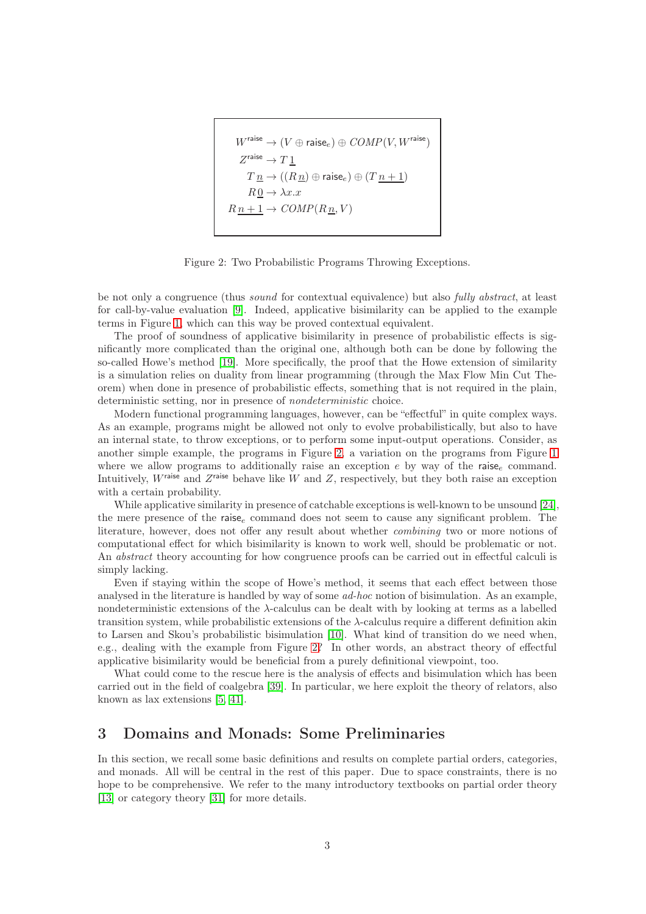$$
\begin{aligned} W^{\text{raise}}&\rightarrow (V\oplus \text{raise}_e)\oplus COMP(V,W^{\text{raise}})\\ Z^{\text{raise}}&\rightarrow T\underline{1}\\ T\underline{n}\rightarrow ((R\underline{n})\oplus \text{raise}_e)\oplus (T\underline{n+1})\\ R\underline{0}\rightarrow \lambda x.x\\ R\underline{n+1}\rightarrow COMP(R\underline{n},V) \end{aligned}
$$

<span id="page-3-0"></span>Figure 2: Two Probabilistic Programs Throwing Exceptions.

be not only a congruence (thus sound for contextual equivalence) but also fully abstract, at least for call-by-value evaluation [\[9\]](#page-29-6). Indeed, applicative bisimilarity can be applied to the example terms in Figure [1,](#page-2-0) which can this way be proved contextual equivalent.

The proof of soundness of applicative bisimilarity in presence of probabilistic effects is significantly more complicated than the original one, although both can be done by following the so-called Howe's method [\[19\]](#page-29-9). More specifically, the proof that the Howe extension of similarity is a simulation relies on duality from linear programming (through the Max Flow Min Cut Theorem) when done in presence of probabilistic effects, something that is not required in the plain, deterministic setting, nor in presence of nondeterministic choice.

Modern functional programming languages, however, can be "effectful" in quite complex ways. As an example, programs might be allowed not only to evolve probabilistically, but also to have an internal state, to throw exceptions, or to perform some input-output operations. Consider, as another simple example, the programs in Figure [2,](#page-3-0) a variation on the programs from Figure [1](#page-2-0) where we allow programs to additionally raise an exception  $e$  by way of the raise<sub>e</sub> command. Intuitively,  $W^{\text{raise}}$  and  $Z^{\text{raise}}$  behave like  $\tilde{W}$  and  $Z$ , respectively, but they both raise an exception with a certain probability.

While applicative similarity in presence of catchable exceptions is well-known to be unsound [\[24\]](#page-29-10), the mere presence of the raise<sub>e</sub> command does not seem to cause any significant problem. The literature, however, does not offer any result about whether combining two or more notions of computational effect for which bisimilarity is known to work well, should be problematic or not. An abstract theory accounting for how congruence proofs can be carried out in effectful calculi is simply lacking.

Even if staying within the scope of Howe's method, it seems that each effect between those analysed in the literature is handled by way of some ad-hoc notion of bisimulation. As an example, nondeterministic extensions of the  $\lambda$ -calculus can be dealt with by looking at terms as a labelled transition system, while probabilistic extensions of the λ-calculus require a different definition akin to Larsen and Skou's probabilistic bisimulation [\[10\]](#page-29-5). What kind of transition do we need when, e.g., dealing with the example from Figure [2?](#page-3-0) In other words, an abstract theory of effectful applicative bisimilarity would be beneficial from a purely definitional viewpoint, too.

What could come to the rescue here is the analysis of effects and bisimulation which has been carried out in the field of coalgebra [\[39\]](#page-30-6). In particular, we here exploit the theory of relators, also known as lax extensions [\[5,](#page-28-2) [41\]](#page-30-7).

# 3 Domains and Monads: Some Preliminaries

In this section, we recall some basic definitions and results on complete partial orders, categories, and monads. All will be central in the rest of this paper. Due to space constraints, there is no hope to be comprehensive. We refer to the many introductory textbooks on partial order theory [\[13\]](#page-29-11) or category theory [\[31\]](#page-30-8) for more details.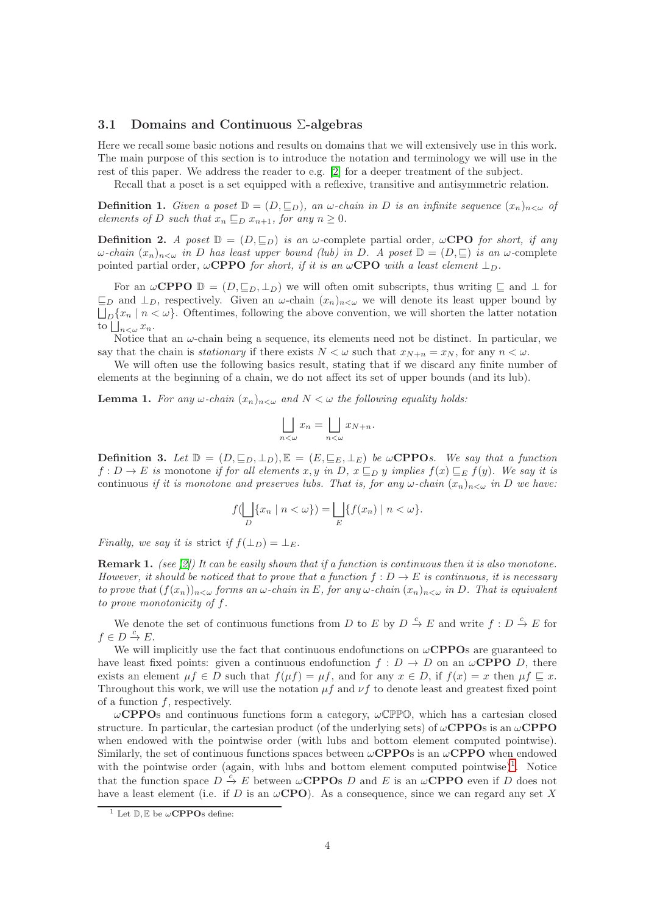#### 3.1 Domains and Continuous Σ-algebras

Here we recall some basic notions and results on domains that we will extensively use in this work. The main purpose of this section is to introduce the notation and terminology we will use in the rest of this paper. We address the reader to e.g. [\[2\]](#page-28-3) for a deeper treatment of the subject.

Recall that a poset is a set equipped with a reflexive, transitive and antisymmetric relation.

**Definition 1.** Given a poset  $\mathbb{D} = (D, \underline{\sqsubseteq}_D)$ , an  $\omega$ -chain in D is an infinite sequence  $(x_n)_{n < \omega}$  of elements of D such that  $x_n \sqsubseteq_D x_{n+1}$ , for any  $n \geq 0$ .

**Definition 2.** A poset  $\mathbb{D} = (D, \mathbb{E}_D)$  is an  $\omega$ -complete partial order,  $\omega$ **CPO** for short, if any  $\omega$ -chain  $(x_n)_{n\leq\omega}$  in D has least upper bound (lub) in D. A poset  $\mathbb{D}=(D,\sqsubseteq)$  is an  $\omega$ -complete pointed partial order,  $\omega$ CPPO for short, if it is an  $\omega$ CPO with a least element  $\perp_D$ .

For an  $\omega$ CPPO  $\mathbb{D} = (D, \mathbb{E}_D, \perp_D)$  we will often omit subscripts, thus writing  $\mathbb{E}$  and  $\perp$  for  $\sqsubseteq_D$  and  $\perp_D$ , respectively. Given an  $\omega$ -chain  $(x_n)_{n<\omega}$  we will denote its least upper bound by  $\bigsqcup_{D} \{x_n \mid n < \omega\}.$  Oftentimes, following the above convention, we will shorten the latter notation to  $\bigsqcup_{n<\omega} x_n$ .

Notice that an  $\omega$ -chain being a sequence, its elements need not be distinct. In particular, we say that the chain is *stationary* if there exists  $N < \omega$  such that  $x_{N+n} = x_N$ , for any  $n < \omega$ .

We will often use the following basics result, stating that if we discard any finite number of elements at the beginning of a chain, we do not affect its set of upper bounds (and its lub).

<span id="page-4-1"></span>**Lemma 1.** For any  $\omega$ -chain  $(x_n)_{n\leq \omega}$  and  $N \leq \omega$  the following equality holds:

$$
\bigsqcup_{n<\omega} x_n = \bigsqcup_{n<\omega} x_{N+n}.
$$

**Definition 3.** Let  $\mathbb{D} = (D, \underline{\sqsubseteq}_D, \bot_D), \mathbb{E} = (E, \underline{\sqsubseteq}_E, \bot_E)$  be  $\omega$ **CPPO**s. We say that a function  $f: D \to E$  is monotone if for all elements x, y in D,  $x \sqsubseteq_D y$  implies  $f(x) \sqsubseteq_E f(y)$ . We say it is continuous if it is monotone and preserves lubs. That is, for any  $\omega$ -chain  $(x_n)_{n<\omega}$  in D we have:

$$
f(\bigsqcup_{D} \{x_n \mid n < \omega\}) = \bigsqcup_{E} \{f(x_n) \mid n < \omega\}.
$$

Finally, we say it is strict if  $f(\perp_D) = \perp_E$ .

**Remark 1.** (see [\[2\]](#page-28-3)) It can be easily shown that if a function is continuous then it is also monotone. However, it should be noticed that to prove that a function  $f: D \to E$  is continuous, it is necessary to prove that  $(f(x_n))_{n\leq\omega}$  forms an  $\omega$ -chain in E, for any  $\omega$ -chain  $(x_n)_{n\leq\omega}$  in D. That is equivalent to prove monotonicity of f.

We denote the set of continuous functions from D to E by  $D \stackrel{c}{\to} E$  and write  $f : D \stackrel{c}{\to} E$  for  $f \in D \stackrel{c}{\to} E.$ 

We will implicitly use the fact that continuous endofunctions on  $\omega$ **CPPOs** are guaranteed to have least fixed points: given a continuous endofunction  $f: D \to D$  on an  $\omega$ **CPPO** D, there exists an element  $\mu f \in D$  such that  $f(\mu f) = \mu f$ , and for any  $x \in D$ , if  $f(x) = x$  then  $\mu f \subseteq x$ . Throughout this work, we will use the notation  $\mu f$  and  $\nu f$  to denote least and greatest fixed point of a function  $f$ , respectively.

 $\omega$ CPPOs and continuous functions form a category,  $\omega$ CPPO, which has a cartesian closed structure. In particular, the cartesian product (of the underlying sets) of  $\omega$ CPPOs is an  $\omega$ CPPO when endowed with the pointwise order (with lubs and bottom element computed pointwise). Similarly, the set of continuous functions spaces between  $\omega$ CPPOs is an  $\omega$ CPPO when endowed with the pointwise order (again, with lubs and bottom element computed pointwise)<sup>[1](#page-4-0)</sup>. Notice that the function space  $D \stackrel{c}{\to} E$  between  $\omega$ **CPPO**s D and E is an  $\omega$ **CPPO** even if D does not have a least element (i.e. if D is an  $\omega$ CPO). As a consequence, since we can regard any set X

<span id="page-4-0"></span><sup>&</sup>lt;sup>1</sup> Let  $\mathbb{D}, \mathbb{E}$  be  $\omega$ **CPPO**s define: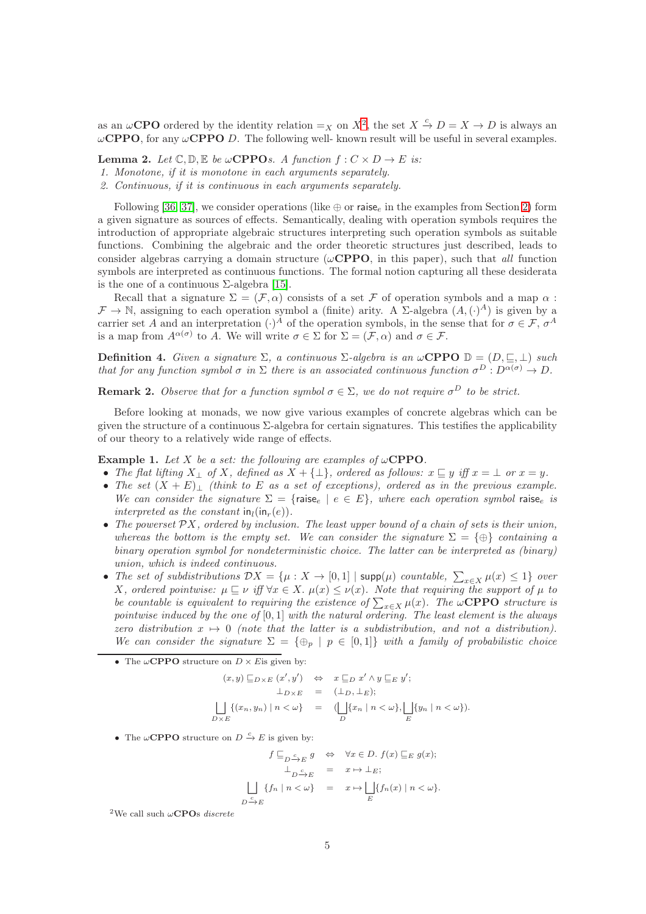as an  $\omega$ **CPO** ordered by the identity relation  $=_X$  on  $X^2$  $X^2$ , the set  $X \stackrel{c}{\rightarrow} D = X \rightarrow D$  is always an  $\omega$ CPPO, for any  $\omega$ CPPO D. The following well- known result will be useful in several examples.

**Lemma 2.** Let  $\mathbb{C}, \mathbb{D}, \mathbb{E}$  be  $\omega$ **CPPO**s. A function  $f : C \times D \rightarrow E$  is:

- 1. Monotone, if it is monotone in each arguments separately.
- 2. Continuous, if it is continuous in each arguments separately.

Following [\[36,](#page-30-0) [37\]](#page-30-9), we consider operations (like  $\oplus$  or raise<sub>e</sub> in the examples from Section [2\)](#page-2-1) form a given signature as sources of effects. Semantically, dealing with operation symbols requires the introduction of appropriate algebraic structures interpreting such operation symbols as suitable functions. Combining the algebraic and the order theoretic structures just described, leads to consider algebras carrying a domain structure ( $\omega$ CPPO, in this paper), such that all function symbols are interpreted as continuous functions. The formal notion capturing all these desiderata is the one of a continuous  $\Sigma$ -algebra [\[15\]](#page-29-12).

Recall that a signature  $\Sigma = (\mathcal{F}, \alpha)$  consists of a set F of operation symbols and a map  $\alpha$ :  $\mathcal{F} \to \mathbb{N}$ , assigning to each operation symbol a (finite) arity. A  $\Sigma$ -algebra  $(A, (\cdot)^A)$  is given by a carrier set A and an interpretation  $(\cdot)^A$  of the operation symbols, in the sense that for  $\sigma \in \mathcal{F}$ ,  $\sigma^A$ is a map from  $A^{\alpha(\sigma)}$  to A. We will write  $\sigma \in \Sigma$  for  $\Sigma = (\mathcal{F}, \alpha)$  and  $\sigma \in \mathcal{F}$ .

**Definition 4.** Given a signature  $\Sigma$ , a continuous  $\Sigma$ -algebra is an  $\omega$ **CPPO**  $\mathbb{D} = (D, \underline{\mathbb{C}}, \bot)$  such that for any function symbol  $\sigma$  in  $\Sigma$  there is an associated continuous function  $\sigma^D: D^{\alpha(\sigma)} \to D$ .

**Remark 2.** Observe that for a function symbol  $\sigma \in \Sigma$ , we do not require  $\sigma^D$  to be strict.

Before looking at monads, we now give various examples of concrete algebras which can be given the structure of a continuous Σ-algebra for certain signatures. This testifies the applicability of our theory to a relatively wide range of effects.

<span id="page-5-1"></span>**Example 1.** Let X be a set: the following are examples of  $\omega$ **CPPO**.

- The flat lifting  $X_{\perp}$  of X, defined as  $X + {\perp}_{\perp}$ , ordered as follows:  $x \sqsubseteq y$  iff  $x = \perp$  or  $x = y$ .
- The set  $(X + E)$ <sub>⊥</sub> (think to E as a set of exceptions), ordered as in the previous example. We can consider the signature  $\Sigma = \{ \text{raise}_e \mid e \in E \}$ , where each operation symbol raise<sub>e</sub> is interpreted as the constant  $\text{in}_l(\text{in}_r(e))$ .
- The powerset  $\mathcal{P}X$ , ordered by inclusion. The least upper bound of a chain of sets is their union, whereas the bottom is the empty set. We can consider the signature  $\Sigma = \{\oplus\}$  containing a binary operation symbol for nondeterministic choice. The latter can be interpreted as (binary) union, which is indeed continuous.
- The set of subdistributions  $DX = \{\mu : X \to [0,1] \mid \text{supp}(\mu) \text{ countable}, \sum_{x \in X} \mu(x) \leq 1\}$  over X, ordered pointwise:  $\mu \sqsubseteq \nu$  iff  $\forall x \in X$ .  $\mu(x) \leq \nu(x)$ . Note that requiring the support of  $\mu$  to be countable is equivalent to requiring the existence of  $\sum_{x \in X} \mu(x)$ . The  $\omega$ **CPPO** structure is pointwise induced by the one of  $[0, 1]$  with the natural ordering. The least element is the always zero distribution  $x \mapsto 0$  (note that the latter is a subdistribution, and not a distribution). We can consider the signature  $\Sigma = {\varphi_p \mid p \in [0,1]}$  with a family of probabilistic choice
	- The  $\omega$ **CPPO** structure on  $D \times E$  is given by:

$$
(x,y) \sqsubseteq_{D \times E} (x',y') \Leftrightarrow x \sqsubseteq_D x' \land y \sqsubseteq_E y';
$$
  
\n
$$
\bot_{D \times E} = (\bot_D, \bot_E);
$$
  
\n
$$
\bigsqcup_{D \times E} \{(x_n, y_n) \mid n < \omega\} = (\bigsqcup_D \{x_n \mid n < \omega\}, \bigsqcup_E \{y_n \mid n < \omega\}).
$$

• The  $\omega$ **CPPO** structure on  $D \stackrel{c}{\rightarrow} E$  is given by:

 $\overline{D}$ 

$$
f \sqsubseteq_{D \xrightarrow{c} E} g \Leftrightarrow \forall x \in D. \ f(x) \sqsubseteq_{E} g(x);
$$
  

$$
\perp_{D \xrightarrow{c} E} = x \mapsto \perp_{E};
$$
  

$$
\bigsqcup_{\xrightarrow{c} E} \{f_{n} \mid n < \omega\} = x \mapsto \bigsqcup_{E} \{f_{n}(x) \mid n < \omega\}.
$$

<span id="page-5-0"></span><sup>2</sup>We call such  $\omega$ CPOs *discrete*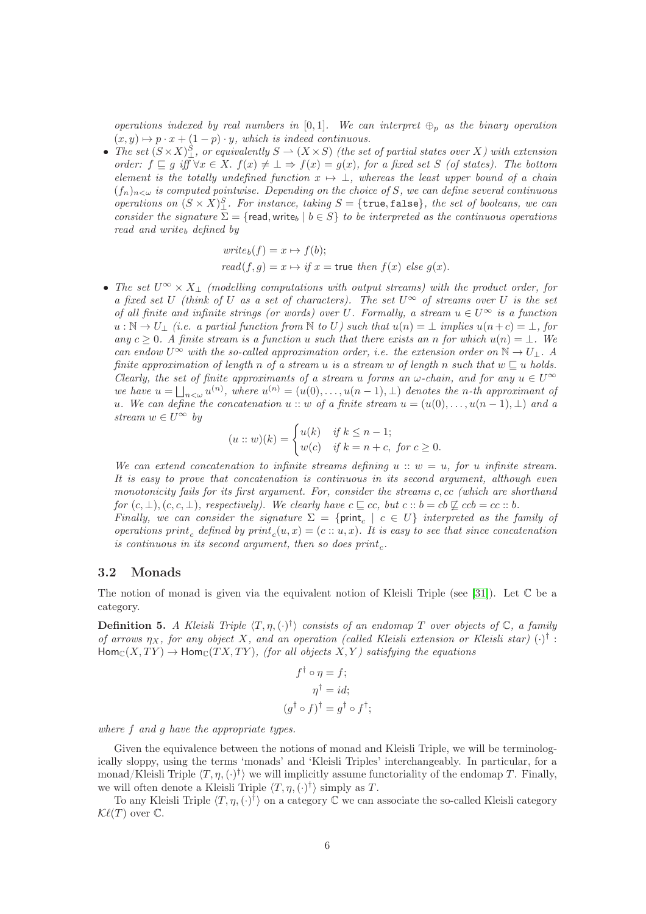operations indexed by real numbers in [0,1]. We can interpret  $\oplus_p$  as the binary operation  $(x, y) \mapsto p \cdot x + (1 - p) \cdot y$ , which is indeed continuous.

• The set  $(S \times X)_{\perp}^S$ , or equivalently  $S \to (X \times S)$  (the set of partial states over X) with extension order:  $f \sqsubseteq g$  iff  $\forall x \in X$ .  $f(x) \neq \bot \Rightarrow f(x) = g(x)$ , for a fixed set S (of states). The bottom element is the totally undefined function  $x \mapsto \bot$ , whereas the least upper bound of a chain  $(f_n)_{n\leq \omega}$  is computed pointwise. Depending on the choice of S, we can define several continuous operations on  $(S \times X)_{\perp}^{S}$ . For instance, taking  $S = \{\texttt{true}, \texttt{false}\}$ , the set of booleans, we can consider the signature  $\Sigma = \{$  read, write<sub>b</sub>  $| b \in S \}$  to be interpreted as the continuous operations  $read$  and  $write_b$  defined by

$$
write_b(f) = x \mapsto f(b);
$$
  
read(f, g) = x \mapsto if x = true then f(x) else g(x).

• The set  $U^{\infty} \times X_{\perp}$  (modelling computations with output streams) with the product order, for a fixed set U (think of U as a set of characters). The set  $U^{\infty}$  of streams over U is the set of all finite and infinite strings (or words) over U. Formally, a stream  $u \in U^{\infty}$  is a function  $u : \mathbb{N} \to U_+$  (i.e. a partial function from  $\mathbb N$  to U) such that  $u(n) = \bot$  implies  $u(n+c) = \bot$ , for any c ≥ 0. A finite stream is a function u such that there exists an n for which  $u(n) = \bot$ . We can endow  $U^{\infty}$  with the so-called approximation order, i.e. the extension order on  $\mathbb{N} \to U_{\perp}$ . A finite approximation of length n of a stream u is a stream w of length n such that  $w \sqsubset u$  holds. Clearly, the set of finite approximants of a stream u forms an  $\omega$ -chain, and for any  $u \in U^{\infty}$ we have  $u = \bigsqcup_{n < \omega} u^{(n)}$ , where  $u^{(n)} = (u(0), \ldots, u(n-1), \perp)$  denotes the n-th approximant of u. We can define the concatenation  $u:: w$  of a finite stream  $u = (u(0), \ldots, u(n-1), \perp)$  and a stream  $w \in U^{\infty}$  by

$$
(u:: w)(k) = \begin{cases} u(k) & \text{if } k \le n-1; \\ w(c) & \text{if } k = n+c, \text{ for } c \ge 0. \end{cases}
$$

We can extend concatenation to infinite streams defining  $u:: w = u$ , for u infinite stream. It is easy to prove that concatenation is continuous in its second argument, although even monotonicity fails for its first argument. For, consider the streams c, cc (which are shorthand for  $(c, \perp), (c, c, \perp)$ , respectively). We clearly have  $c \sqsubseteq cc$ , but  $c :: b = cb \not\sqsubseteq cc \bigcup$ . Finally, we can consider the signature  $\Sigma = \{ \text{print}_c \mid c \in U \}$  interpreted as the family of

operations print<sub>c</sub> defined by  $print_c(u, x) = (c::u, x)$ . It is easy to see that since concatenation is continuous in its second argument, then so does  $print_c$ .

#### 3.2 Monads

The notion of monad is given via the equivalent notion of Kleisli Triple (see [\[31\]](#page-30-8)). Let  $\mathbb C$  be a category.

**Definition 5.** A Kleisli Triple  $\langle T,\eta,(\cdot)^{\dagger} \rangle$  consists of an endomap T over objects of  $\mathbb{C}$ , a family of arrows  $\eta_X$ , for any object X, and an operation (called Kleisli extension or Kleisli star)  $(\cdot)^\dagger$ :  $\text{Hom}_{\mathcal{C}}(X, TY) \to \text{Hom}_{\mathcal{C}}(TX, TY)$ , (for all objects X, Y) satisfying the equations

$$
f^{\dagger} \circ \eta = f;
$$
  
\n
$$
\eta^{\dagger} = id;
$$
  
\n
$$
(g^{\dagger} \circ f)^{\dagger} = g^{\dagger} \circ f^{\dagger};
$$

where f and g have the appropriate types.

Given the equivalence between the notions of monad and Kleisli Triple, we will be terminologically sloppy, using the terms 'monads' and 'Kleisli Triples' interchangeably. In particular, for a monad/Kleisli Triple  $\langle T, \eta, (\cdot)^{\dagger} \rangle$  we will implicitly assume functoriality of the endomap T. Finally, we will often denote a Kleisli Triple  $\langle T, \eta, (\cdot)^{\dagger} \rangle$  simply as T.

To any Kleisli Triple  $\langle T,\eta,(\cdot)^{\dagger}\rangle$  on a category  $\mathbb C$  we can associate the so-called Kleisli category  $\mathcal{K}\ell(T)$  over  $\mathbb{C}.$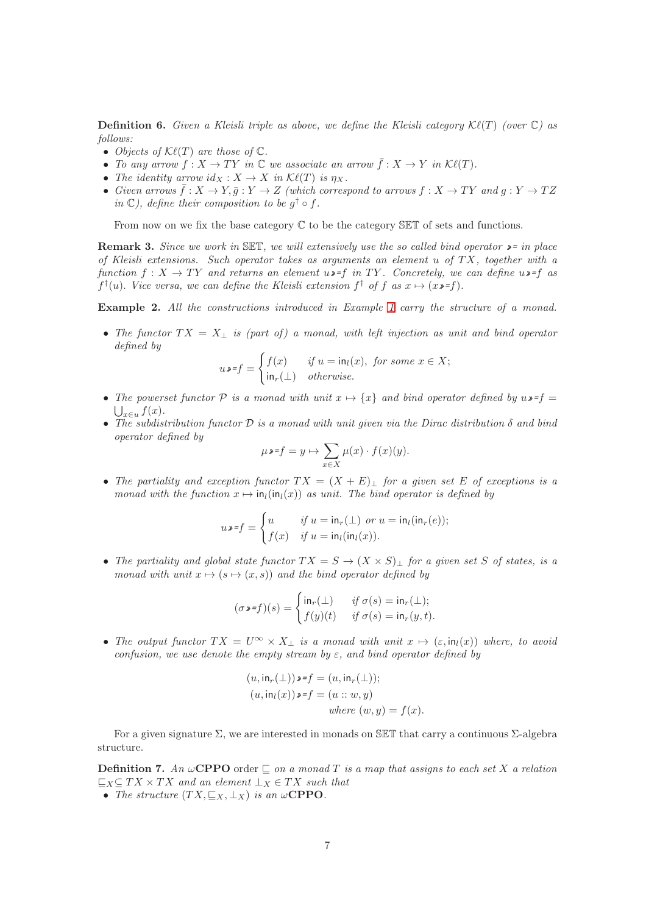**Definition 6.** Given a Kleisli triple as above, we define the Kleisli category  $\mathcal{K}\ell(T)$  (over  $\mathbb{C}$ ) as follows:

- Objects of  $\mathcal{K}\ell(T)$  are those of  $\mathbb{C}$ .
- To any arrow  $f: X \to TY$  in  $\mathbb C$  we associate an arrow  $\bar f: X \to Y$  in  $\mathcal{K}\ell(T)$ .
- The identity arrow  $id_X : X \to X$  in  $\mathcal{K}\ell(T)$  is  $\eta_X$ .
- Given arrows  $\bar{f}: X \to Y, \bar{g}: Y \to Z$  (which correspond to arrows  $f: X \to TY$  and  $g: Y \to TZ$ in  $\mathbb{C}$ ), define their composition to be  $g^{\dagger} \circ f$ .

From now on we fix the base category  $\mathbb C$  to be the category  $\mathbb S\mathbb Z T$  of sets and functions.

**Remark 3.** Since we work in SET, we will extensively use the so called bind operator  $\mathbf{v} =$  in place of Kleisli extensions. Such operator takes as arguments an element u of  $TX$ , together with a function  $f: X \to TY$  and returns an element  $u \rightarrow f$  in TY. Concretely, we can define  $u \rightarrow f$  as  $f^{\dagger}(u)$ . Vice versa, we can define the Kleisli extension  $f^{\dagger}$  of f as  $x \mapsto (x \cdot f)$ .

<span id="page-7-0"></span>Example 2. All the constructions introduced in Example [1](#page-5-1) carry the structure of a monad.

• The functor  $TX = X_{\perp}$  is (part of) a monad, with left injection as unit and bind operator defined by

$$
u \bullet \mathbf{F} = \begin{cases} f(x) & \text{if } u = \mathsf{in}_l(x), \text{ for some } x \in X; \\ \mathsf{in}_r(\bot) & \text{otherwise.} \end{cases}
$$

- The powerset functor  $P$  is a monad with unit  $x \mapsto \{x\}$  and bind operator defined by  $u \rightarrow f =$  $x \in u$   $f(x)$ .
- The subdistribution functor  $\mathcal D$  is a monad with unit given via the Dirac distribution  $\delta$  and bind operator defined by

$$
\mu\mathbf{v}=f=y\mapsto \sum_{x\in X}\mu(x)\cdot f(x)(y).
$$

• The partiality and exception functor  $TX = (X + E)_{\perp}$  for a given set E of exceptions is a monad with the function  $x \mapsto \text{in}_l(\text{in}_l(x))$  as unit. The bind operator is defined by

$$
u \bullet \mathbf{f} = \begin{cases} u & \text{if } u = \mathsf{in}_r(\bot) \text{ or } u = \mathsf{in}_l(\mathsf{in}_r(e)); \\ f(x) & \text{if } u = \mathsf{in}_l(\mathsf{in}_l(x)). \end{cases}
$$

• The partiality and global state functor  $TX = S \rightarrow (X \times S)_{\perp}$  for a given set S of states, is a monad with unit  $x \mapsto (s \mapsto (x, s))$  and the bind operator defined by

$$
(\sigma \bullet \mathbf{F}) (s) = \begin{cases} \operatorname{in}_r(\bot) & \text{if } \sigma(s) = \operatorname{in}_r(\bot); \\ f(y)(t) & \text{if } \sigma(s) = \operatorname{in}_r(y, t). \end{cases}
$$

• The output functor  $TX = U^{\infty} \times X_+$  is a monad with unit  $x \mapsto (\varepsilon, \text{in}_l(x))$  where, to avoid confusion, we use denote the empty stream by  $\varepsilon$ , and bind operator defined by

$$
(u, \text{in}_{r}(\bot)) \triangleright f = (u, \text{in}_{r}(\bot));
$$

$$
(u, \text{in}_{l}(x)) \triangleright f = (u :: w, y)
$$

$$
where (w, y) = f(x).
$$

For a given signature  $\Sigma$ , we are interested in monads on SET that carry a continuous  $\Sigma$ -algebra structure.

<span id="page-7-1"></span>**Definition 7.** An  $\omega$ **CPPO** order  $\subseteq$  on a monad T is a map that assigns to each set X a relation  $\sqsubseteq_X \subseteq TX \times TX$  and an element  $\perp_X \in TX$  such that

• The structure  $(T X, \subseteq_X, \perp_X)$  is an  $\omega$ **CPPO**.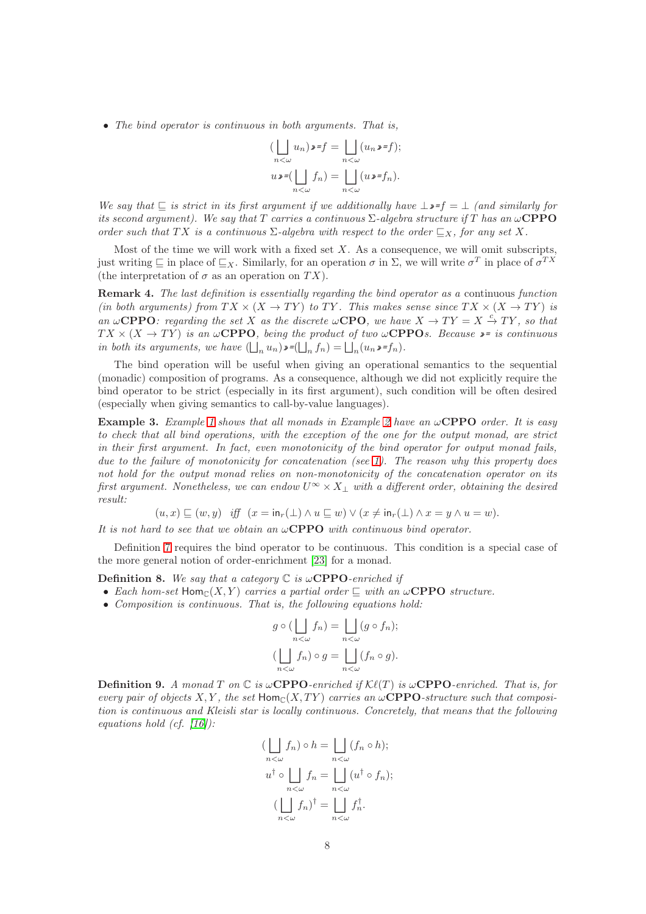• The bind operator is continuous in both arguments. That is,

$$
\left(\bigsqcup_{n<\omega} u_n\right)\mathbf{v} = f = \bigsqcup_{n<\omega} (u_n \mathbf{v} = f);
$$
  

$$
u \mathbf{v} = \left(\bigsqcup_{n<\omega} f_n\right) = \bigsqcup_{n<\omega} (u \mathbf{v} = f_n).
$$

We say that  $\subseteq$  is strict in its first argument if we additionally have  $\bot \rightarrow f = \bot$  (and similarly for its second argument). We say that T carries a continuous  $\Sigma$ -algebra structure if T has an  $\omega$ CPPO order such that TX is a continuous  $\Sigma$ -algebra with respect to the order  $\sqsubseteq_X$ , for any set X.

Most of the time we will work with a fixed set  $X$ . As a consequence, we will omit subscripts, just writing  $\subseteq$  in place of  $\subseteq_X$ . Similarly, for an operation  $\sigma$  in  $\Sigma$ , we will write  $\sigma^T$  in place of  $\sigma^{TX}$ (the interpretation of  $\sigma$  as an operation on  $TX$ ).

Remark 4. The last definition is essentially regarding the bind operator as a continuous function (in both arguments) from  $TX \times (X \to TY)$  to TY. This makes sense since  $TX \times (X \to TY)$  is an  $\omega$ **CPPO**: regarding the set X as the discrete  $\omega$ **CPO**, we have  $X \to TY = X \stackrel{c}{\to} TY$ , so that  $TX \times (X \to TY)$  is an  $\omega$ **CPPO**, being the product of two  $\omega$ **CPPO**s. Because  $\triangleright$  is continuous in both its arguments, we have  $(\bigsqcup_n u_n) \bullet = (\bigsqcup_n f_n) = \bigsqcup_n (u_n \bullet = f_n)$ .

The bind operation will be useful when giving an operational semantics to the sequential (monadic) composition of programs. As a consequence, although we did not explicitly require the bind operator to be strict (especially in its first argument), such condition will be often desired (especially when giving semantics to call-by-value languages).

<span id="page-8-0"></span>**Example 3.** Example [1](#page-5-1) shows that all monads in Example [2](#page-7-0) have an  $\omega$ **CPPO** order. It is easy to check that all bind operations, with the exception of the one for the output monad, are strict in their first argument. In fact, even monotonicity of the bind operator for output monad fails, due to the failure of monotonicity for concatenation (see [1\)](#page-5-1). The reason why this property does not hold for the output monad relies on non-monotonicity of the concatenation operator on its first argument. Nonetheless, we can endow  $U^{\infty} \times X_{\perp}$  with a different order, obtaining the desired  $result$ 

$$
(u, x) \sqsubseteq (w, y) \quad \text{iff} \quad (x = \mathsf{in}_r(\bot) \land u \sqsubseteq w) \lor (x \neq \mathsf{in}_r(\bot) \land x = y \land u = w).
$$

It is not hard to see that we obtain an  $\omega$ **CPPO** with continuous bind operator.

Definition [7](#page-7-1) requires the bind operator to be continuous. This condition is a special case of the more general notion of order-enrichment [\[23\]](#page-29-13) for a monad.

**Definition 8.** We say that a category  $\mathbb C$  is  $\omega$ **CPPO**-enriched if

- Each hom-set  $Hom_C(X, Y)$  carries a partial order  $\sqsubseteq$  with an  $\omega$ **CPPO** structure.
- Composition is continuous. That is, the following equations hold:

$$
g \circ (\bigsqcup_{n < \omega} f_n) = \bigsqcup_{n < \omega} (g \circ f_n);
$$
  

$$
(\bigsqcup_{n < \omega} f_n) \circ g = \bigsqcup_{n < \omega} (f_n \circ g).
$$

**Definition 9.** A monad T on  $\mathbb C$  is  $\omega$ **CPPO**-enriched if  $\mathcal{K}\ell(T)$  is  $\omega$ **CPPO**-enriched. That is, for every pair of objects X, Y, the set  $\text{Hom}_{\mathbb{C}}(X, TY)$  carries an  $\omega$ **CPPO**-structure such that composition is continuous and Kleisli star is locally continuous. Concretely, that means that the following equations hold (cf.  $|16|$ ):

$$
\left(\bigsqcup_{n < \omega} f_n\right) \circ h = \bigsqcup_{n < \omega} (f_n \circ h);
$$
  

$$
u^{\dagger} \circ \bigsqcup_{n < \omega} f_n = \bigsqcup_{n < \omega} (u^{\dagger} \circ f_n);
$$
  

$$
\left(\bigsqcup_{n < \omega} f_n\right)^{\dagger} = \bigsqcup_{n < \omega} f_n^{\dagger}.
$$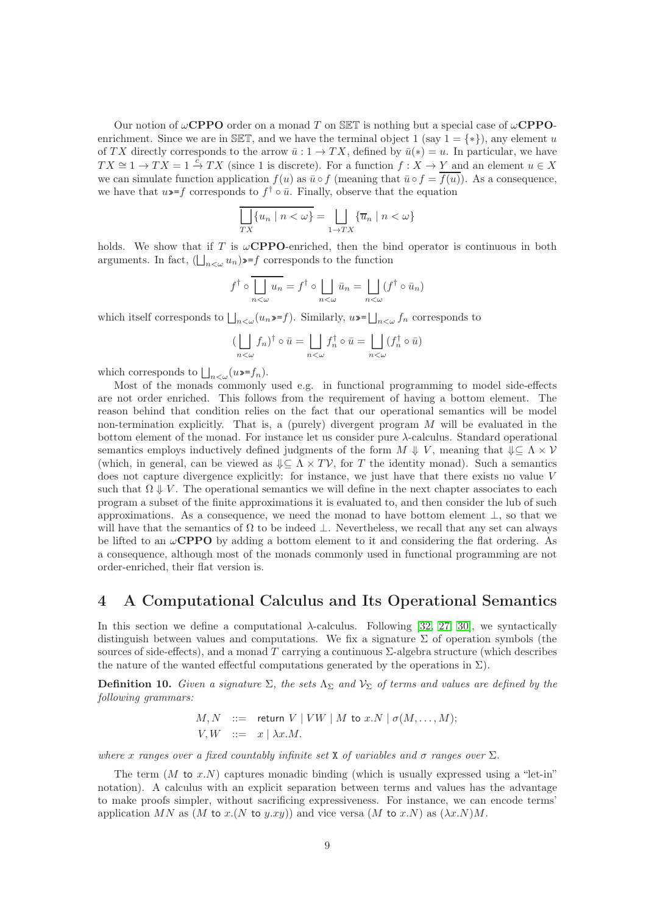Our notion of  $\omega$ CPPO order on a monad T on SET is nothing but a special case of  $\omega$ CPPOenrichment. Since we are in SET, and we have the terminal object 1 (say  $1 = \{*\}$ ), any element u of TX directly corresponds to the arrow  $\bar{u}: 1 \to TX$ , defined by  $\bar{u}(*) = u$ . In particular, we have  $TX \cong 1 \to TX = 1 \stackrel{c}{\to} TX$  (since 1 is discrete). For a function  $f : X \to Y$  and an element  $u \in X$ we can simulate function application  $f(u)$  as  $\bar{u} \circ f$  (meaning that  $\bar{u} \circ f = \overline{f(u)}$ ). As a consequence, we have that  $u \rightarrow f$  corresponds to  $f^{\dagger} \circ \bar{u}$ . Finally, observe that the equation

$$
\prod_{TX} \{u_n \mid n < \omega\} = \prod_{1 \to TX} \{\overline{u}_n \mid n < \omega\}
$$

holds. We show that if T is  $\omega$ **CPPO**-enriched, then the bind operator is continuous in both arguments. In fact,  $(\bigsqcup_{n<\omega} u_n) \rightarrow f$  corresponds to the function

$$
f^{\dagger} \circ \overline{\bigcup_{n < \omega} u_n} = f^{\dagger} \circ \underline{\bigcup_{n < \omega} \bar{u}_n} = \underline{\bigcup_{n < \omega}} (f^{\dagger} \circ \bar{u}_n)
$$

which itself corresponds to  $\bigsqcup_{n<\omega}(u_n\cdot f)$ . Similarly,  $u\cdot \bigsqcup_{n<\omega} f_n$  corresponds to

$$
\left(\bigsqcup_{n<\omega}f_n\right)^{\dagger}\circ\bar{u}=\bigsqcup_{n<\omega}f_n^{\dagger}\circ\bar{u}=\bigsqcup_{n<\omega}(f_n^{\dagger}\circ\bar{u})
$$

which corresponds to  $\bigsqcup_{n<\omega} (u\ast f_n)$ .

Most of the monads commonly used e.g. in functional programming to model side-effects are not order enriched. This follows from the requirement of having a bottom element. The reason behind that condition relies on the fact that our operational semantics will be model non-termination explicitly. That is, a (purely) divergent program  $M$  will be evaluated in the bottom element of the monad. For instance let us consider pure  $\lambda$ -calculus. Standard operational semantics employs inductively defined judgments of the form  $M \Downarrow V$ , meaning that  $\Downarrow \subset \Lambda \times V$ (which, in general, can be viewed as  $\Downarrow \subseteq \Lambda \times T\mathcal{V}$ , for T the identity monad). Such a semantics does not capture divergence explicitly: for instance, we just have that there exists no value V such that  $\Omega \downarrow V$ . The operational semantics we will define in the next chapter associates to each program a subset of the finite approximations it is evaluated to, and then consider the lub of such approximations. As a consequence, we need the monad to have bottom element  $\perp$ , so that we will have that the semantics of  $\Omega$  to be indeed  $\bot$ . Nevertheless, we recall that any set can always be lifted to an  $\omega$ **CPPO** by adding a bottom element to it and considering the flat ordering. As a consequence, although most of the monads commonly used in functional programming are not order-enriched, their flat version is.

# 4 A Computational Calculus and Its Operational Semantics

In this section we define a computational  $\lambda$ -calculus. Following [\[32,](#page-30-1) [27,](#page-30-2) [30\]](#page-30-10), we syntactically distinguish between values and computations. We fix a signature  $\Sigma$  of operation symbols (the sources of side-effects), and a monad T carrying a continuous  $\Sigma$ -algebra structure (which describes the nature of the wanted effectful computations generated by the operations in  $\Sigma$ ).

**Definition 10.** Given a signature  $\Sigma$ , the sets  $\Lambda_{\Sigma}$  and  $V_{\Sigma}$  of terms and values are defined by the following grammars:

$$
M, N \ ::= \ \text{return } V \mid VW \mid M \text{ to } x.N \mid \sigma(M, \dots, M);
$$
  

$$
V, W \ ::= \ x \mid \lambda x.M.
$$

where x ranges over a fixed countably infinite set X of variables and  $\sigma$  ranges over  $\Sigma$ .

The term  $(M \text{ to } x.N)$  captures monadic binding (which is usually expressed using a "let-in" notation). A calculus with an explicit separation between terms and values has the advantage to make proofs simpler, without sacrificing expressiveness. For instance, we can encode terms' application MN as  $(M \text{ to } x.(N \text{ to } y.xy))$  and vice versa  $(M \text{ to } x.N)$  as  $(\lambda x.N)M$ .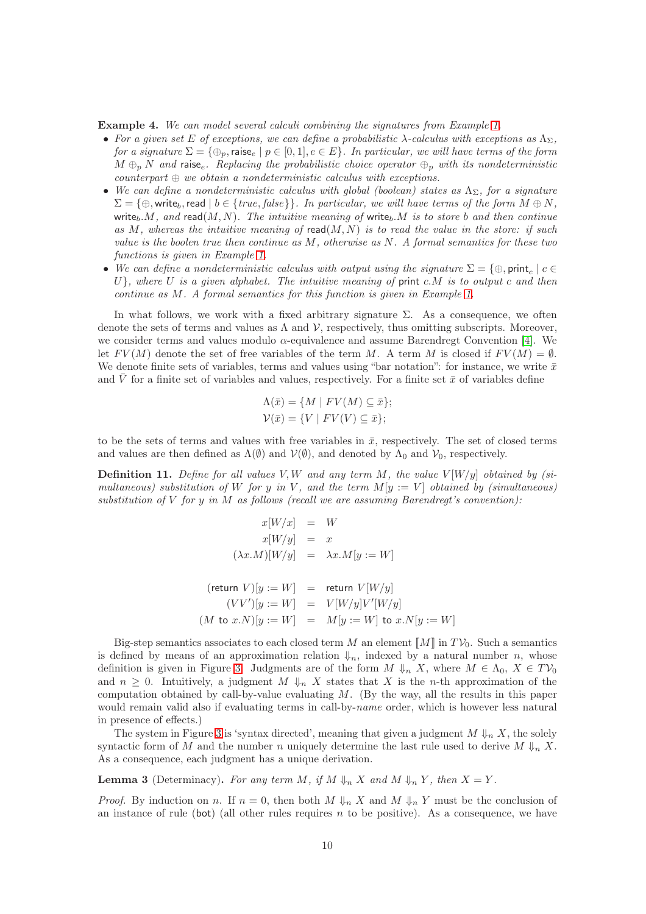Example 4. We can model several calculi combining the signatures from Example [1.](#page-5-1)

- For a given set E of exceptions, we can define a probabilistic  $\lambda$ -calculus with exceptions as  $\Lambda_{\Sigma}$ , for a signature  $\Sigma = \{\oplus_p, \text{raise}_e \mid p \in [0,1], e \in E\}$ . In particular, we will have terms of the form  $M \oplus_p N$  and raise<sub>e</sub>. Replacing the probabilistic choice operator  $\oplus_p$  with its nondeterministic  $counterpart \oplus we obtain a nondeterministic calculus with exceptions.$
- We can define a nondeterministic calculus with global (boolean) states as  $\Lambda_{\Sigma}$ , for a signature  $\Sigma = \{\oplus, \text{write}_b, \text{read} \mid b \in \{ \text{true}, \text{false} \} \}$ . In particular, we will have terms of the form  $M \oplus N$ . write<sub>b</sub>.M, and read(M, N). The intuitive meaning of write<sub>b</sub>.M is to store b and then continue as  $M$ , whereas the intuitive meaning of read $(M, N)$  is to read the value in the store: if such value is the boolen true then continue as  $M$ , otherwise as  $N$ . A formal semantics for these two functions is given in Example [1.](#page-5-1)
- We can define a nondeterministic calculus with output using the signature  $\Sigma = \{\oplus, \text{print}_c \mid c \in$  $U$ , where U is a given alphabet. The intuitive meaning of print c.M is to output c and then continue as M. A formal semantics for this function is given in Example [1.](#page-5-1)

In what follows, we work with a fixed arbitrary signature  $\Sigma$ . As a consequence, we often denote the sets of terms and values as  $\Lambda$  and  $\mathcal{V}$ , respectively, thus omitting subscripts. Moreover, we consider terms and values modulo  $\alpha$ -equivalence and assume Barendregt Convention [\[4\]](#page-28-4). We let  $FV(M)$  denote the set of free variables of the term M. A term M is closed if  $FV(M) = \emptyset$ . We denote finite sets of variables, terms and values using "bar notation": for instance, we write  $\bar{x}$ and V for a finite set of variables and values, respectively. For a finite set  $\bar{x}$  of variables define

$$
\Lambda(\bar{x}) = \{ M \mid FV(M) \subseteq \bar{x} \};
$$
  

$$
\mathcal{V}(\bar{x}) = \{ V \mid FV(V) \subseteq \bar{x} \};
$$

to be the sets of terms and values with free variables in  $\bar{x}$ , respectively. The set of closed terms and values are then defined as  $\Lambda(\emptyset)$  and  $\mathcal{V}(\emptyset)$ , and denoted by  $\Lambda_0$  and  $\mathcal{V}_0$ , respectively.

**Definition 11.** Define for all values V, W and any term M, the value  $V[W/y]$  obtained by (simultaneous) substitution of W for y in V, and the term  $M[y := V]$  obtained by (simultaneous) substitution of  $V$  for  $y$  in  $M$  as follows (recall we are assuming Barendregt's convention):

$$
x[W/x] = W
$$
  
\n
$$
x[W/y] = x
$$
  
\n
$$
(\lambda x.M)[W/y] = \lambda x.M[y := W]
$$
  
\n
$$
(\text{return } V)[y := W] = \text{return } V[W/y]
$$
  
\n
$$
(VV')[y := W] = V[W/y]V'[W/y]
$$
  
\n
$$
(M \text{ to } x.N)[y := W] = M[y := W] \text{ to } x.N[y := W]
$$

Big-step semantics associates to each closed term M an element  $\llbracket M \rrbracket$  in  $T\mathcal{V}_0$ . Such a semantics is defined by means of an approximation relation  $\mathcal{V}_n$ , indexed by a natural number n, whose definition is given in Figure [3.](#page-11-0) Judgments are of the form  $M \downarrow_n X$ , where  $M \in \Lambda_0$ ,  $X \in T\mathcal{V}_0$ and  $n \geq 0$ . Intuitively, a judgment  $M \Vdash_n X$  states that X is the *n*-th approximation of the computation obtained by call-by-value evaluating  $M$ . (By the way, all the results in this paper would remain valid also if evaluating terms in call-by-name order, which is however less natural in presence of effects.)

The system in Figure [3](#page-11-0) is 'syntax directed', meaning that given a judgment  $M \Downarrow_n X$ , the solely syntactic form of M and the number n uniquely determine the last rule used to derive  $M \Downarrow_n X$ . As a consequence, each judgment has a unique derivation.

<span id="page-10-0"></span>**Lemma 3** (Determinacy). For any term M, if  $M \Downarrow_n X$  and  $M \Downarrow_n Y$ , then  $X = Y$ .

*Proof.* By induction on n. If  $n = 0$ , then both  $M \Downarrow_n X$  and  $M \Downarrow_n Y$  must be the conclusion of an instance of rule (bot) (all other rules requires  $n$  to be positive). As a consequence, we have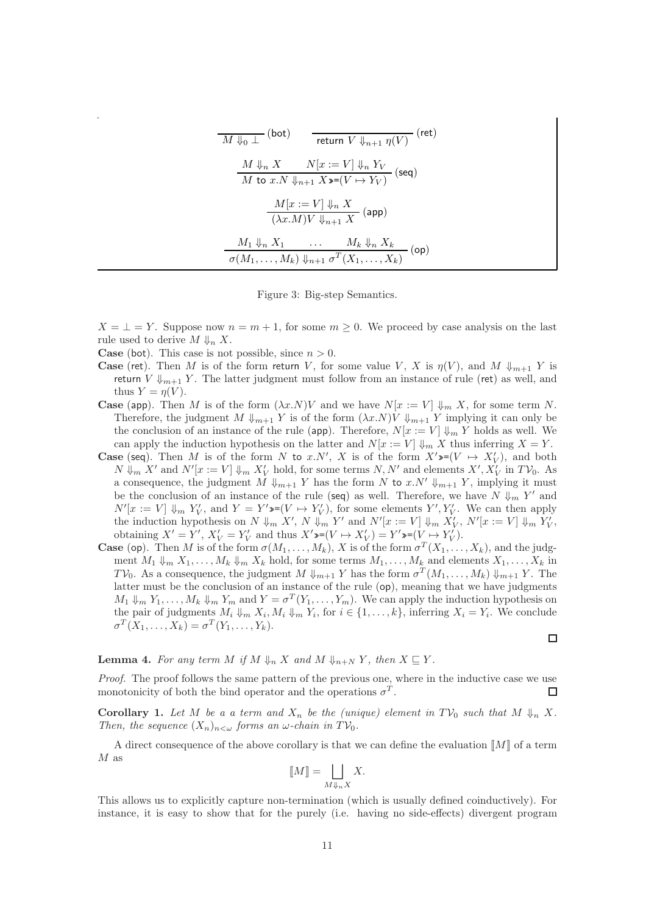| $\overline{M \Downarrow_0 \perp}$ (bot) $\qquad \overline{\mathsf{return } \ V \Downarrow_{n+1} \eta(V)}$ (ret)                                |
|------------------------------------------------------------------------------------------------------------------------------------------------|
| $\frac{M\Downarrow_n X \qquad N[x := V]\Downarrow_n Y_V}{M \text{ to } x.N\Downarrow_{n+1} X\mathop{\geqslant} (V \mapsto Y_V)} \text{ (seq)}$ |
| $\frac{M[x:=V] \Downarrow_n X}{(\lambda x.M)V \Downarrow_{n+1} X}$ (app)                                                                       |
| $\frac{M_1 \Downarrow_n X_1 \cdots M_k \Downarrow_n X_k}{\sigma(M_1, \ldots, M_k) \Downarrow_{n+1} \sigma^T(X_1, \ldots, X_k)}$ (op)           |

<span id="page-11-0"></span>Figure 3: Big-step Semantics.

 $X = \perp = Y$ . Suppose now  $n = m + 1$ , for some  $m \geq 0$ . We proceed by case analysis on the last rule used to derive  $M \Downarrow_n X$ .

**Case** (bot). This case is not possible, since  $n > 0$ .

- **Case** (ret). Then M is of the form return V, for some value V, X is  $\eta(V)$ , and M  $\downarrow_{m+1}$  Y is return V  $\downarrow_{m+1}$  Y. The latter judgment must follow from an instance of rule (ret) as well, and thus  $Y = \eta(V)$ .
- **Case** (app). Then M is of the form  $(\lambda x.N)V$  and we have  $N[x := V] \Downarrow_m X$ , for some term N. Therefore, the judgment  $M \Downarrow_{m+1} Y$  is of the form  $(\lambda x.N)V \Downarrow_{m+1} Y$  implying it can only be the conclusion of an instance of the rule (app). Therefore,  $N[x := V] \Downarrow_m Y$  holds as well. We can apply the induction hypothesis on the latter and  $N[x := V] \downarrow_m X$  thus inferring  $X = Y$ .
- **Case** (seq). Then M is of the form N to x.N', X is of the form  $X' \rightarrow (V \rightarrow X'_{V})$ , and both  $N \Downarrow_m X'$  and  $N'[x := V] \Downarrow_m X'_V$  hold, for some terms  $N, N'$  and elements  $X', X'_V$  in  $TV_0$ . As a consequence, the judgment M  $\Downarrow_{m+1} Y$  has the form N to x.N'  $\Downarrow_{m+1} Y$ , implying it must be the conclusion of an instance of the rule (seq) as well. Therefore, we have  $N \Downarrow_m Y'$  and  $N'[x := V] \downarrow_m Y'_V$ , and  $Y = Y'$   $\cong (V \mapsto Y'_V)$ , for some elements  $Y', Y'_V$ . We can then apply the induction hypothesis on  $N \Downarrow_m X'$ ,  $N \Downarrow_m Y'$  and  $N'[x := V] \Downarrow_m X'_{V}$ ,  $N'[x := V] \Downarrow_m Y'_{V}$ , obtaining  $X' = Y'$ ,  $X'_V = Y'_V$  and thus  $X' \rightarrow (V \rightarrow X'_V) = Y' \rightarrow (V \rightarrow Y'_V)$ .
- **Case** (op). Then M is of the form  $\sigma(M_1, \ldots, M_k)$ , X is of the form  $\sigma^T(X_1, \ldots, X_k)$ , and the judgment  $M_1 \downarrow_m X_1, \ldots, M_k \downarrow_m X_k$  hold, for some terms  $M_1, \ldots, M_k$  and elements  $X_1, \ldots, X_k$  in TV<sub>0</sub>. As a consequence, the judgment  $M \Downarrow_{m+1} Y$  has the form  $\sigma^T(M_1, \ldots, M_k) \Downarrow_{m+1} Y$ . The latter must be the conclusion of an instance of the rule (op), meaning that we have judgments  $M_1 \Downarrow_m Y_1, \ldots, M_k \Downarrow_m Y_m$  and  $Y = \sigma^T(Y_1, \ldots, Y_m)$ . We can apply the induction hypothesis on the pair of judgments  $M_i \Downarrow_m X_i$ ,  $M_i \Downarrow_m Y_i$ , for  $i \in \{1, ..., k\}$ , inferring  $X_i = Y_i$ . We conclude  $\sigma^T(X_1,\ldots,X_k)=\sigma^T(Y_1,\ldots,Y_k).$

 $\Box$ 

**Lemma 4.** For any term M if M  $\Downarrow_n X$  and M  $\Downarrow_{n+N} Y$ , then  $X \sqsubseteq Y$ .

Proof. The proof follows the same pattern of the previous one, where in the inductive case we use monotonicity of both the bind operator and the operations  $\sigma^T$ .  $\Box$ 

<span id="page-11-1"></span>**Corollary 1.** Let M be a a term and  $X_n$  be the (unique) element in  $TV_0$  such that  $M \Downarrow_n X$ . Then, the sequence  $(X_n)_{n\leq \omega}$  forms an  $\omega$ -chain in  $T\mathcal{V}_0$ .

A direct consequence of the above corollary is that we can define the evaluation  $\llbracket M \rrbracket$  of a term  $M$  as

$$
\llbracket M \rrbracket = \bigsqcup_{M \Downarrow_n X} X.
$$

This allows us to explicitly capture non-termination (which is usually defined coinductively). For instance, it is easy to show that for the purely (i.e. having no side-effects) divergent program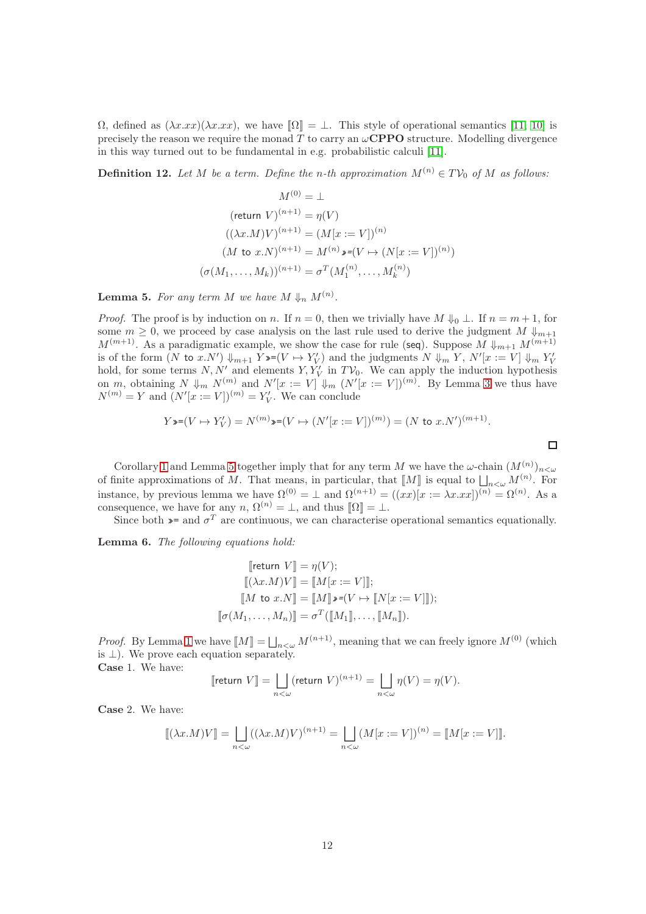$\Omega$ , defined as  $(\lambda x.xx)(\lambda x.xx)$ , we have  $\Omega = \bot$ . This style of operational semantics [\[11,](#page-29-15) [10\]](#page-29-5) is precisely the reason we require the monad T to carry an  $\omega$ **CPPO** structure. Modelling divergence in this way turned out to be fundamental in e.g. probabilistic calculi [\[11\]](#page-29-15).

**Definition 12.** Let M be a term. Define the n-th approximation  $M^{(n)} \in TV_0$  of M as follows:

$$
M^{(0)} = \bot
$$
  
\n
$$
(\text{return } V)^{(n+1)} = \eta(V)
$$
  
\n
$$
((\lambda x.M)V)^{(n+1)} = (M[x := V])^{(n)}
$$
  
\n
$$
(M \text{ to } x.N)^{(n+1)} = M^{(n)} \mathbf{y} = (V \mapsto (N[x := V])^{(n)})
$$
  
\n
$$
(\sigma(M_1, \dots, M_k))^{(n+1)} = \sigma^T(M_1^{(n)}, \dots, M_k^{(n)})
$$

<span id="page-12-0"></span>**Lemma 5.** For any term M we have  $M \Downarrow_n M^{(n)}$ .

*Proof.* The proof is by induction on n. If  $n = 0$ , then we trivially have  $M \Downarrow_0 \bot$ . If  $n = m + 1$ , for some  $m \geq 0$ , we proceed by case analysis on the last rule used to derive the judgment M  $\Downarrow_{m+1}$  $M^{(m+1)}$ . As a paradigmatic example, we show the case for rule (seq). Suppose  $M \downarrow_{m+1} M^{(m+1)}$ is of the form  $(N$  to  $x.N') \Downarrow_{m+1} Y \equiv (V \mapsto Y'_V)$  and the judgments  $N \Downarrow_m Y$ ,  $N'[x := V] \Downarrow_m Y'_V$ is of the form  $(Y \cup X \cdot N') \sqrt[m+1] Y \rightarrow (Y \rightarrow Y \cdot V)$  and the judgments  $Y \sqrt[m+1] Y$ ,  $Y \sqrt[n+1] Y \rightarrow (Y \rightarrow Y \cdot N')$  and elements  $Y, Y'_{Y}$  in  $T V_{0}$ . We can apply the induction hypothesis on m, obtaining  $N \downarrow_m N^{(m)}$  and  $N'[x := V] \downarrow_m (N'[x := V])^{(m)}$ . By Lemma [3](#page-10-0) we thus have  $N^{(m)} = Y$  and  $(N'[x := V])^{(m)} = Y'_{V}$ . We can conclude

$$
Y \ast (V \mapsto Y'_V) = N^{(m)} \ast (V \mapsto (N'[x := V])^{(m)}) = (N \text{ to } x.N')^{(m+1)}.
$$

 $\Box$ 

Corollary [1](#page-11-1) and Lemma [5](#page-12-0) together imply that for any term M we have the  $\omega$ -chain  $(M^{(n)})_{n<\omega}$ of finite approximations of M. That means, in particular, that  $\llbracket M \rrbracket$  is equal to  $\bigsqcup_{n<\omega} M^{(n)}$ . For instance, by previous lemma we have  $\Omega^{(0)} = \perp$  and  $\Omega^{(n+1)} = ((xx)[x := \lambda x . xx])^{(n)} = \Omega^{(n)}$ . As a consequence, we have for any  $n, \Omega^{(n)} = \bot$ , and thus  $[\![\Omega]\!] = \bot$ .

Since both  $\ast$ = and  $\sigma^T$  are continuous, we can characterise operational semantics equationally.

<span id="page-12-1"></span>Lemma 6. The following equations hold:

$$
\[\text{return } V\] = \eta(V); \\
\[\[(\lambda x.M)V\] = [\![M[x := V]]]; \\
\[\![M \text{ to } x.N]\!] = [\![M]\!] \mathbf{v} = (V \mapsto [\![N[x := V]]]); \\
\[\![\sigma(M_1, \dots, M_n)\!] = \sigma^T([\![M_1]\!], \dots, [\![M_n]\!]).
$$

*Proof.* By Lemma [1](#page-4-1) we have  $[M] = \bigsqcup_{n < \omega} M^{(n+1)}$ , meaning that we can freely ignore  $M^{(0)}$  (which is  $\perp$ ). We prove each equation separately.

Case 1. We have:

$$
\llbracket \text{return } V \rrbracket = \bigsqcup_{n < \omega} (\text{return } V)^{(n+1)} = \bigsqcup_{n < \omega} \eta(V) = \eta(V).
$$

Case 2. We have:

$$
[\![ (\lambda x.M)V]\!] = \bigsqcup_{n<\omega} ((\lambda x.M)V)^{(n+1)} = \bigsqcup_{n<\omega} (M[x:=V])^{(n)} = [\![ M[x:=V] ]\!].
$$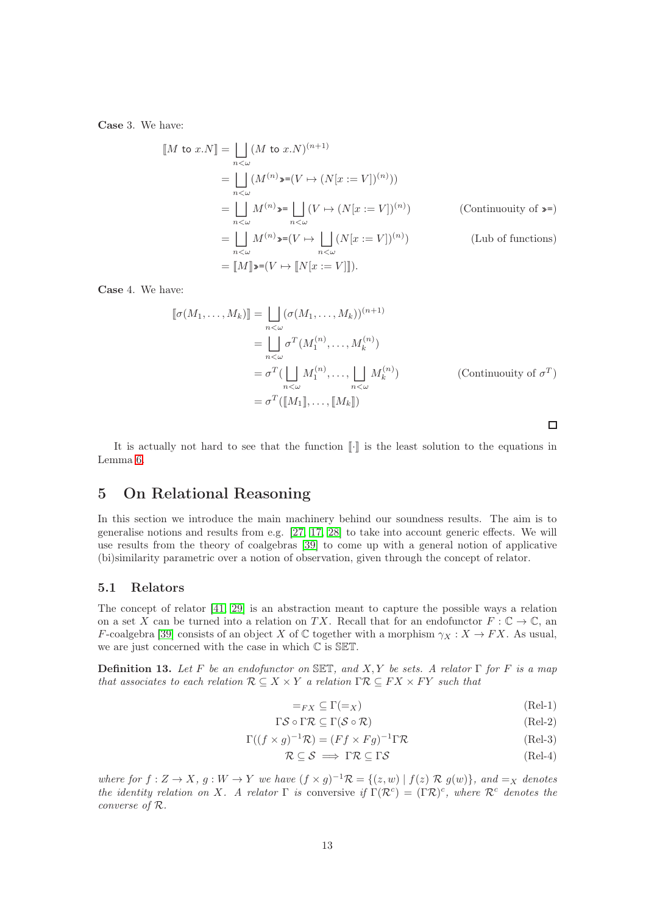Case 3. We have:

$$
\begin{aligned}\n[M \text{ to } x.N] &= \bigsqcup_{n < \omega} (M \text{ to } x.N)^{(n+1)} \\
&= \bigsqcup_{n < \omega} (M^{(n)} \bullet \bullet (V \to (N[x := V])^{(n)})) \\
&= \bigsqcup_{n < \omega} M^{(n)} \bullet \bullet \bigsqcup_{n < \omega} (V \to (N[x := V])^{(n)}) \\
&= \bigsqcup_{n < \omega} M^{(n)} \bullet \bullet (V \to \bigsqcup_{n < \omega} (N[x := V])^{(n)}) \\
&= [M] \bullet \bullet \bullet (V \to [N[x := V]]).\n\end{aligned} \tag{Lub of functions}
$$

Case 4. We have:

$$
\llbracket \sigma(M_1, \dots, M_k) \rrbracket = \bigsqcup_{n < \omega} (\sigma(M_1, \dots, M_k))^{(n+1)} \n= \bigsqcup_{n < \omega} \sigma^T(M_1^{(n)}, \dots, M_k^{(n)}) \n= \sigma^T(\bigsqcup_{n < \omega} M_1^{(n)}, \dots, \bigsqcup_{n < \omega} M_k^{(n)}) \n= \sigma^T(\llbracket M_1 \rrbracket, \dots, \llbracket M_k \rrbracket)
$$
\n(Continuouity of  $\sigma^T$ )   
\n=  $\sigma^T(\llbracket M_1 \rrbracket, \dots, \llbracket M_k \rrbracket)$ 

It is actually not hard to see that the function  $\llbracket \cdot \rrbracket$  is the least solution to the equations in Lemma [6.](#page-12-1)

# 5 On Relational Reasoning

In this section we introduce the main machinery behind our soundness results. The aim is to generalise notions and results from e.g. [\[27,](#page-30-2) [17,](#page-29-16) [28\]](#page-30-11) to take into account generic effects. We will use results from the theory of coalgebras [\[39\]](#page-30-6) to come up with a general notion of applicative (bi)similarity parametric over a notion of observation, given through the concept of relator.

#### 5.1 Relators

The concept of relator [\[41,](#page-30-7) [29\]](#page-30-12) is an abstraction meant to capture the possible ways a relation on a set X can be turned into a relation on TX. Recall that for an endofunctor  $F: \mathbb{C} \to \mathbb{C}$ , an F-coalgebra [\[39\]](#page-30-6) consists of an object X of C together with a morphism  $\gamma_X : X \to FX$ . As usual, we are just concerned with the case in which C is SET.

**Definition 13.** Let F be an endofunctor on SET, and X, Y be sets. A relator Γ for F is a map that associates to each relation  $\mathcal{R} \subseteq X \times Y$  a relation  $\Gamma \mathcal{R} \subseteq FX \times FY$  such that

<span id="page-13-1"></span><span id="page-13-0"></span>
$$
=_{FX} \subseteq \Gamma(=_X) \tag{Rel-1}
$$

 $\Box$ 

$$
\Gamma \mathcal{S} \circ \Gamma \mathcal{R} \subseteq \Gamma (\mathcal{S} \circ \mathcal{R}) \tag{Rel-2}
$$

$$
\Gamma((f \times g)^{-1}\mathcal{R}) = (Ff \times Fg)^{-1}\Gamma\mathcal{R}
$$
 (Rel-3)

$$
\mathcal{R} \subseteq \mathcal{S} \implies \Gamma \mathcal{R} \subseteq \Gamma \mathcal{S} \tag{Rel-4}
$$

where for  $f: Z \to X$ ,  $g: W \to Y$  we have  $(f \times g)^{-1} \mathcal{R} = \{(z, w) \mid f(z) \mathcal{R} g(w)\}\$ , and  $=_X$  denotes the identity relation on X. A relator  $\Gamma$  is conversive if  $\Gamma(\mathcal{R}^c) = (\Gamma \mathcal{R})^c$ , where  $\mathcal{R}^c$  denotes the converse of R.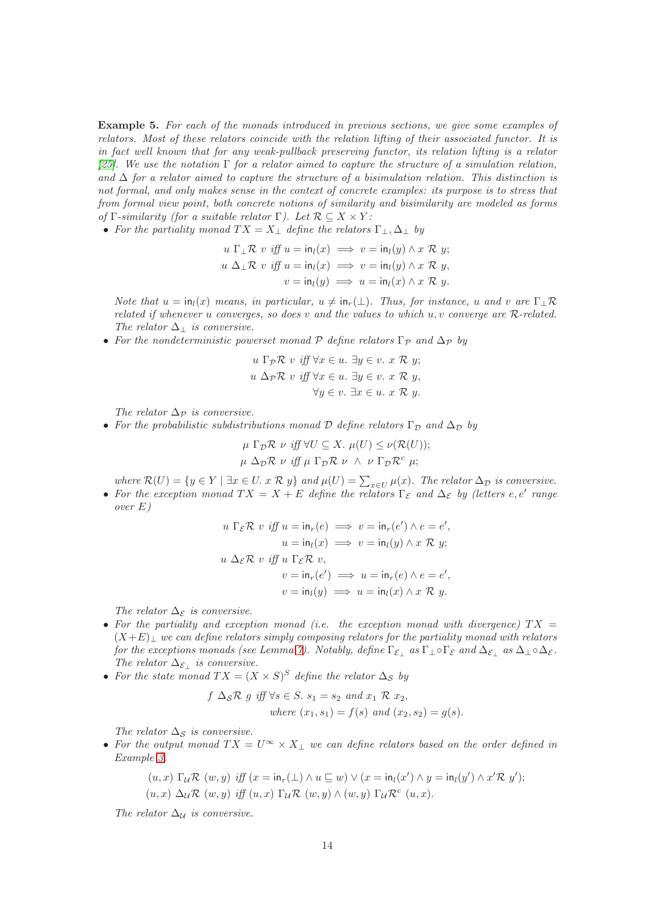<span id="page-14-0"></span>Example 5. For each of the monads introduced in previous sections, we give some examples of relators. Most of these relators coincide with the relation lifting of their associated functor. It is in fact well known that for any weak-pullback preserving functor, its relation lifting is a relator [\[25\]](#page-29-17). We use the notation  $\Gamma$  for a relator aimed to capture the structure of a simulation relation, and  $\Delta$  for a relator aimed to capture the structure of a bisimulation relation. This distinction is not formal, and only makes sense in the context of concrete examples: its purpose is to stress that from formal view point, both concrete notions of similarity and bisimilarity are modeled as forms of  $\Gamma$ -similarity (for a suitable relator  $\Gamma$ ). Let  $\mathcal{R} \subset X \times Y$ :

• For the partiality monad  $TX = X_{\perp}$  define the relators  $\Gamma_{\perp}, \Delta_{\perp}$  by

$$
u \Gamma_{\perp} \mathcal{R} \ v \ \text{iff} \ u = \text{in}_l(x) \implies v = \text{in}_l(y) \land x \ \mathcal{R} \ y;
$$
  

$$
u \ \Delta_{\perp} \mathcal{R} \ v \ \text{iff} \ u = \text{in}_l(x) \implies v = \text{in}_l(y) \land x \ \mathcal{R} \ y,
$$
  

$$
v = \text{in}_l(y) \implies u = \text{in}_l(x) \land x \ \mathcal{R} \ y.
$$

Note that  $u = \text{in}_l(x)$  means, in particular,  $u \neq \text{in}_r(\perp)$ . Thus, for instance, u and v are  $\Gamma_+ \mathcal{R}$ related if whenever u converges, so does v and the values to which  $u, v$  converge are  $R$ -related. The relator  $\Delta_{\perp}$  is conversive.

• For the nondeterministic powerset monad P define relators  $\Gamma_{\mathcal{P}}$  and  $\Delta_{\mathcal{P}}$  by

$$
u \Gamma_{\mathcal{P}} \mathcal{R} \quad v \quad \text{iff} \quad \forall x \in u. \ \exists y \in v. \ x \mathcal{R} \ y;
$$
\n
$$
u \Delta_{\mathcal{P}} \mathcal{R} \quad v \quad \text{iff} \ \forall x \in u. \ \exists y \in v. \ x \mathcal{R} \ y,
$$
\n
$$
\forall y \in v. \ \exists x \in u. \ x \mathcal{R} \ y.
$$

The relator  $\Delta_{\mathcal{P}}$  is conversive.

• For the probabilistic subdistributions monad D define relators  $\Gamma_{\mathcal{D}}$  and  $\Delta_{\mathcal{D}}$  by

$$
\mu \Gamma_{\mathcal{D}} \mathcal{R} \nu \text{ iff } \forall U \subseteq X. \ \mu(U) \leq \nu(\mathcal{R}(U));
$$
  

$$
\mu \Delta_{\mathcal{D}} \mathcal{R} \nu \text{ iff } \mu \Gamma_{\mathcal{D}} \mathcal{R} \nu \wedge \nu \Gamma_{\mathcal{D}} \mathcal{R}^c \mu;
$$

where  $\mathcal{R}(U) = \{y \in Y \mid \exists x \in U. x \mathcal{R} y\}$  and  $\mu(U) = \sum_{x \in U} \mu(x)$ . The relator  $\Delta_{\mathcal{D}}$  is conversive.

• For the exception monad  $TX = X + E$  define the relators  $\Gamma_{\mathcal{E}}$  and  $\Delta_{\mathcal{E}}$  by (letters e, e' range over E)

$$
u \Gamma_{\mathcal{E}} \mathcal{R} \ v \ \text{iff} \ u = \text{in}_{r}(e) \implies v = \text{in}_{r}(e') \land e = e',
$$
\n
$$
u = \text{in}_{l}(x) \implies v = \text{in}_{l}(y) \land x \mathcal{R} \ y;
$$
\n
$$
u \Delta_{\mathcal{E}} \mathcal{R} \ v \ \text{iff} \ u \Gamma_{\mathcal{E}} \mathcal{R} \ v,
$$
\n
$$
v = \text{in}_{r}(e') \implies u = \text{in}_{r}(e) \land e = e',
$$
\n
$$
v = \text{in}_{l}(y) \implies u = \text{in}_{l}(x) \land x \mathcal{R} \ y.
$$

The relator  $\Delta_{\mathcal{E}}$  is conversive.

- For the partiality and exception monad (i.e. the exception monad with divergence)  $TX =$  $(X+E)$ <sub>⊥</sub> we can define relators simply composing relators for the partiality monad with relators for the exceptions monads (see Lemma [7\)](#page-15-0). Notably, define  $\Gamma_{\mathcal{E}_\perp}$  as  $\Gamma_\perp \circ \Gamma_{\mathcal{E}}$  and  $\Delta_{\mathcal{E}_\perp}$  as  $\Delta_\perp \circ \Delta_{\mathcal{E}}$ . The relator  $\Delta_{\mathcal{E}_\perp}$  is conversive.
- For the state monad  $TX = (X \times S)^S$  define the relator  $\Delta_S$  by

$$
f \Delta_{\mathcal{S}} \mathcal{R} \ g \ iff \ \forall s \in S. \ s_1 = s_2 \ and \ x_1 \ \mathcal{R} \ x_2,
$$
  
where  $(x_1, s_1) = f(s) \ and \ (x_2, s_2) = g(s).$ 

The relator  $\Delta_{\mathcal{S}}$  is conversive.

• For the output monad  $TX = U^{\infty} \times X_{\perp}$  we can define relators based on the order defined in Example [3.](#page-8-0)

$$
(u, x) \Gamma_{\mathcal{U}} \mathcal{R} (w, y) \text{ iff } (x = \text{in}_{r}(\bot) \land u \sqsubseteq w) \lor (x = \text{in}_{l}(x') \land y = \text{in}_{l}(y') \land x' \mathcal{R} y');
$$
  

$$
(u, x) \Delta_{\mathcal{U}} \mathcal{R} (w, y) \text{ iff } (u, x) \Gamma_{\mathcal{U}} \mathcal{R} (w, y) \land (w, y) \Gamma_{\mathcal{U}} \mathcal{R}^{c} (u, x).
$$

The relator  $\Delta_{\mathcal{U}}$  is conversive.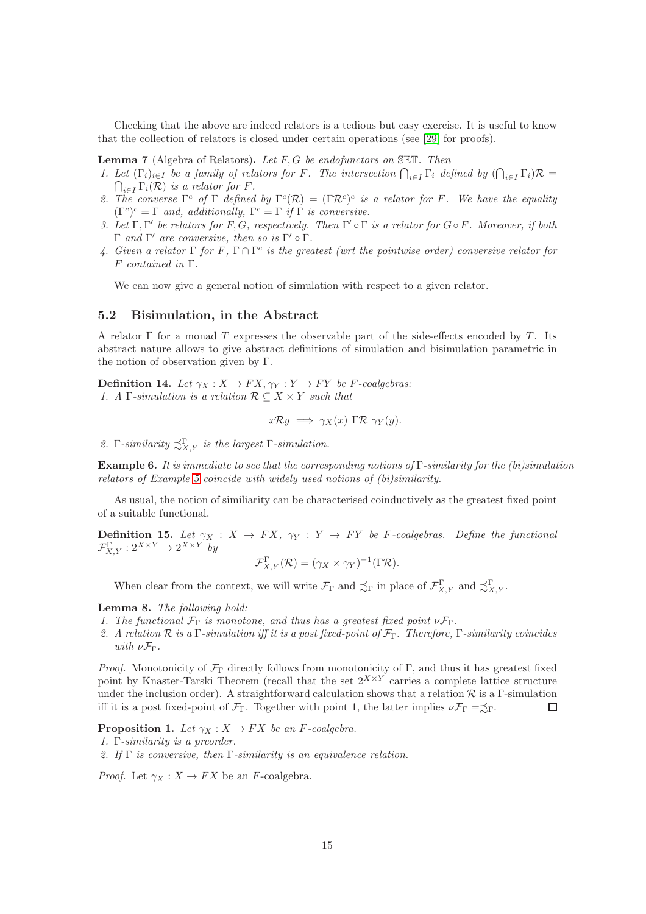Checking that the above are indeed relators is a tedious but easy exercise. It is useful to know that the collection of relators is closed under certain operations (see [\[29\]](#page-30-12) for proofs).

<span id="page-15-0"></span>**Lemma 7** (Algebra of Relators). Let  $F$ ,  $G$  be endofunctors on SET. Then

- 1. Let  $(\Gamma_i)_{i\in I}$  be a family of relators for F. The intersection  $\bigcap_{i\in I} \Gamma_i$  defined by  $(\bigcap_{i\in I} \Gamma_i)\mathcal{R} = \bigcap_{i\in I} \Gamma_i(\mathcal{R})$  is a relator for F.  $\bigcap_{i\in I} \Gamma_i(\mathcal{R})$  is a relator for F.
- 2. The converse  $\Gamma^c$  of  $\Gamma$  defined by  $\Gamma^c(\mathcal{R}) = (\Gamma \mathcal{R}^c)^c$  is a relator for F. We have the equality  $(\Gamma^c)^c = \Gamma$  and, additionally,  $\Gamma^c = \Gamma$  if  $\Gamma$  is conversive.
- 3. Let  $\Gamma, \Gamma'$  be relators for F, G, respectively. Then  $\Gamma' \circ \Gamma$  is a relator for  $G \circ F$ . Moreover, if both  $Γ$  and Γ' are conversive, then so is Γ'  $\circ Γ$ .
- 4. Given a relator  $\Gamma$  for  $F$ ,  $\Gamma \cap \Gamma^c$  is the greatest (wrt the pointwise order) conversive relator for F contained in Γ.

We can now give a general notion of simulation with respect to a given relator.

#### 5.2 Bisimulation, in the Abstract

A relator  $\Gamma$  for a monad T expresses the observable part of the side-effects encoded by T. Its abstract nature allows to give abstract definitions of simulation and bisimulation parametric in the notion of observation given by Γ.

**Definition 14.** Let  $\gamma_X : X \to FX, \gamma_Y : Y \to FY$  be F-coalgebras: 1. A Γ-simulation is a relation  $\mathcal{R} \subseteq X \times Y$  such that

$$
x\mathcal{R}y \implies \gamma_X(x) \Gamma \mathcal{R} \ \gamma_Y(y).
$$

2. Γ-similarity  $\precsim_{X,Y}^{\Gamma}$  is the largest Γ-simulation.

**Example 6.** It is immediate to see that the corresponding notions of  $\Gamma$ -similarity for the (bi)simulation relators of Example [5](#page-14-0) coincide with widely used notions of (bi)similarity.

As usual, the notion of similiarity can be characterised coinductively as the greatest fixed point of a suitable functional.

**Definition 15.** Let  $\gamma_X : X \to FX$ ,  $\gamma_Y : Y \to FY$  be F-coalgebras. Define the functional  $\mathcal{F}_{X,Y}^{\Gamma}: 2^{X \times Y} \to 2^{X \times Y}$  by

$$
\mathcal{F}_{X,Y}^{\Gamma}(\mathcal{R}) = (\gamma_X \times \gamma_Y)^{-1}(\Gamma \mathcal{R}).
$$

When clear from the context, we will write  $\mathcal{F}_{\Gamma}$  and  $\precsim_{\Gamma} \Gamma$  in place of  $\mathcal{F}_{X,Y}^{\Gamma}$  and  $\precsim_{X,Y}^{\Gamma}$ .

Lemma 8. The following hold:

- 1. The functional  $\mathcal{F}_{\Gamma}$  is monotone, and thus has a greatest fixed point  $\nu \mathcal{F}_{\Gamma}$ .
- 2. A relation  $R$  is a  $\Gamma$ -simulation iff it is a post fixed-point of  $\mathcal{F}_{\Gamma}$ . Therefore,  $\Gamma$ -similarity coincides with  $\nu \mathcal{F}_{\Gamma}$ .

*Proof.* Monotonicity of  $\mathcal{F}_{\Gamma}$  directly follows from monotonicity of Γ, and thus it has greatest fixed point by Knaster-Tarski Theorem (recall that the set  $2^{X \times Y}$  carries a complete lattice structure under the inclusion order). A straightforward calculation shows that a relation  $\mathcal R$  is a Γ-simulation iff it is a post fixed-point of  $\mathcal{F}_{\Gamma}$ . Together with point 1, the latter implies  $\nu \mathcal{F}_{\Gamma} = \preceq_{\Gamma}$ .  $\Box$ 

**Proposition 1.** Let  $\gamma_X : X \to FX$  be an F-coalgebra.

1. Γ-similarity is a preorder.

2. If Γ is conversive, then Γ-similarity is an equivalence relation.

*Proof.* Let  $\gamma_X : X \to FX$  be an *F*-coalgebra.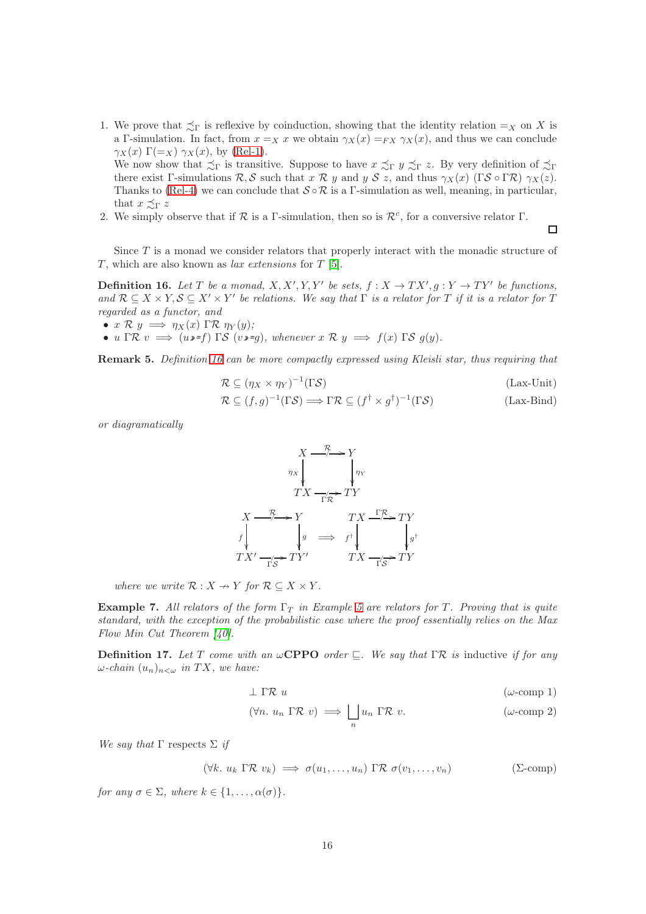1. We prove that  $\preceq_{\Gamma}$  is reflexive by coinduction, showing that the identity relation  $=_X$  on X is a Γ-simulation. In fact, from  $x =_X x$  we obtain  $\gamma_X(x) =_{FX} \gamma_X(x)$ , and thus we can conclude  $\gamma_X(x) \Gamma(\equiv_X) \gamma_X(x)$ , by [\(Rel-1\)](#page-13-0). We now show that  $\precsim_{\Gamma}$  is transitive. Suppose to have  $x \precsim_{\Gamma} y \precsim_{\Gamma} z$ . By very definition of  $\precsim_{\Gamma}$ 

there exist Γ-simulations  $\mathcal{R}, \mathcal{S}$  such that  $x \mathcal{R} y$  and  $y \mathcal{S} z$ , and thus  $\gamma_X(x)$  (Γ $\mathcal{S} \circ \Gamma \mathcal{R}$ )  $\gamma_X(z)$ . Thanks to [\(Rel-4\)](#page-13-1) we can conclude that  $S \circ \mathcal{R}$  is a Γ-simulation as well, meaning, in particular, that  $x \preceq_{\Gamma} z$ 

2. We simply observe that if  $R$  is a Γ-simulation, then so is  $\mathcal{R}^c$ , for a conversive relator Γ.

Since T is a monad we consider relators that properly interact with the monadic structure of T, which are also known as *lax extensions* for  $T$  [\[5\]](#page-28-2).

<span id="page-16-0"></span>**Definition 16.** Let T be a monad,  $X, X', Y, Y'$  be sets,  $f : X \to TX', g : Y \to TY'$  be functions, and  $\mathcal{R} \subseteq X \times Y$ ,  $\mathcal{S} \subseteq X' \times Y'$  be relations. We say that  $\Gamma$  is a relator for  $T$  if it is a relator for  $T$ regarded as a functor, and

•  $x \mathcal{R} y \implies \eta_X(x) \Gamma \mathcal{R} \eta_Y(y);$ 

• u Γ $\mathcal{R} v \implies (u \cdot f) \Gamma \mathcal{S} (v \cdot g)$ , whenever  $x \mathcal{R} y \implies f(x) \Gamma \mathcal{S} g(y)$ .

Remark 5. Definition [16](#page-16-0) can be more compactly expressed using Kleisli star, thus requiring that

$$
\mathcal{R} \subseteq (\eta_X \times \eta_Y)^{-1}(\Gamma \mathcal{S})
$$
 (Lax-Unit)

<span id="page-16-4"></span><span id="page-16-3"></span> $\Box$ 

$$
\mathcal{R} \subseteq (f,g)^{-1}(\Gamma \mathcal{S}) \Longrightarrow \Gamma \mathcal{R} \subseteq (f^{\dagger} \times g^{\dagger})^{-1}(\Gamma \mathcal{S})
$$
 (Lax-Bind)

or diagramatically

$$
X \xrightarrow{\mathcal{R}} Y
$$
\n
$$
TX \xrightarrow{\mathcal{R}} TY
$$
\n
$$
TX \xrightarrow{\mathcal{R}} Y
$$
\n
$$
f \downarrow g \implies f \uparrow \downarrow g
$$
\n
$$
TX' \xrightarrow{\mathcal{R}} TY'
$$
\n
$$
TX' \xrightarrow{\mathcal{R}} TY'
$$
\n
$$
TX' \xrightarrow{\mathcal{R}} TY'
$$
\n
$$
TX \xrightarrow{\mathcal{R}} TY'
$$
\n
$$
TX \xrightarrow{\mathcal{R}} TY'
$$

where we write  $\mathcal{R}: X \to Y$  for  $\mathcal{R} \subseteq X \times Y$ .

**Example 7.** All relators of the form  $\Gamma_T$  in Example [5](#page-14-0) are relators for T. Proving that is quite standard, with the exception of the probabilistic case where the proof essentially relies on the Max Flow Min Cut Theorem [\[40\]](#page-30-3).

<span id="page-16-6"></span>**Definition 17.** Let T come with an  $\omega$ **CPPO** order  $\sqsubseteq$ . We say that ΓR is inductive if for any  $\omega$ -chain  $(u_n)_{n<\omega}$  in TX, we have:

<span id="page-16-5"></span><span id="page-16-2"></span>
$$
\perp \Gamma \mathcal{R} \ u \qquad \qquad (\omega\text{-comp 1})
$$

<span id="page-16-1"></span>
$$
(\forall n. \ u_n \Gamma \mathcal{R} \ v) \implies \bigsqcup_n u_n \Gamma \mathcal{R} \ v.
$$
 ( $\omega$ -comp 2)

We say that  $\Gamma$  respects  $\Sigma$  if

$$
(\forall k. \ u_k \ \Gamma \mathcal{R} \ v_k) \implies \sigma(u_1, \dots, u_n) \ \Gamma \mathcal{R} \ \sigma(v_1, \dots, v_n) \tag{S-comp}
$$

for any  $\sigma \in \Sigma$ , where  $k \in \{1, \ldots, \alpha(\sigma)\}.$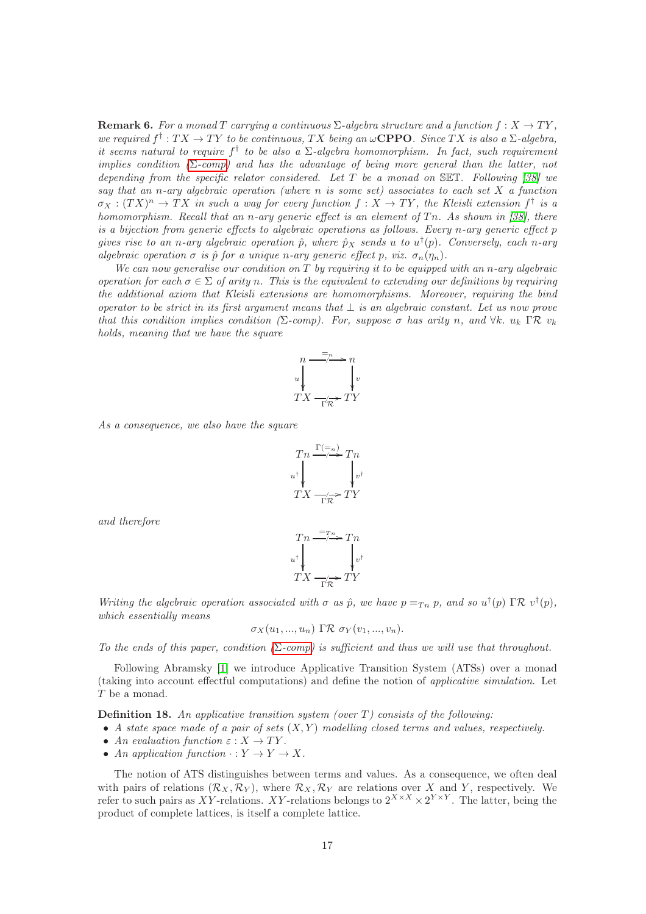**Remark 6.** For a monad T carrying a continuous  $\Sigma$ -algebra structure and a function  $f: X \to TY$ , we required  $f^{\dagger}: TX \to TY$  to be continuous, TX being an  $\omega$ **CPPO**. Since TX is also a  $\Sigma$ -algebra, it seems natural to require  $f^{\dagger}$  to be also a  $\Sigma$ -algebra homomorphism. In fact, such requirement implies condition  $(\Sigma$ [-comp\)](#page-16-1) and has the advantage of being more general than the latter, not depending from the specific relator considered. Let  $T$  be a monad on SET. Following [\[38\]](#page-30-13) we say that an n-ary algebraic operation (where n is some set) associates to each set  $X$  a function  $\sigma_X:(TX)^n\to TX$  in such a way for every function  $f:X\to TY$ , the Kleisli extension  $f^\dagger$  is a homomorphism. Recall that an n-ary generic effect is an element of  $T_n$ . As shown in [\[38\]](#page-30-13), there is a bijection from generic effects to algebraic operations as follows. Every n-ary generic effect p gives rise to an n-ary algebraic operation  $\hat{p}$ , where  $\hat{p}_X$  sends u to  $u^{\dagger}(p)$ . Conversely, each n-ary algebraic operation  $\sigma$  is  $\hat{p}$  for a unique n-ary generic effect p, viz.  $\sigma_n(\eta_n)$ .

We can now generalise our condition on  $T$  by requiring it to be equipped with an n-ary algebraic operation for each  $\sigma \in \Sigma$  of arity n. This is the equivalent to extending our definitions by requiring the additional axiom that Kleisli extensions are homomorphisms. Moreover, requiring the bind operator to be strict in its first argument means that  $\perp$  is an algebraic constant. Let us now prove that this condition implies condition ( $\Sigma$ -comp). For, suppose  $\sigma$  has arity n, and  $\forall k$ .  $u_k$   $\Gamma \mathcal{R}$   $v_k$ holds, meaning that we have the square



As a consequence, we also have the square

$$
Tn \xrightarrow{\Gamma(-n)} Tn
$$
  
\n
$$
u^{\dagger} \qquad \qquad v^{\dagger}
$$
  
\n
$$
TX \xrightarrow{\Gamma}{\gamma} \overrightarrow{TY}
$$

and therefore

$$
Tn \xrightarrow{r\tau} Tn
$$
\n
$$
u^{\dagger} \qquad \qquad v^{\dagger}
$$
\n
$$
TX \xrightarrow{r\tau} TY
$$

Writing the algebraic operation associated with  $\sigma$  as  $\hat{p}$ , we have  $p =_{T_n} p$ , and so  $u^{\dagger}(p)$   $\Gamma \mathcal{R} v^{\dagger}(p)$ , which essentially means

$$
\sigma_X(u_1,...,u_n) \Gamma \mathcal{R} \sigma_Y(v_1,...,v_n).
$$

To the ends of this paper, condition  $(\Sigma$ [-comp\)](#page-16-1) is sufficient and thus we will use that throughout.

Following Abramsky [\[1\]](#page-28-1) we introduce Applicative Transition System (ATSs) over a monad (taking into account effectful computations) and define the notion of applicative simulation. Let T be a monad.

#### **Definition 18.** An applicative transition system (over  $T$ ) consists of the following:

- A state space made of a pair of sets  $(X, Y)$  modelling closed terms and values, respectively.
- An evaluation function  $\varepsilon : X \to TY$ .
- An application function  $\cdot : Y \to Y \to X$ .

The notion of ATS distinguishes between terms and values. As a consequence, we often deal with pairs of relations  $(\mathcal{R}_X, \mathcal{R}_Y)$ , where  $\mathcal{R}_X, \mathcal{R}_Y$  are relations over X and Y, respectively. We refer to such pairs as XY-relations. XY-relations belongs to  $2^{X \times X} \times 2^{Y \times Y}$ . The latter, being the product of complete lattices, is itself a complete lattice.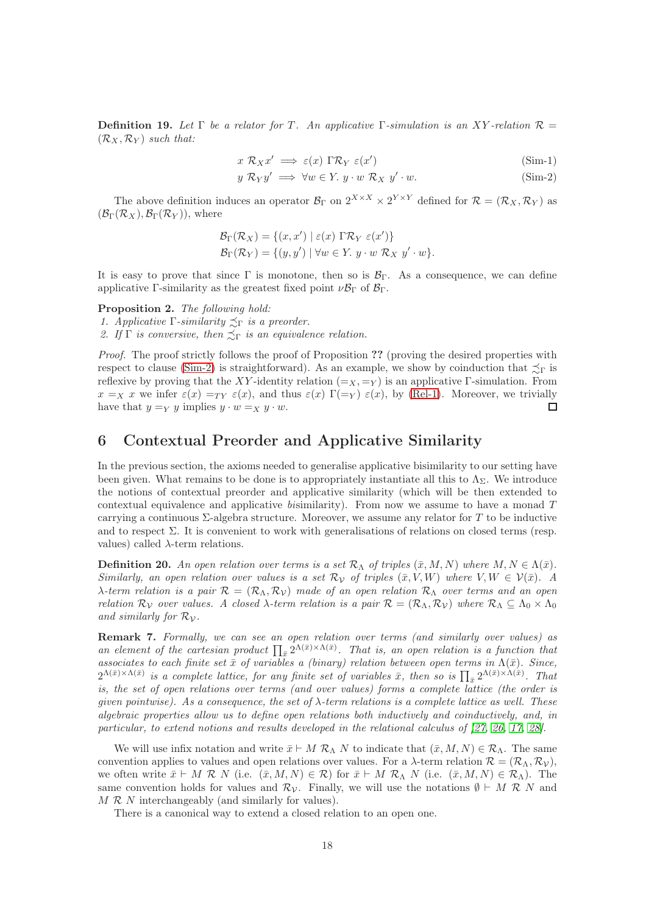**Definition 19.** Let  $\Gamma$  be a relator for T. An applicative  $\Gamma$ -simulation is an XY-relation  $\mathcal{R} =$  $(\mathcal{R}_X, \mathcal{R}_Y)$  such that:

<span id="page-18-2"></span><span id="page-18-0"></span>
$$
x \mathcal{R}_X x' \implies \varepsilon(x) \Gamma \mathcal{R}_Y \varepsilon(x')
$$
 (Sim-1)

$$
y \mathcal{R}_Y y' \implies \forall w \in Y. \ y \cdot w \mathcal{R}_X \ y' \cdot w. \tag{Sim-2}
$$

The above definition induces an operator  $\mathcal{B}_{\Gamma}$  on  $2^{X \times X} \times 2^{Y \times Y}$  defined for  $\mathcal{R} = (\mathcal{R}_X, \mathcal{R}_Y)$  as  $(\mathcal{B}_{\Gamma}(\mathcal{R}_X), \mathcal{B}_{\Gamma}(\mathcal{R}_Y)),$  where

$$
\mathcal{B}_{\Gamma}(\mathcal{R}_X) = \{(x, x') \mid \varepsilon(x) \Gamma \mathcal{R}_Y \varepsilon(x')\}
$$
  

$$
\mathcal{B}_{\Gamma}(\mathcal{R}_Y) = \{(y, y') \mid \forall w \in Y. \ y \cdot w \mathcal{R}_X \ y' \cdot w\}.
$$

It is easy to prove that since  $\Gamma$  is monotone, then so is  $\mathcal{B}_{\Gamma}$ . As a consequence, we can define applicative Γ-similarity as the greatest fixed point  $\nu \mathcal{B}_{\Gamma}$  of  $\mathcal{B}_{\Gamma}$ .

<span id="page-18-1"></span>Proposition 2. The following hold:

1. Applicative  $\Gamma$ -similarity  $\precsim_{\Gamma}$  is a preorder.

2. If  $\Gamma$  is conversive, then  $\preceq_{\Gamma}$  is an equivalence relation.

Proof. The proof strictly follows the proof of Proposition ?? (proving the desired properties with respect to clause [\(Sim-2\)](#page-18-0) is straightforward). As an example, we show by coinduction that  $\preceq_{\Gamma}$  is reflexive by proving that the XY-identity relation  $(=_X, =_Y)$  is an applicative Γ-simulation. From  $x =_X x$  we infer  $\varepsilon(x) =_{TY} \varepsilon(x)$ , and thus  $\varepsilon(x) \Gamma(\equiv_Y) \varepsilon(x)$ , by [\(Rel-1\)](#page-13-0). Moreover, we trivially have that  $y =_Y y$  implies  $y \cdot w =_X y \cdot w$ .  $\Box$ 

# 6 Contextual Preorder and Applicative Similarity

In the previous section, the axioms needed to generalise applicative bisimilarity to our setting have been given. What remains to be done is to appropriately instantiate all this to  $\Lambda_{\Sigma}$ . We introduce the notions of contextual preorder and applicative similarity (which will be then extended to contextual equivalence and applicative bisimilarity). From now we assume to have a monad T carrying a continuous Σ-algebra structure. Moreover, we assume any relator for T to be inductive and to respect  $\Sigma$ . It is convenient to work with generalisations of relations on closed terms (resp. values) called  $\lambda$ -term relations.

**Definition 20.** An open relation over terms is a set  $\mathcal{R}_{\Lambda}$  of triples  $(\bar{x}, M, N)$  where  $M, N \in \Lambda(\bar{x})$ . Similarly, an open relation over values is a set  $\mathcal{R}_{\mathcal{V}}$  of triples  $(\bar{x}, V, W)$  where  $V, W \in \mathcal{V}(\bar{x})$ . A λ-term relation is a pair  $\mathcal{R} = (\mathcal{R}_{\Lambda}, \mathcal{R}_{\mathcal{V}})$  made of an open relation  $\mathcal{R}_{\Lambda}$  over terms and an open relation  $\mathcal{R}_{\mathcal{V}}$  over values. A closed  $\lambda$ -term relation is a pair  $\mathcal{R} = (\mathcal{R}_{\Lambda}, \mathcal{R}_{\mathcal{V}})$  where  $\mathcal{R}_{\Lambda} \subseteq \Lambda_0 \times \Lambda_0$ and similarly for  $\mathcal{R}_{\mathcal{V}}$ .

Remark 7. Formally, we can see an open relation over terms (and similarly over values) as an element of the cartesian product  $\prod_{\bar{x}} 2^{\Lambda(\bar{x}) \times \Lambda(\bar{x})}$ . That is, an open relation is a function that associates to each finite set  $\bar{x}$  of variables a (binary) relation between open terms in  $\Lambda(\bar{x})$ . Since,  $2^{\Lambda(\bar{x})\times\Lambda(\bar{x})}$  is a complete lattice, for any finite set of variables  $\bar{x}$ , then so is  $\prod_{\bar{x}} 2^{\Lambda(\bar{x})\times\Lambda(\bar{x})}$ . That is, the set of open relations over terms (and over values) forms a complete lattice (the order is given pointwise). As a consequence, the set of  $\lambda$ -term relations is a complete lattice as well. These algebraic properties allow us to define open relations both inductively and coinductively, and, in particular, to extend notions and results developed in the relational calculus of [\[27,](#page-30-2) [26,](#page-30-14) [17,](#page-29-16) [28\]](#page-30-11).

We will use infix notation and write  $\bar{x} \vdash M \mathcal{R}_\Lambda N$  to indicate that  $(\bar{x}, M, N) \in \mathcal{R}_\Lambda$ . The same convention applies to values and open relations over values. For a  $\lambda$ -term relation  $\mathcal{R} = (\mathcal{R}_{\Lambda}, \mathcal{R}_{\mathcal{V}})$ , we often write  $\bar{x} \vdash M \mathcal{R} N$  (i.e.  $(\bar{x}, M, N) \in \mathcal{R}$ ) for  $\bar{x} \vdash M \mathcal{R} N$  (i.e.  $(\bar{x}, M, N) \in \mathcal{R}$ ). The same convention holds for values and  $\mathcal{R}_{\mathcal{V}}$ . Finally, we will use the notations  $\emptyset \vdash M \mathcal{R} N$  and  $M \mathcal{R} N$  interchangeably (and similarly for values).

There is a canonical way to extend a closed relation to an open one.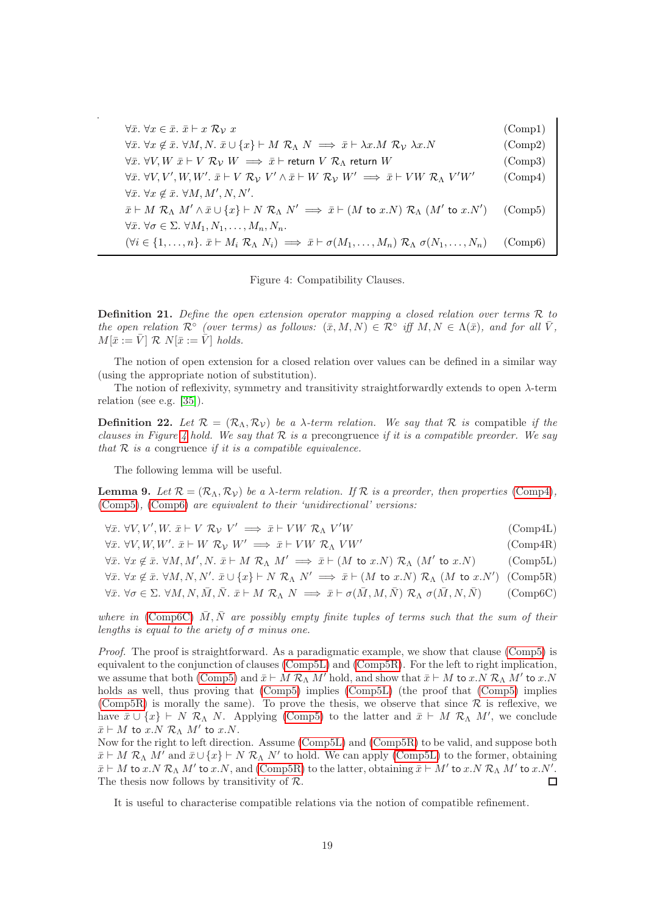| $\forall \bar{x}.\ \forall x \in \bar{x}.\ \bar{x} \vdash x \mathcal{R}_\mathcal{V} x$                                                                                                               | (Comp1)                        |
|------------------------------------------------------------------------------------------------------------------------------------------------------------------------------------------------------|--------------------------------|
| $\forall \bar{x}.\ \forall x \notin \bar{x}.\ \forall M, N. \ \bar{x} \cup \{x\} \vdash M \ \mathcal{R}_{\Lambda} \ N \implies \bar{x} \vdash \lambda x.M \ \mathcal{R}_{\mathcal{V}} \ \lambda x.N$ | $\rm (Comp2)$                  |
| $\forall \bar{x}$ . $\forall V, W \ \bar{x} \vdash V \ \mathcal{R}_V \ W \implies \bar{x} \vdash$ return $V \ \mathcal{R}_\Lambda$ return $W$                                                        | $\rm (Comp3)$                  |
| $\forall \bar{x}.\ \forall V, V', W, W'.\ \bar{x} \vdash V \mathcal{R}_V V' \wedge \bar{x} \vdash W \mathcal{R}_V W' \implies \bar{x} \vdash VW \mathcal{R}_\Lambda V' W'$                           | $\text{(Comp4)}$               |
| $\forall \bar{x}.\ \forall x \notin \bar{x}.\ \forall M, M', N, N'.$                                                                                                                                 |                                |
| $\bar{x} \vdash M \mathcal{R}_\Lambda M' \wedge \bar{x} \cup \{x\} \vdash N \mathcal{R}_\Lambda N' \implies \bar{x} \vdash (M \text{ to } x.N) \mathcal{R}_\Lambda (M' \text{ to } x.N')$            | (Comp5)                        |
| $\forall \bar{x}.\ \forall \sigma \in \Sigma.\ \forall M_1, N_1, \ldots, M_n, N_n.$                                                                                                                  |                                |
| $(\forall i \in \{1,\ldots,n\}.\ \bar{x} \vdash M_i \mathcal{R}_\Lambda \ N_i) \implies \bar{x} \vdash \sigma(M_1,\ldots,M_n) \mathcal{R}_\Lambda \ \sigma(N_1,\ldots,N_n)$                          | $\langle \text{Comp6} \rangle$ |

<span id="page-19-9"></span><span id="page-19-8"></span><span id="page-19-7"></span><span id="page-19-6"></span><span id="page-19-5"></span><span id="page-19-4"></span><span id="page-19-3"></span><span id="page-19-2"></span><span id="page-19-1"></span><span id="page-19-0"></span>Figure 4: Compatibility Clauses.

**Definition 21.** Define the open extension operator mapping a closed relation over terms  $\mathcal{R}$  to the open relation  $\mathcal{R}^{\circ}$  (over terms) as follows:  $(\bar{x}, M, N) \in \mathcal{R}^{\circ}$  iff  $M, N \in \Lambda(\bar{x})$ , and for all  $\bar{V}$ ,  $M[\bar{x} := \bar{V}] \mathcal{R} N[\bar{x} := \bar{V}]$  holds.

The notion of open extension for a closed relation over values can be defined in a similar way (using the appropriate notion of substitution).

The notion of reflexivity, symmetry and transitivity straightforwardly extends to open  $\lambda$ -term relation (see e.g. [\[35\]](#page-30-15)).

**Definition 22.** Let  $\mathcal{R} = (\mathcal{R}_{\Lambda}, \mathcal{R}_{\mathcal{V}})$  be a  $\lambda$ -term relation. We say that  $\mathcal{R}$  is compatible if the clauses in Figure [4](#page-19-0) hold. We say that  $R$  is a precongruence if it is a compatible preorder. We say that  $R$  is a congruence if it is a compatible equivalence.

The following lemma will be useful.

<span id="page-19-10"></span>**Lemma 9.** Let  $\mathcal{R} = (\mathcal{R}_{\Lambda}, \mathcal{R}_{\mathcal{V}})$  be a  $\lambda$ -term relation. If  $\mathcal{R}$  is a preorder, then properties [\(Comp4\)](#page-19-1), [\(Comp5\)](#page-19-2), [\(Comp6\)](#page-19-3) are equivalent to their 'unidirectional' versions:

| $\forall \bar{x}$ . $\forall V, V', W$ . $\bar{x} \vdash V \mathcal{R}_V V' \implies \bar{x} \vdash VW \mathcal{R}_\Lambda V'W$                                                                                                                     | $\text{(Comp4L)}$ |
|-----------------------------------------------------------------------------------------------------------------------------------------------------------------------------------------------------------------------------------------------------|-------------------|
| $\forall \bar{x}$ . $\forall V, W, W'$ . $\bar{x} \vdash W \mathcal{R}_V W' \implies \bar{x} \vdash VW \mathcal{R}_V W'$                                                                                                                            | (Comp4R)          |
| $\forall \bar{x}.\ \forall x \notin \bar{x}.\ \forall M, M', N.\ \bar{x} \vdash M \mathcal{R}_\Lambda \ M' \implies \bar{x} \vdash (M \text{ to } x.N) \mathcal{R}_\Lambda \ (M' \text{ to } x.N)$                                                  | $(\text{Comp5L})$ |
| $\forall \bar{x}. \forall x \notin \bar{x}. \forall M, N, N'. \bar{x} \cup \{x\} \vdash N \mathcal{R}_\Lambda N' \implies \bar{x} \vdash (M \text{ to } x.N) \mathcal{R}_\Lambda (M \text{ to } x.N')$ (Comp5R)                                     |                   |
| $\forall \bar{x}. \ \forall \sigma \in \Sigma. \ \forall M, N, \bar{M}, \bar{N}. \ \bar{x} \vdash M \ \mathcal{R}_{\Lambda} \ N \implies \bar{x} \vdash \sigma(\bar{M}, M, \bar{N}) \ \mathcal{R}_{\Lambda} \ \sigma(\bar{M}, N, \bar{N})$ (Comp6C) |                   |
|                                                                                                                                                                                                                                                     |                   |

where in [\(Comp6C\)](#page-19-4)  $\overline{M}, \overline{N}$  are possibly empty finite tuples of terms such that the sum of their lengths is equal to the ariety of  $\sigma$  minus one.

Proof. The proof is straightforward. As a paradigmatic example, we show that clause [\(Comp5\)](#page-19-2) is equivalent to the conjunction of clauses [\(Comp5L\)](#page-19-5) and [\(Comp5R\)](#page-19-6). For the left to right implication, we assume that both [\(Comp5\)](#page-19-2) and  $\bar{x} \vdash M \mathcal{R}_{\Lambda} M'$  hold, and show that  $\bar{x} \vdash M$  to  $x.N \mathcal{R}_{\Lambda} M'$  to  $x.N$ holds as well, thus proving that [\(Comp5\)](#page-19-2) implies [\(Comp5L\)](#page-19-5) (the proof that [\(Comp5\)](#page-19-2) implies [\(Comp5R\)](#page-19-6) is morally the same). To prove the thesis, we observe that since  $\mathcal R$  is reflexive, we have  $\bar{x} \cup \{x\} \vdash N \mathcal{R}_{\Lambda} N$ . Applying [\(Comp5\)](#page-19-2) to the latter and  $\bar{x} \vdash M \mathcal{R}_{\Lambda} M'$ , we conclude  $\bar{x} \vdash M$  to  $x.N \mathrel{\mathcal{R}}_{\Lambda} M'$  to  $x.N.$ 

Now for the right to left direction. Assume [\(Comp5L\)](#page-19-5) and [\(Comp5R\)](#page-19-6) to be valid, and suppose both  $\bar{x} \vdash M \mathcal{R}_\Lambda M'$  and  $\bar{x} \cup \{x\} \vdash N \mathcal{R}_\Lambda N'$  to hold. We can apply [\(Comp5L\)](#page-19-5) to the former, obtaining  $\bar{x} \vdash M$  to  $x.N \mathcal{R}_\Lambda M'$  to  $x.N$ , and [\(Comp5R\)](#page-19-6) to the latter, obtaining  $\bar{x} \vdash M'$  to  $x.N \mathcal{R}_\Lambda M'$  to  $x.N'.$ The thesis now follows by transitivity of  $\mathcal{R}$ . П

It is useful to characterise compatible relations via the notion of compatible refinement.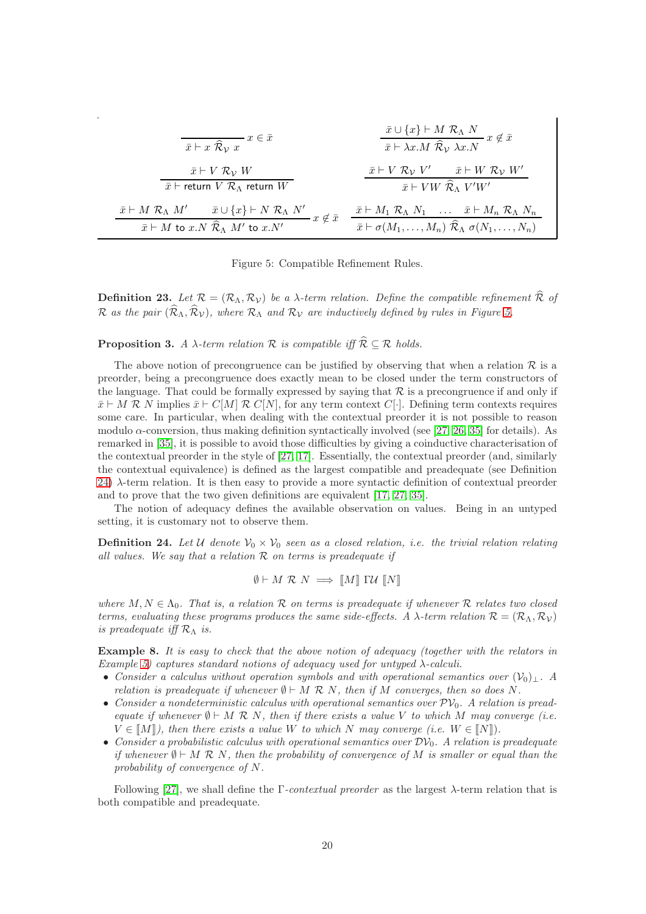$$
\frac{\bar{x} \cup \{x\} \vdash M \mathcal{R}_{\Lambda} N}{\bar{x} \vdash x \mathcal{R}_{\mathcal{V}} x} x \in \bar{x}
$$
\n
$$
\frac{\bar{x} \cup \{x\} \vdash M \mathcal{R}_{\Lambda} N}{\bar{x} \vdash \lambda x.M \mathcal{R}_{\mathcal{V}} \lambda x.N} x \notin \bar{x}
$$
\n
$$
\frac{\bar{x} \vdash V \mathcal{R}_{\mathcal{V}} W}{\bar{x} \vdash \text{return } V \mathcal{R}_{\Lambda} \text{ return } W}
$$
\n
$$
\frac{\bar{x} \vdash V \mathcal{R}_{\mathcal{V}} V' \qquad \bar{x} \vdash W \mathcal{R}_{\mathcal{V}} W'}{\bar{x} \vdash VW \mathcal{R}_{\Lambda} V' W'}
$$
\n
$$
\frac{\bar{x} \vdash M \mathcal{R}_{\Lambda} M' \qquad \bar{x} \cup \{x\} \vdash N \mathcal{R}_{\Lambda} N'}{\bar{x} \vdash M \mathcal{R}_{\Lambda} N \cdots} x \notin \bar{x}
$$
\n
$$
\frac{\bar{x} \vdash M_{1} \mathcal{R}_{\Lambda} N_{1} \qquad \dots \quad \bar{x} \vdash M_{n} \mathcal{R}_{\Lambda} N_{n}}{\bar{x} \vdash M \mathcal{R}_{\Lambda} N \cdots \qquad \bar{x} \vdash M_{n} \mathcal{R}_{\Lambda} N_{n}}
$$

<span id="page-20-0"></span>Figure 5: Compatible Refinement Rules.

**Definition 23.** Let  $\mathcal{R} = (\mathcal{R}_{\Lambda}, \mathcal{R}_{\mathcal{V}})$  be a  $\lambda$ -term relation. Define the compatible refinement  $\widehat{\mathcal{R}}$  of R as the pair  $(\widehat{\mathcal{R}}_{\Lambda}, \widehat{\mathcal{R}}_{\mathcal{V}})$ , where  $\mathcal{R}_{\Lambda}$  and  $\mathcal{R}_{\mathcal{V}}$  are inductively defined by rules in Figure [5.](#page-20-0)

**Proposition 3.** A  $\lambda$ -term relation  $\mathcal R$  is compatible iff  $\widehat{\mathcal R} \subseteq \mathcal R$  holds.

The above notion of precongruence can be justified by observing that when a relation  $\mathcal R$  is a preorder, being a precongruence does exactly mean to be closed under the term constructors of the language. That could be formally expressed by saying that  $\mathcal R$  is a precongruence if and only if  $\bar{x} \vdash M \mathcal{R}$  N implies  $\bar{x} \vdash C[M] \mathcal{R}$  C[N], for any term context C[·]. Defining term contexts requires some care. In particular, when dealing with the contextual preorder it is not possible to reason modulo  $\alpha$ -conversion, thus making definition syntactically involved (see [\[27,](#page-30-2) [26,](#page-30-14) [35\]](#page-30-15) for details). As remarked in [\[35\]](#page-30-15), it is possible to avoid those difficulties by giving a coinductive characterisation of the contextual preorder in the style of [\[27,](#page-30-2) [17\]](#page-29-16). Essentially, the contextual preorder (and, similarly the contextual equivalence) is defined as the largest compatible and preadequate (see Definition [24\)](#page-20-1) λ-term relation. It is then easy to provide a more syntactic definition of contextual preorder and to prove that the two given definitions are equivalent [\[17,](#page-29-16) [27,](#page-30-2) [35\]](#page-30-15).

The notion of adequacy defines the available observation on values. Being in an untyped setting, it is customary not to observe them.

<span id="page-20-1"></span>**Definition 24.** Let U denote  $V_0 \times V_0$  seen as a closed relation, i.e. the trivial relation relating all values. We say that a relation  $R$  on terms is preadequate if

$$
\emptyset \vdash M \mathrel{\mathcal{R}} N \implies \llbracket M \rrbracket \mathrel{\Gamma U} \llbracket N \rrbracket
$$

where  $M, N \in \Lambda_0$ . That is, a relation R on terms is preadequate if whenever R relates two closed terms, evaluating these programs produces the same side-effects. A  $\lambda$ -term relation  $\mathcal{R} = (\mathcal{R}_{\Lambda}, \mathcal{R}_{\mathcal{V}})$ is preadequate iff  $\mathcal{R}_{\Lambda}$  is.

Example 8. It is easy to check that the above notion of adequacy (together with the relators in Example [5\)](#page-14-0) captures standard notions of adequacy used for untyped  $\lambda$ -calculi.

- Consider a calculus without operation symbols and with operational semantics over  $(\mathcal{V}_0)_{\perp}$ . A relation is preadequate if whenever  $\emptyset \vdash M \mathcal{R} N$ , then if M converges, then so does N.
- Consider a nondeterministic calculus with operational semantics over  $\mathcal{PV}_0$ . A relation is preadequate if whenever  $\emptyset \vdash M \mathcal{R} N$ , then if there exists a value V to which M may converge (i.e.  $V \in [M])$ , then there exists a value W to which N may converge (i.e.  $W \in [N]$ ).
- Consider a probabilistic calculus with operational semantics over  $\mathcal{D}\mathcal{V}_0$ . A relation is preadequate if whenever  $\emptyset \vdash M \mathcal{R}$  N, then the probability of convergence of M is smaller or equal than the probability of convergence of N.

Following [\[27\]](#page-30-2), we shall define the  $\Gamma$ -contextual preorder as the largest  $\lambda$ -term relation that is both compatible and preadequate.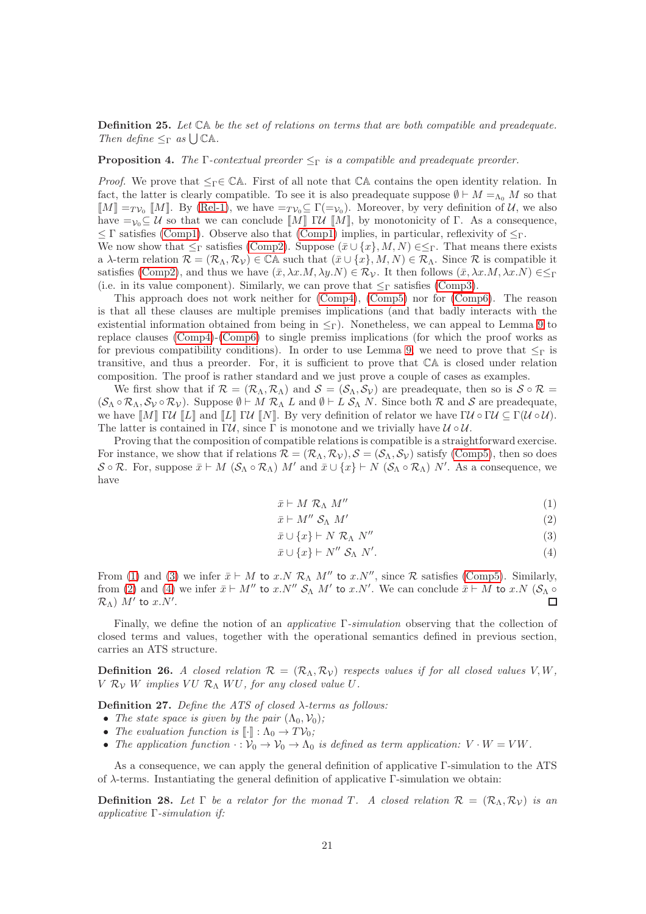Definition 25. Let CA be the set of relations on terms that are both compatible and preadequate. Then define  $\leq_{\Gamma}$  as  $\bigcup \mathbb{CA}$ .

**Proposition 4.** The Γ-contextual preorder  $\leq_{\Gamma}$  is a compatible and preadequate preorder.

*Proof.* We prove that  $\leq_\Gamma \in \mathbb{C}$ A. First of all note that  $\mathbb{C}$ A contains the open identity relation. In fact, the latter is clearly compatible. To see it is also preadequate suppose  $\emptyset \vdash M =_{\Lambda_0} M$  so that  $\llbracket M \rrbracket =_T \gamma_0 \llbracket M \rrbracket$ . By [\(Rel-1\)](#page-13-0), we have  $=\gamma_0 \subseteq \Gamma(\gamma_0)$ . Moreover, by very definition of U, we also have  $=v_0\subseteq U$  so that we can conclude  $\llbracket M \rrbracket$   $\llbracket W \rrbracket$ , by monotonicity of  $\Gamma$ . As a consequence,  $\leq$  Γ satisfies [\(Comp1\)](#page-19-7). Observe also that (Comp1) implies, in particular, reflexivity of  $\leq$ <sub>Γ</sub>. We now show that  $\leq_\Gamma$  satisfies [\(Comp2\)](#page-19-8). Suppose  $(\bar{x} \cup \{x\}, M, N) \in \leq_\Gamma$ . That means there exists

a  $\lambda$ -term relation  $\mathcal{R} = (\mathcal{R}_{\Lambda}, \mathcal{R}_{\mathcal{V}}) \in \mathbb{C}\mathbb{A}$  such that  $(\bar{x} \cup \{x\}, M, N) \in \mathcal{R}_{\Lambda}$ . Since  $\mathcal{R}$  is compatible it satisfies [\(Comp2\)](#page-19-8), and thus we have  $(\bar{x}, \lambda x.M, \lambda y.N) \in \mathcal{R}_{\mathcal{V}}$ . It then follows  $(\bar{x}, \lambda x.M, \lambda x.N) \in \leq_{\Gamma}$ (i.e. in its value component). Similarly, we can prove that  $\leq_{\Gamma}$  satisfies [\(Comp3\)](#page-19-9).

This approach does not work neither for [\(Comp4\)](#page-19-1), [\(Comp5\)](#page-19-2) nor for [\(Comp6\)](#page-19-3). The reason is that all these clauses are multiple premises implications (and that badly interacts with the existential information obtained from being in  $\leq_{\Gamma}$ ). Nonetheless, we can appeal to Lemma [9](#page-19-10) to replace clauses [\(Comp4\)](#page-19-1)-[\(Comp6\)](#page-19-3) to single premiss implications (for which the proof works as for previous compatibility conditions). In order to use Lemma [9,](#page-19-10) we need to prove that  $\leq_\Gamma$  is transitive, and thus a preorder. For, it is sufficient to prove that CA is closed under relation composition. The proof is rather standard and we just prove a couple of cases as examples.

We first show that if  $\mathcal{R} = (\mathcal{R}_{\Lambda}, \mathcal{R}_{\Lambda})$  and  $\mathcal{S} = (\mathcal{S}_{\Lambda}, \mathcal{S}_{\mathcal{V}})$  are preadequate, then so is  $\mathcal{S} \circ \mathcal{R} =$  $(S_\Lambda \circ \mathcal{R}_\Lambda, \mathcal{S}_\mathcal{V} \circ \mathcal{R}_\mathcal{V}).$  Suppose  $\emptyset \vdash M \mathcal{R}_\Lambda L$  and  $\emptyset \vdash L \mathcal{S}_\Lambda N$ . Since both  $\mathcal{R}$  and  $\mathcal{S}$  are preadequate, we have  $\llbracket M \rrbracket \mathsf{I} \mathcal{U} \llbracket L \rrbracket$  and  $\llbracket L \rrbracket \mathsf{I} \mathcal{U} \llbracket N \rrbracket$ . By very definition of relator we have  $\Gamma \mathcal{U} \circ \Gamma \mathcal{U} \subseteq \Gamma(\mathcal{U} \circ \mathcal{U})$ . The latter is contained in  $\Gamma \mathcal{U}$ , since  $\Gamma$  is monotone and we trivially have  $\mathcal{U} \circ \mathcal{U}$ .

Proving that the composition of compatible relations is compatible is a straightforward exercise. For instance, we show that if relations  $\mathcal{R} = (\mathcal{R}_{\Lambda}, \mathcal{R}_{\mathcal{V}}), \mathcal{S} = (\mathcal{S}_{\Lambda}, \mathcal{S}_{\mathcal{V}})$  satisfy [\(Comp5\)](#page-19-2), then so does  $\mathcal{S} \circ \mathcal{R}$ . For, suppose  $\bar{x} \vdash M$   $(\mathcal{S}_{\Lambda} \circ \mathcal{R}_{\Lambda})$   $M'$  and  $\bar{x} \cup \{x\} \vdash N$   $(\mathcal{S}_{\Lambda} \circ \mathcal{R}_{\Lambda})$   $N'$ . As a consequence, we have

<span id="page-21-0"></span>
$$
\bar{x} \vdash M \mathcal{R}_{\Lambda} M'' \tag{1}
$$

$$
\bar{x} \vdash M'' \mathcal{S}_{\Lambda} M' \tag{2}
$$

<span id="page-21-2"></span>
$$
\bar{x} \cup \{x\} \vdash N \mathcal{R}_\Lambda \ N'' \tag{3}
$$

<span id="page-21-3"></span><span id="page-21-1"></span>
$$
\bar{x} \cup \{x\} \vdash N'' \mathcal{S}_{\Lambda} N'. \tag{4}
$$

From [\(1\)](#page-21-0) and [\(3\)](#page-21-1) we infer  $\bar{x} \vdash M$  to  $x.N \mathcal{R}_\Lambda M''$  to  $x.N'',$  since  $\mathcal R$  satisfies [\(Comp5\)](#page-19-2). Similarly, from [\(2\)](#page-21-2) and [\(4\)](#page-21-3) we infer  $\bar{x} \vdash M''$  to x.N''  $S_{\Lambda}$  M' to x.N'. We can conclude  $\bar{x} \vdash M$  to x.N  $(S_{\Lambda} \circ$  $\mathcal{R}_{\Lambda}$ )  $M'$  to  $x.N'.$  $\Box$ 

Finally, we define the notion of an applicative Γ-simulation observing that the collection of closed terms and values, together with the operational semantics defined in previous section, carries an ATS structure.

**Definition 26.** A closed relation  $\mathcal{R} = (\mathcal{R}_{\Lambda}, \mathcal{R}_{\mathcal{V}})$  respects values if for all closed values V, W,  $V R_V W$  implies  $VU R_\Lambda WU$ , for any closed value U.

Definition 27. Define the ATS of closed  $\lambda$ -terms as follows:

- The state space is given by the pair  $(\Lambda_0, \mathcal{V}_0)$ ;
- The evaluation function is  $\llbracket \cdot \rrbracket : \Lambda_0 \to TV_0;$
- The application function  $\cdot : \mathcal{V}_0 \to \mathcal{V}_0 \to \Lambda_0$  is defined as term application:  $V \cdot W = VW$ .

As a consequence, we can apply the general definition of applicative Γ-simulation to the ATS of λ-terms. Instantiating the general definition of applicative Γ-simulation we obtain:

**Definition 28.** Let  $\Gamma$  be a relator for the monad T. A closed relation  $\mathcal{R} = (\mathcal{R}_{\Lambda}, \mathcal{R}_{\mathcal{V}})$  is an applicative Γ-simulation if: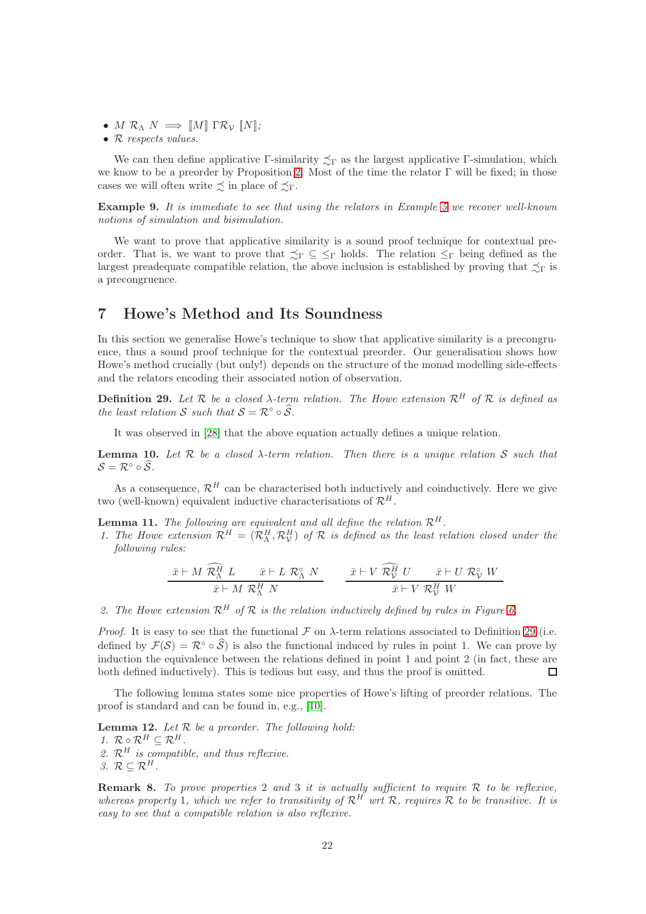- $\bullet\hspace{0.1cm} M\hspace{0.1cm}\mathcal{R}_\Lambda\hspace{0.1cm} N\implies \llbracket M\rrbracket\hspace{0.1cm}\Gamma\mathcal{R}_\mathcal{V}\hspace{0.1cm} \llbracket N\rrbracket;$
- R respects values.

We can then define applicative Γ-similarity  $\precsim_{\Gamma}$  as the largest applicative Γ-simulation, which we know to be a preorder by Proposition [2.](#page-18-1) Most of the time the relator  $\Gamma$  will be fixed; in those cases we will often write  $\preceq$  in place of  $\preceq_{\Gamma}$ .

Example 9. It is immediate to see that using the relators in Example [5](#page-14-0) we recover well-known notions of simulation and bisimulation.

We want to prove that applicative similarity is a sound proof technique for contextual preorder. That is, we want to prove that  $\precsim_{\Gamma} \subseteq \leq_{\Gamma}$  holds. The relation  $\leq_{\Gamma}$  being defined as the largest preadequate compatible relation, the above inclusion is established by proving that  $\precsim_{\Gamma}$  is a precongruence.

# 7 Howe's Method and Its Soundness

In this section we generalise Howe's technique to show that applicative similarity is a precongruence, thus a sound proof technique for the contextual preorder. Our generalisation shows how Howe's method crucially (but only!) depends on the structure of the monad modelling side-effects and the relators encoding their associated notion of observation.

<span id="page-22-0"></span>**Definition 29.** Let  $\mathcal{R}$  be a closed  $\lambda$ -term relation. The Howe extension  $\mathcal{R}^H$  of  $\mathcal{R}$  is defined as the least relation S such that  $S = \mathcal{R}^\circ \circ \widehat{S}$ .

It was observed in [\[28\]](#page-30-11) that the above equation actually defines a unique relation.

**Lemma 10.** Let  $\mathcal{R}$  be a closed  $\lambda$ -term relation. Then there is a unique relation S such that  $S = \mathcal{R}^\circ \circ \widehat{S}.$ 

As a consequence,  $\mathcal{R}^H$  can be characterised both inductively and coinductively. Here we give two (well-known) equivalent inductive characterisations of  $\mathcal{R}^H$ .

**Lemma 11.** The following are equivalent and all define the relation  $\mathcal{R}^H$ .

1. The Howe extension  $\mathcal{R}^H = (\mathcal{R}^H_\Lambda, \mathcal{R}^H_\mathcal{V})$  of  $\mathcal R$  is defined as the least relation closed under the following rules:

$$
\frac{\bar{x} \vdash M \ \bar{\mathcal{R}}^{\bar{H}}_{\Lambda} \ L \qquad \bar{x} \vdash L \ \mathcal{R}^{\circ}_{\Lambda} \ N}{\bar{x} \vdash M \ \mathcal{R}^H_{\Lambda} \ N} \qquad \frac{\bar{x} \vdash V \ \bar{\mathcal{R}}^{\bar{H}}_{\mathcal{V}} \ U \qquad \bar{x} \vdash U \ \mathcal{R}^{\circ}_{\mathcal{V}} \ W}{\bar{x} \vdash V \ \mathcal{R}^H_{\mathcal{V}} \ W}
$$

2. The Howe extension  $\mathcal{R}^H$  of  $\mathcal R$  is the relation inductively defined by rules in Figure [6.](#page-23-0)

*Proof.* It is easy to see that the functional  $\mathcal F$  on  $\lambda$ -term relations associated to Definition [29](#page-22-0) (i.e. defined by  $\mathcal{F}(\mathcal{S}) = \mathcal{R} \circ \mathcal{S}$  is also the functional induced by rules in point 1. We can prove by induction the equivalence between the relations defined in point 1 and point 2 (in fact, these are both defined inductively). This is tedious but easy, and thus the proof is omitted.  $\Box$ 

The following lemma states some nice properties of Howe's lifting of preorder relations. The proof is standard and can be found in, e.g., [\[10\]](#page-29-5).

**Lemma 12.** Let  $R$  be a preorder. The following hold: 1.  $\mathcal{R} \circ \mathcal{R}^H \subset \mathcal{R}^H$ . 2.  $\mathcal{R}^H$  is compatible, and thus reflexive. 3.  $\mathcal{R} \subset \mathcal{R}^H$ .

**Remark 8.** To prove properties 2 and 3 it is actually sufficient to require  $\mathcal R$  to be reflexive, whereas property 1, which we refer to transitivity of  $\mathcal{R}^{H}$  wrt  $\mathcal{R}$ , requires  $\mathcal{R}$  to be transitive. It is easy to see that a compatible relation is also reflexive.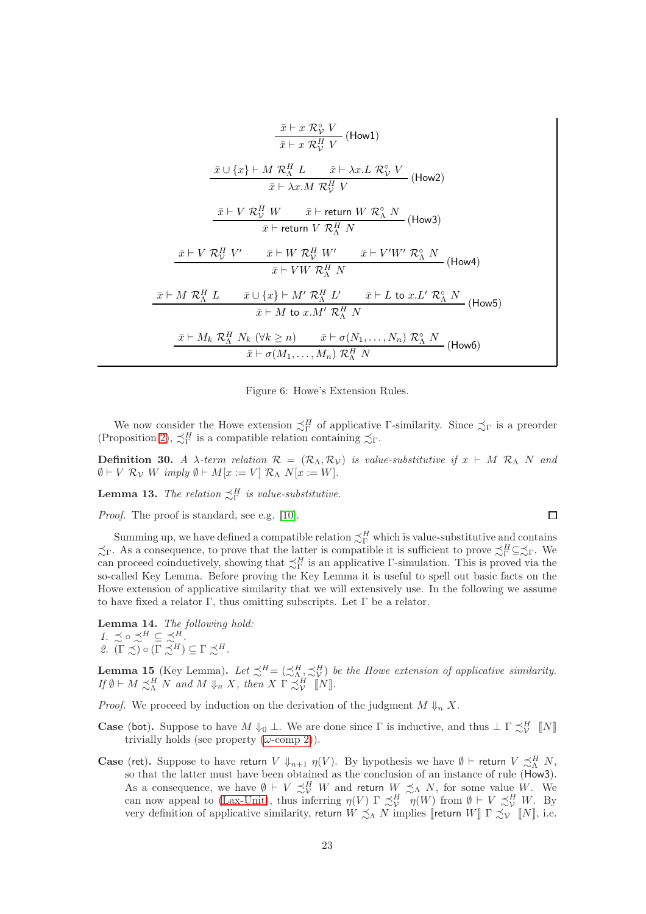$$
\frac{\bar{x} \vdash x \mathcal{R}_{\mathcal{V}}^{\circ} V}{\bar{x} \vdash x \mathcal{R}_{\mathcal{V}}^H V} \text{ (How1)}
$$
\n
$$
\frac{\bar{x} \cup \{x\} \vdash M \mathcal{R}_{\Lambda}^H L \qquad \bar{x} \vdash \lambda x.L \mathcal{R}_{\mathcal{V}}^{\circ} V}{\bar{x} \vdash \lambda x.M \mathcal{R}_{\mathcal{V}}^H V} \text{ (How2)}
$$
\n
$$
\frac{\bar{x} \vdash V \mathcal{R}_{\mathcal{V}}^H W \qquad \bar{x} \vdash \text{return } W \mathcal{R}_{\Lambda}^{\circ} N}{\bar{x} \vdash \text{return } V \mathcal{R}_{\Lambda}^H N} \text{ (How3)}
$$
\n
$$
\frac{\bar{x} \vdash V \mathcal{R}_{\mathcal{V}}^H V' \qquad \bar{x} \vdash W \mathcal{R}_{\Lambda}^H N}{\bar{x} \vdash V W \mathcal{R}_{\Lambda}^H N} \text{ (How4)}
$$
\n
$$
\frac{\bar{x} \vdash M \mathcal{R}_{\Lambda}^H L \qquad \bar{x} \cup \{x\} \vdash M' \mathcal{R}_{\Lambda}^H L' \qquad \bar{x} \vdash L \text{ to } x.L' \mathcal{R}_{\Lambda}^{\circ} N}{\bar{x} \vdash M \text{ to } x.M' \mathcal{R}_{\Lambda}^H N} \text{ (How5)}
$$
\n
$$
\frac{\bar{x} \vdash M_{k} \mathcal{R}_{\Lambda}^H N_{k} \text{ (} \forall k \geq n) \qquad \bar{x} \vdash \sigma(N_{1}, \dots, N_{n}) \mathcal{R}_{\Lambda}^{\circ} N}{\bar{x} \vdash \sigma(M_{1}, \dots, M_{n}) \mathcal{R}_{\Lambda}^H N} \text{ (How6)}
$$

<span id="page-23-0"></span>Figure 6: Howe's Extension Rules.

We now consider the Howe extension  $\precsim^H_\Gamma$  of applicative Γ-similarity. Since  $\precsim_\Gamma$  is a preorder (Proposition [2\)](#page-18-1),  $\precsim_{\Gamma}^H$  is a compatible relation containing  $\precsim_{\Gamma}$ .

Definition 30. A  $\lambda$ -term relation  $\mathcal{R} = (\mathcal{R}_{\Lambda}, \mathcal{R}_{\mathcal{V}})$  is value-substitutive if  $x \vdash M \mathcal{R}_{\Lambda} N$  and  $\emptyset \vdash V \mathcal{R}_{\mathcal{V}} W$  imply  $\emptyset \vdash M[x := V] \mathcal{R}_{\Lambda} N[x := W].$ 

**Lemma 13.** The relation  $\precsim^H_{\Gamma}$  is value-substitutive.

Proof. The proof is standard, see e.g. [\[10\]](#page-29-5).

Summing up, we have defined a compatible relation  $\precsim^H_\Gamma$  which is value-substitutive and contains  $\precsim_{\Gamma}$ . As a consequence, to prove that the latter is compatible it is sufficient to prove  $\precsim_{\Gamma}^H \subseteq \precsim_{\Gamma}$ . We can proceed coinductively, showing that  $\precsim^H_\Gamma$  is an applicative Γ-simulation. This is proved via the so-called Key Lemma. Before proving the Key Lemma it is useful to spell out basic facts on the Howe extension of applicative similarity that we will extensively use. In the following we assume to have fixed a relator Γ, thus omitting subscripts. Let  $\Gamma$  be a relator.

<span id="page-23-1"></span>Lemma 14. The following hold: 1.  $\precsim \circ \precsim^H \subseteq \precsim^H$ . 2.  $(\Gamma \precsim) \circ (\Gamma \precsim^H) \subseteq \Gamma \precsim^H$ .

**Lemma 15** (Key Lemma). Let  $\precsim^H = (\precsim^H_{\Lambda}, \precsim^H_{\mathcal{V}})$  be the Howe extension of applicative similarity. If  $\emptyset \vdash M \preceq^H_{\Lambda} N$  and  $M \Downarrow_n X$ , then  $X \Gamma \preceq^H_V \llbracket N \rrbracket$ .

- *Proof.* We proceed by induction on the derivation of the judgment  $M \Downarrow_n X$ .
- **Case** (bot). Suppose to have  $M \Downarrow_0 \bot$ . We are done since  $\Gamma$  is inductive, and thus  $\bot \Gamma \precsim^H_{\mathcal{V}} \llbracket N \rrbracket$ trivially holds (see property  $(\omega\text{-comp 2})$ ).
- **Case** (ret). Suppose to have return  $V \Downarrow_{n+1} \eta(V)$ . By hypothesis we have  $\emptyset \vdash$  return  $V \precsim^H_{\Lambda} N$ , so that the latter must have been obtained as the conclusion of an instance of rule (How3). As a consequence, we have  $\emptyset \vdash V \precsim^H_V W$  and return  $W \precsim_\Lambda N$ , for some value W. We can now appeal to [\(Lax-Unit\)](#page-16-3), thus inferring  $\eta(V) \Gamma \precsim^H_V \eta(W)$  from  $\emptyset \vdash V \precsim^H_V W$ . By very definition of applicative similarity, return  $W \precsim_{\Lambda} N$  implies [return  $W$ ]  $\Gamma \precsim_{\mathcal{V}} [N]$ , i.e.

 $\Box$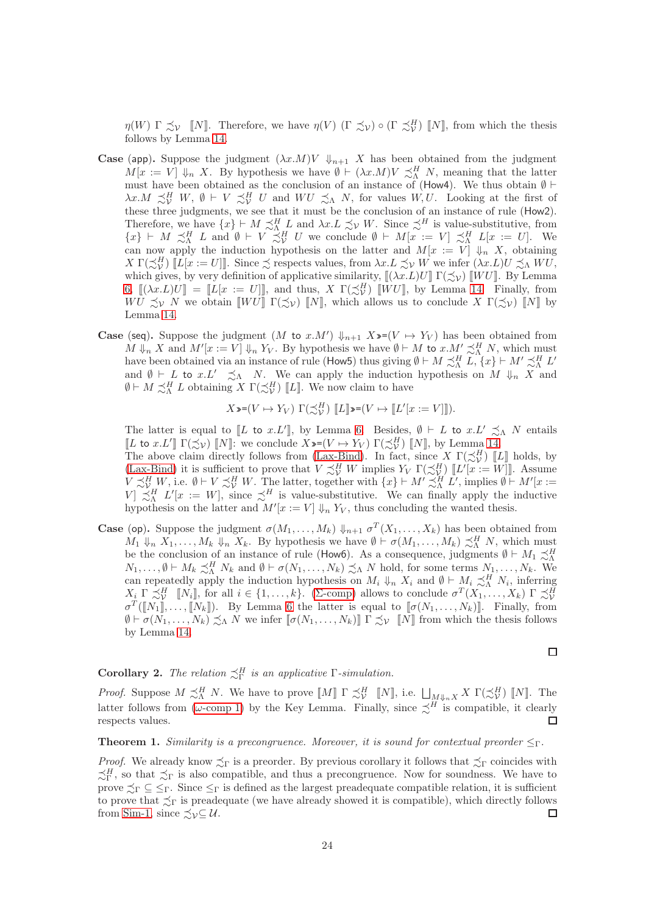$\eta(W) \Gamma \precsim_{\mathcal{V}} \llbracket N \rrbracket$ . Therefore, we have  $\eta(V)$  ( $\Gamma \precsim_{\mathcal{V}} \infty$ )  $\lbrack \Gamma \precsim_{\mathcal{V}}^H \mathcal{V} \rbrack$  [N], from which the thesis follows by Lemma [14.](#page-23-1)

- **Case** (app). Suppose the judgment  $(\lambda x.M)V \Downarrow_{n+1} X$  has been obtained from the judgment  $M[x := V] \downarrow_n X$ . By hypothesis we have  $\emptyset \vdash (\lambda x.M)V \precsim^H_{\Lambda} N$ , meaning that the latter must have been obtained as the conclusion of an instance of (How4). We thus obtain  $\emptyset \vdash$  $\lambda x.M \precsim^H_V W, \emptyset \vdash V \precsim^H_V U \text{ and } WU \precsim^N_N N, \text{ for values } W, U.$  Looking at the first of these three judgments, we see that it must be the conclusion of an instance of rule (How2). Therefore, we have  $\{x\} \vdash M \precsim_M^H L$  and  $\lambda x.L \precsim_V W$ . Since  $\precsim^H$  is value-substitutive, from  ${x}$   $\}$   $\vdash M \preceq^H_\Lambda L$  and  $\emptyset$   $\vdash V \preceq^H_V U$  we conclude  $\emptyset$   $\vdash M[x := V] \preceq^H_\Lambda L[x := U]$ . We can now apply the induction hypothesis on the latter and  $M[x := V] \downarrow_n X$ , obtaining  $X \Gamma(\precsim^H_{\mathcal{V}}) \llbracket L[x := U] \rrbracket.$  Since  $\precsim$  respects values, from  $\lambda x. L \precsim_{\mathcal{V}} W$  we infer  $(\lambda x. L) U \precsim_{\Lambda} W U$ , which gives, by very definition of applicative similarity,  $[(\lambda x.L)U] \Gamma(\precsim_{\mathcal{V}})$   $[WU]$ . By Lemma [6,](#page-12-1)  $[(\lambda x.L)U] = [L[x := U]]$ , and thus,  $X \Gamma(\precsim^H_V) [WU]$ , by Lemma [14.](#page-23-1) Finally, from WU  $\precsim_V N$  we obtain  $\llbracket WU \rrbracket \Gamma(\precsim_V) \llbracket N \rrbracket$ , which allows us to conclude X  $\Gamma(\precsim_V) \llbracket N \rrbracket$  by Lemma [14.](#page-23-1)
- **Case** (seq). Suppose the judgment  $(M$  to  $x.M') \Downarrow_{n+1} X \rightarrow (V \mapsto Y_V)$  has been obtained from  $M \Downarrow_n X$  and  $M'[x := V] \Downarrow_n Y_V$ . By hypothesis we have  $\emptyset \vdash M$  to  $x.M' \precsim^H_{\Lambda} N$ , which must have been obtained via an instance of rule (How5) thus giving  $\emptyset \vdash M \precsim^H_{\Lambda} L$ ,  $\{x\} \vdash M' \precsim^H_{\Lambda} L'$ and  $\emptyset \vdash L$  to  $x.L' \precsim_{\Lambda} N$ . We can apply the induction hypothesis on  $M \Downarrow_n X$  and  $\emptyset \vdash M \precsim^H_{\Lambda} L$  obtaining  $X \Gamma(\precsim^H_{\mathcal{V}})$  [L]. We now claim to have

$$
X\mathord{:=}(V\mapsto Y_V)\,\,\Gamma(\precsim^H_V)\,\,\llbracket L\rrbracket\mathord{:=}(V\mapsto\llbracket L'[x:=V]\rrbracket).
$$

The latter is equal to [L to x.L'], by Lemma [6.](#page-12-1) Besides,  $\emptyset \vdash L$  to  $x.L' \precsim_{\Lambda} N$  entails [L to x.L']  $\Gamma(\precsim_{\mathcal{V}})$  [N]: we conclude  $X \rightarrow (V \mapsto Y_V) \Gamma(\precsim_{\mathcal{V}}^H)$  [N], by Lemma [14.](#page-23-1)

The above claim directly follows from [\(Lax-Bind\)](#page-16-4). In fact, since X  $\Gamma(\preceq^H_{\mathcal{V}})$  [L] holds, by The above claim diffectly follows from  $\left( \frac{\text{Lax-Bind}}{\text{M}} \right)$ . In fact, since  $X \left( \frac{\text{Lay}}{\text{N}} \right)$  [[ $\mathcal{L}'[x := W]$ ]. Assume  $V \precsim^H_V W$ , i.e.  $\emptyset \vdash V \precsim^H_V W$ . The latter, together with  $\{x\} \vdash M' \precsim^H_{\Lambda} L'$ , implies  $\emptyset \vdash M'[x :=$  $V \preceq^H L'[x := W],$  since  $\preceq^H$  is value-substitutive. We can finally apply the inductive hypothesis on the latter and  $M'[x := V] \Downarrow_n Y_V$ , thus concluding the wanted thesis.

**Case** (op). Suppose the judgment  $\sigma(M_1, \ldots, M_k)$   $\downarrow_{n+1}$   $\sigma^T(X_1, \ldots, X_k)$  has been obtained from  $M_1 \Downarrow_n X_1, \ldots, M_k \Downarrow_n X_k$ . By hypothesis we have  $\emptyset \vdash \sigma(M_1, \ldots, M_k) \precsim^H_{\Lambda} N$ , which must be the conclusion of an instance of rule (How6). As a consequence, judgments  $\emptyset \vdash M_1 \precsim^H_{\Lambda}$  $N_1, \ldots, \emptyset \vdash M_k \precsim^H_\Lambda N_k$  and  $\emptyset \vdash \sigma(N_1, \ldots, N_k) \precsim_\Lambda N$  hold, for some terms  $N_1, \ldots, N_k$ . We can repeatedly apply the induction hypothesis on  $M_i \Downarrow_n X_i$  and  $\emptyset \vdash M_i \precsim^H_{\Lambda} N_i$ , inferring  $X_i \Gamma \precsim^H_V \llbracket N_i \rrbracket$ , for all  $i \in \{1, \ldots, k\}$ . (Σ[-comp\)](#page-16-1) allows to conclude  $\sigma^T(X_1, \ldots, X_k) \Gamma \precsim^H_V$  $\sigma^T(\llbracket N_1 \rrbracket, \ldots, \llbracket N_k \rrbracket)$ . By Lemma [6](#page-12-1) the latter is equal to  $\llbracket \sigma(N_1, \ldots, N_k) \rrbracket$ . Finally, from  $\emptyset \vdash \sigma(N_1,\ldots,N_k) \preceq_{\Lambda} N$  we infer  $[\![\sigma(N_1,\ldots,N_k)]\!] \Gamma \preceq_{\mathcal{V}} [\![N]\!]$  from which the thesis follows by Lemma [14.](#page-23-1)

$$
\qquad \qquad \Box
$$

# **Corollary 2.** The relation  $\precsim^H_{\Gamma}$  is an applicative  $\Gamma$ -simulation.

*Proof.* Suppose  $M \precsim^H_{\Lambda} N$ . We have to prove  $\llbracket M \rrbracket \Gamma \precsim^H_{\mathcal{V}} \llbracket N \rrbracket$ , i.e.  $\bigsqcup_{M \Downarrow_n X} X \Gamma(\precsim^H_{\mathcal{V}} \llbracket N \rrbracket$ . The latter follows from ( $\omega$ [-comp 1\)](#page-16-5) by the Key Lemma. Finally, since  $\precsim^H$  is compatible, it clearly respects values. П

#### <span id="page-24-0"></span>**Theorem 1.** Similarity is a precongruence. Moreover, it is sound for contextual preorder  $\leq_\Gamma$ .

*Proof.* We already know  $\precsim_{\Gamma}$  is a preorder. By previous corollary it follows that  $\precsim_{\Gamma}$  coincides with  $\precsim^H_\Gamma$ , so that  $\precsim_\Gamma$  is also compatible, and thus a precongruence. Now for soundness. We have to prove  $\preceq_{\Gamma} \subseteq \leq_{\Gamma}$ . Since  $\leq_{\Gamma}$  is defined as the largest preadequate compatible relation, it is sufficient to prove that  $\preceq_{\Gamma}$  is preadequate (we have already showed it is compatible), which directly follows from [Sim-1,](#page-18-2) since  $\precsim_{\mathcal{V}} \subseteq \mathcal{U}$ .  $\Box$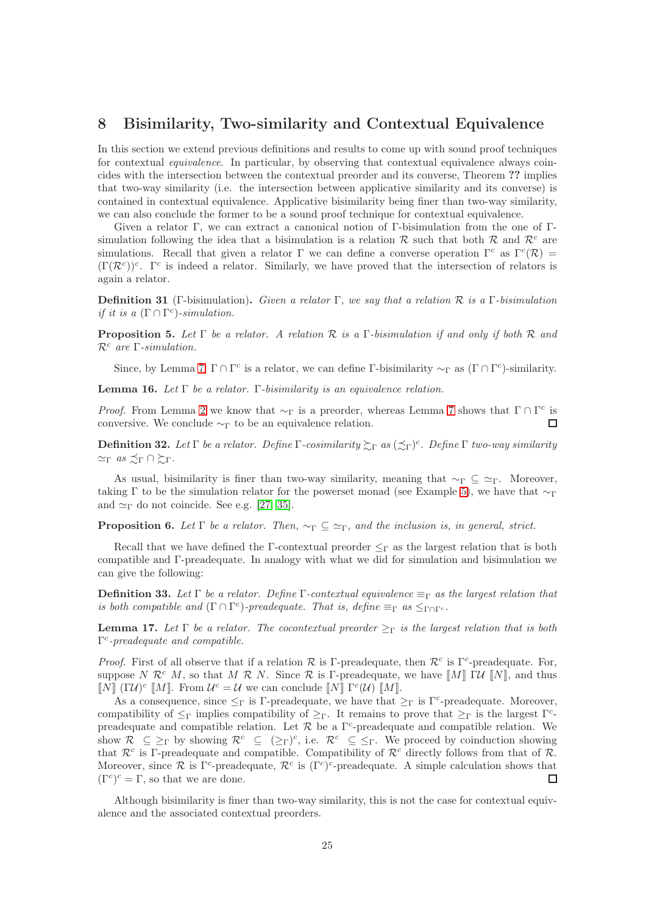# 8 Bisimilarity, Two-similarity and Contextual Equivalence

In this section we extend previous definitions and results to come up with sound proof techniques for contextual equivalence. In particular, by observing that contextual equivalence always coincides with the intersection between the contextual preorder and its converse, Theorem ?? implies that two-way similarity (i.e. the intersection between applicative similarity and its converse) is contained in contextual equivalence. Applicative bisimilarity being finer than two-way similarity, we can also conclude the former to be a sound proof technique for contextual equivalence.

Given a relator Γ, we can extract a canonical notion of Γ-bisimulation from the one of Γsimulation following the idea that a bisimulation is a relation R such that both R and  $\mathcal{R}^c$  are simulations. Recall that given a relator  $\Gamma$  we can define a converse operation  $\Gamma^c$  as  $\Gamma^c(\mathcal{R}) =$  $(\Gamma(\mathcal{R}^c))^c$ . Γ<sup>c</sup> is indeed a relator. Similarly, we have proved that the intersection of relators is again a relator.

<span id="page-25-1"></span>**Definition 31** (Γ-bisimulation). Given a relator Γ, we say that a relation R is a Γ-bisimulation if it is a  $(\Gamma \cap \Gamma^c)$ -simulation.

**Proposition 5.** Let  $\Gamma$  be a relator. A relation  $\mathcal R$  is a  $\Gamma$ -bisimulation if and only if both  $\mathcal R$  and  $\mathcal{R}^c$  are  $\Gamma$ -simulation.

Since, by Lemma [7,](#page-15-0)  $\Gamma \cap \Gamma^c$  is a relator, we can define  $\Gamma$ -bisimilarity  $\sim_{\Gamma}$  as  $(\Gamma \cap \Gamma^c)$ -similarity.

**Lemma 16.** Let Γ be a relator. Γ-bisimilarity is an equivalence relation.

*Proof.* From Lemma [2](#page-18-1) we know that  $\sim_{\Gamma}$  is a preorder, whereas Lemma [7](#page-15-0) shows that  $\Gamma \cap \Gamma^c$  is conversive. We conclude  $\sim_{\Gamma}$  to be an equivalence relation.  $\Box$ 

**Definition 32.** Let  $\Gamma$  be a relator. Define  $\Gamma$ -cosimilarity  $\gtrsim_{\Gamma}$  as  $(\preceq_{\Gamma})^c$ . Define  $\Gamma$  two-way similarity  $\simeq_{\Gamma} a s \precsim_{\Gamma} \cap \succsim_{\Gamma}$ .

As usual, bisimilarity is finer than two-way similarity, meaning that  $\sim_{\Gamma} \subseteq \simeq_{\Gamma}$ . Moreover, taking Γ to be the simulation relator for the powerset monad (see Example [5\)](#page-14-0), we have that  $\sim_{\Gamma}$ and  $\simeq_{\Gamma}$  do not coincide. See e.g. [\[27,](#page-30-2) [35\]](#page-30-15).

**Proposition 6.** Let  $\Gamma$  be a relator. Then,  $\sim_{\Gamma} \subseteq \simeq_{\Gamma}$ , and the inclusion is, in general, strict.

Recall that we have defined the Γ-contextual preorder  $\leq_\Gamma$  as the largest relation that is both compatible and Γ-preadequate. In analogy with what we did for simulation and bisimulation we can give the following:

**Definition 33.** Let Γ be a relator. Define Γ-contextual equivalence  $\equiv_{\Gamma}$  as the largest relation that is both compatible and  $(\Gamma \cap \Gamma^c)$ -preadequate. That is, define  $\equiv_{\Gamma} as \leq_{\Gamma \cap \Gamma^c}$ .

<span id="page-25-0"></span>**Lemma 17.** Let Γ be a relator. The cocontextual preorder  $\geq_\Gamma$  is the largest relation that is both  $\Gamma^c$ -preadequate and compatible.

*Proof.* First of all observe that if a relation  $\mathcal R$  is Γ-preadequate, then  $\mathcal R^c$  is Γ<sup>c</sup>-preadequate. For, suppose N  $\mathcal{R}^c$  M, so that M  $\mathcal{R}$  N. Since  $\mathcal{R}$  is Γ-preadequate, we have  $\llbracket M \rrbracket$   $\llbracket W \rrbracket$ , and thus  $\llbracket N \rrbracket$  (ΓU)<sup>c</sup>  $\llbracket M \rrbracket$ . From  $\mathcal{U}^c = \mathcal{U}$  we can conclude  $\llbracket N \rrbracket$  Γ<sup>c</sup>(U)  $\llbracket M \rrbracket$ .

As a consequence, since  $\leq_{\Gamma}$  is Γ-preadequate, we have that  $\geq_{\Gamma}$  is Γ<sup>-c</sup>-preadequate. Moreover, compatibility of  $\leq_{\Gamma}$  implies compatibility of  $\geq_{\Gamma}$ . It remains to prove that  $\geq_{\Gamma}$  is the largest  $\Gamma^c$ preadequate and compatible relation. Let  $R$  be a  $\Gamma^c$ -preadequate and compatible relation. We show  $\mathcal{R} \subseteq \Sigma_{\Gamma}$  by showing  $\mathcal{R}^c \subseteq (\Sigma_{\Gamma})^c$ , i.e.  $\mathcal{R}^c \subseteq \Sigma_{\Gamma}$ . We proceed by coinduction showing that  $\mathcal{R}^c$  is Γ-preadequate and compatible. Compatibility of  $\mathcal{R}^c$  directly follows from that of  $\mathcal{R}$ . Moreover, since  $\mathcal R$  is  $\Gamma^c$ -preadequate,  $\mathcal R^c$  is  $(\Gamma^c)^c$ -preadequate. A simple calculation shows that  $(\Gamma^c)^c = \Gamma$ , so that we are done.  $\Box$ 

Although bisimilarity is finer than two-way similarity, this is not the case for contextual equivalence and the associated contextual preorders.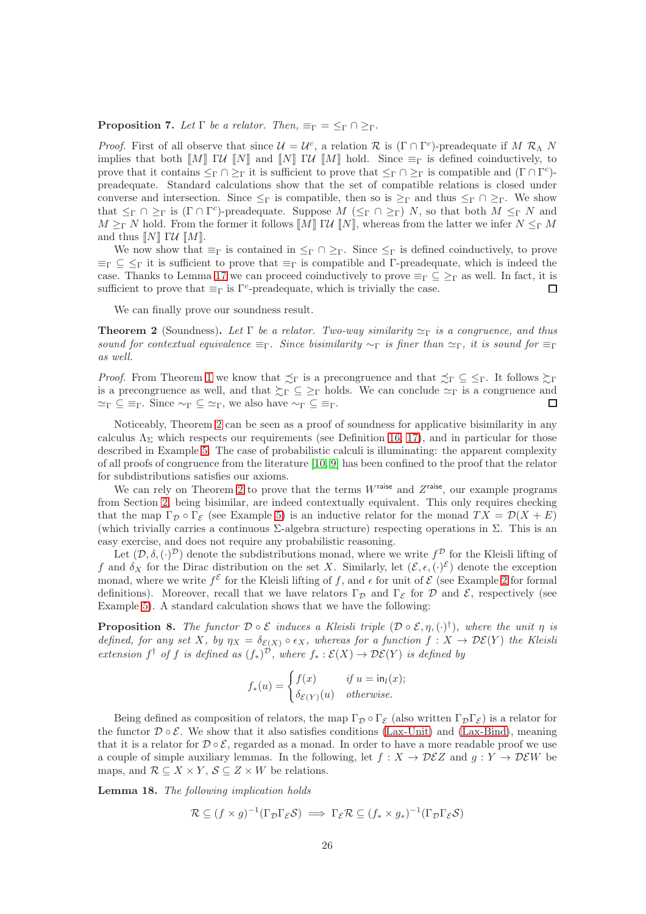#### **Proposition 7.** Let  $\Gamma$  be a relator. Then,  $\equiv_{\Gamma} \equiv \leq_{\Gamma} \cap \geq_{\Gamma}$ .

*Proof.* First of all observe that since  $\mathcal{U} = \mathcal{U}^c$ , a relation  $\mathcal{R}$  is  $(\Gamma \cap \Gamma^c)$ -preadequate if M  $\mathcal{R}_\Lambda$  N implies that both  $\llbracket M \rrbracket \rbrack$   $\llbracket V \rrbracket$  and  $\llbracket N \rrbracket \rbrack$   $\llbracket W \rrbracket$  hold. Since  $\equiv_{\Gamma}$  is defined coinductively, to prove that it contains  $\leq_{\Gamma} \cap \geq_{\Gamma}$  it is sufficient to prove that  $\leq_{\Gamma} \cap \geq_{\Gamma}$  is compatible and  $(\Gamma \cap \Gamma^c)$ preadequate. Standard calculations show that the set of compatible relations is closed under converse and intersection. Since  $\leq_{\Gamma}$  is compatible, then so is  $\geq_{\Gamma}$  and thus  $\leq_{\Gamma} \cap \geq_{\Gamma}$ . We show that  $\leq_{\Gamma} \cap \geq_{\Gamma}$  is  $(\Gamma \cap \Gamma^c)$ -preadequate. Suppose  $M$   $(\leq_{\Gamma} \cap \geq_{\Gamma})$  N, so that both  $M \leq_{\Gamma} N$  and  $M \geq_{\Gamma} N$  hold. From the former it follows  $\llbracket M \rrbracket \Gamma U \llbracket N \rrbracket$ , whereas from the latter we infer  $N \leq_{\Gamma} M$ and thus  $\llbracket N \rrbracket \cdot \mathcal{U} \cdot \llbracket M \rrbracket$ .

We now show that  $\equiv_{\Gamma}$  is contained in  $\leq_{\Gamma} \cap \geq_{\Gamma}$ . Since  $\leq_{\Gamma}$  is defined coinductively, to prove  $\equiv_{\Gamma} \subseteq \leq_{\Gamma}$  it is sufficient to prove that  $\equiv_{\Gamma}$  is compatible and Γ-preadequate, which is indeed the case. Thanks to Lemma [17](#page-25-0) we can proceed coinductively to prove  $\equiv_{\Gamma} \subseteq \geq_{\Gamma}$  as well. In fact, it is sufficient to prove that  $\equiv_{\Gamma}$  is  $\Gamma^c$ -preadequate, which is trivially the case.  $\Box$ 

We can finally prove our soundness result.

<span id="page-26-0"></span>**Theorem 2** (Soundness). Let Γ be a relator. Two-way similarity  $\simeq_{\Gamma}$  is a congruence, and thus sound for contextual equivalence  $\equiv_{\Gamma}$ . Since bisimilarity  $\sim_{\Gamma}$  is finer than  $\approx_{\Gamma}$ , it is sound for  $\equiv_{\Gamma}$ as well.

*Proof.* From Theorem [1](#page-24-0) we know that  $\precsim_{\Gamma}$  is a precongruence and that  $\precsim_{\Gamma} \subseteq \leq_{\Gamma}$ . It follows  $\succsim_{\Gamma}$ is a precongruence as well, and that  $\zeta_{\Gamma} \subseteq \geq_{\Gamma}$  holds. We can conclude  $\simeq_{\Gamma}$  is a congruence and  $\simeq_{\Gamma} \subseteq \equiv_{\Gamma}$ . Since  $\sim_{\Gamma} \subseteq \simeq_{\Gamma}$ , we also have  $\sim_{\Gamma} \subseteq \equiv_{\Gamma}$ . П

Noticeably, Theorem [2](#page-26-0) can be seen as a proof of soundness for applicative bisimilarity in any calculus  $\Lambda_{\Sigma}$  which respects our requirements (see Definition [16,](#page-16-0) [17\)](#page-16-6), and in particular for those described in Example [5.](#page-14-0) The case of probabilistic calculi is illuminating: the apparent complexity of all proofs of congruence from the literature [\[10,](#page-29-5) [9\]](#page-29-6) has been confined to the proof that the relator for subdistributions satisfies our axioms.

We can rely on Theorem [2](#page-26-0) to prove that the terms  $W^{\text{raise}}$  and  $Z^{\text{raise}}$ , our example programs from Section [2,](#page-2-1) being bisimilar, are indeed contextually equivalent. This only requires checking that the map  $\Gamma_{\mathcal{D}} \circ \Gamma_{\mathcal{E}}$  (see Example [5\)](#page-14-0) is an inductive relator for the monad  $TX = \mathcal{D}(X + E)$ (which trivially carries a continuous  $\Sigma$ -algebra structure) respecting operations in  $\Sigma$ . This is an easy exercise, and does not require any probabilistic reasoning.

Let  $(D, \delta, (\cdot)^{\mathcal{D}})$  denote the subdistributions monad, where we write  $f^{\mathcal{D}}$  for the Kleisli lifting of f and  $\delta_X$  for the Dirac distribution on the set X. Similarly, let  $(\mathcal{E}, \epsilon, (\cdot)^\mathcal{E})$  denote the exception monad, where we write  $f^{\mathcal{E}}$  for the Kleisli lifting of f, and  $\epsilon$  for unit of  $\mathcal{E}$  (see Example [2](#page-7-0) for formal definitions). Moreover, recall that we have relators  $\Gamma_{\mathcal{D}}$  and  $\Gamma_{\mathcal{E}}$  for D and E, respectively (see Example [5\)](#page-14-0). A standard calculation shows that we have the following:

**Proposition 8.** The functor  $\mathcal{D} \circ \mathcal{E}$  induces a Kleisli triple  $(\mathcal{D} \circ \mathcal{E}, \eta, (\cdot)^{\dagger})$ , where the unit  $\eta$  is defined, for any set X, by  $\eta_X = \delta_{\mathcal{E}(X)} \circ \epsilon_X$ , whereas for a function  $f: X \to \mathcal{D}\mathcal{E}(Y)$  the Kleisli extension  $f^{\dagger}$  of f is defined as  $(f_*)^{\mathcal{D}}$ , where  $f_* : \mathcal{E}(X) \to \mathcal{D}\mathcal{E}(Y)$  is defined by

$$
f_*(u) = \begin{cases} f(x) & \text{if } u = \text{in}_l(x); \\ \delta_{\mathcal{E}(Y)}(u) & otherwise. \end{cases}
$$

Being defined as composition of relators, the map  $\Gamma_{\mathcal{D}} \circ \Gamma_{\mathcal{E}}$  (also written  $\Gamma_{\mathcal{D}} \Gamma_{\mathcal{E}}$ ) is a relator for the functor  $\mathcal{D} \circ \mathcal{E}$ . We show that it also satisfies conditions [\(Lax-Unit\)](#page-16-3) and [\(Lax-Bind\)](#page-16-4), meaning that it is a relator for  $\mathcal{D} \circ \mathcal{E}$ , regarded as a monad. In order to have a more readable proof we use a couple of simple auxiliary lemmas. In the following, let  $f : X \to \mathcal{D}EZ$  and  $g : Y \to \mathcal{D}EW$  be maps, and  $\mathcal{R} \subseteq X \times Y$ ,  $\mathcal{S} \subseteq Z \times W$  be relations.

<span id="page-26-1"></span>Lemma 18. The following implication holds

$$
\mathcal{R} \subseteq (f \times g)^{-1}(\Gamma_{\mathcal{D}}\Gamma_{\mathcal{E}}\mathcal{S}) \implies \Gamma_{\mathcal{E}}\mathcal{R} \subseteq (f_* \times g_*)^{-1}(\Gamma_{\mathcal{D}}\Gamma_{\mathcal{E}}\mathcal{S})
$$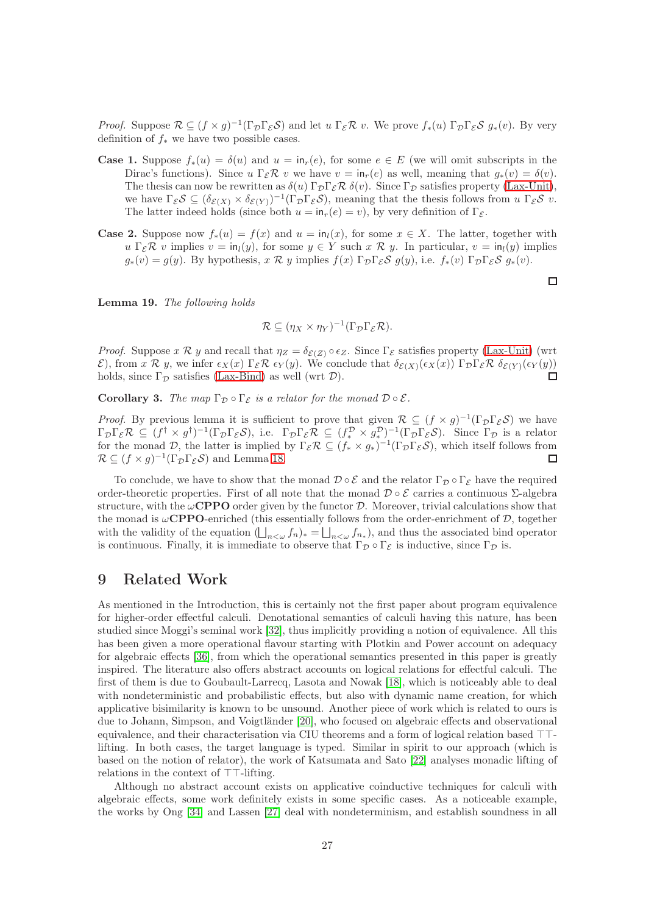*Proof.* Suppose  $\mathcal{R} \subseteq (f \times g)^{-1}(\Gamma_{\mathcal{D}} \Gamma_{\mathcal{E}} \mathcal{S})$  and let  $u \Gamma_{\mathcal{E}} \mathcal{R} v$ . We prove  $f_*(u) \Gamma_{\mathcal{D}} \Gamma_{\mathcal{E}} \mathcal{S} g_*(v)$ . By very definition of  $f_*$  we have two possible cases.

- **Case 1.** Suppose  $f_*(u) = \delta(u)$  and  $u = \text{in}_r(e)$ , for some  $e \in E$  (we will omit subscripts in the Dirac's functions). Since  $u \Gamma_{\mathcal{E}} \mathcal{R} v$  we have  $v = \text{in}_r(e)$  as well, meaning that  $q_*(v) = \delta(v)$ . The thesis can now be rewritten as  $\delta(u) \Gamma_{\mathcal{D}} \Gamma_{\mathcal{E}} \mathcal{R} \delta(v)$ . Since  $\Gamma_{\mathcal{D}}$  satisfies property [\(Lax-Unit\)](#page-16-3), we have  $\Gamma_{\mathcal{E}}S \subseteq (\delta_{\mathcal{E}(X)} \times \delta_{\mathcal{E}(Y)})^{-1}(\Gamma_{\mathcal{D}}\Gamma_{\mathcal{E}}S)$ , meaning that the thesis follows from  $u \Gamma_{\mathcal{E}}S v$ . The latter indeed holds (since both  $u = \text{in}_r(e) = v$ ), by very definition of  $\Gamma_{\mathcal{E}}$ .
- **Case 2.** Suppose now  $f_*(u) = f(x)$  and  $u = \text{in}_l(x)$ , for some  $x \in X$ . The latter, together with  $u \Gamma_{\mathcal{E}} \mathcal{R} v$  implies  $v = \text{in}_{l}(y)$ , for some  $y \in Y$  such  $x \mathcal{R} y$ . In particular,  $v = \text{in}_{l}(y)$  implies  $g_*(v) = q(y)$ . By hypothesis,  $x \mathcal{R} y$  implies  $f(x) \Gamma_{\mathcal{D}} \Gamma_{\mathcal{E}} \mathcal{S} q(y)$ , i.e.  $f_*(v) \Gamma_{\mathcal{D}} \Gamma_{\mathcal{E}} \mathcal{S} q_*(v)$ .

Lemma 19. The following holds

$$
\mathcal{R} \subseteq (\eta_X \times \eta_Y)^{-1}(\Gamma_{\mathcal{D}}\Gamma_{\mathcal{E}}\mathcal{R}).
$$

*Proof.* Suppose  $x \mathcal{R} y$  and recall that  $\eta_Z = \delta_{\mathcal{E}(Z)} \circ \epsilon_Z$ . Since  $\Gamma_{\mathcal{E}}$  satisfies property [\(Lax-Unit\)](#page-16-3) (wrt E), from x R y, we infer  $\epsilon_X(x) \Gamma_{\mathcal{E}} \mathcal{R} \epsilon_Y(y)$ . We conclude that  $\delta_{\mathcal{E}(X)}(\epsilon_X(x)) \Gamma_{\mathcal{D}} \Gamma_{\mathcal{E}} \mathcal{R} \delta_{\mathcal{E}(Y)}(\epsilon_Y(y))$ <br>holds since  $\Gamma_{\mathcal{D}}$  satisfies (Lax-Bind) as well (wrt D) holds, since  $\Gamma_{\mathcal{D}}$  satisfies [\(Lax-Bind\)](#page-16-4) as well (wrt  $\mathcal{D}$ ).

**Corollary 3.** The map  $\Gamma_{\mathcal{D}} \circ \Gamma_{\mathcal{E}}$  is a relator for the monad  $\mathcal{D} \circ \mathcal{E}$ .

*Proof.* By previous lemma it is sufficient to prove that given  $\mathcal{R} \subseteq (f \times g)^{-1}(\Gamma_{\mathcal{D}}\Gamma_{\mathcal{E}}\mathcal{S})$  we have  $\Gamma_{\mathcal{D}}\Gamma_{\mathcal{E}}\mathcal{R} \subseteq (f^{\dagger} \times g^{\dagger})^{-1}(\Gamma_{\mathcal{D}}\Gamma_{\mathcal{E}}\mathcal{S}),$  i.e.  $\Gamma_{\mathcal{D}}\Gamma_{\mathcal{E}}\mathcal{R} \subseteq (f^{\mathcal{D}}_{*} \times g^{\mathcal{D}}_{*})^{-1}(\Gamma_{\mathcal{D}}\Gamma_{\mathcal{E}}\mathcal{S}).$  Since  $\Gamma_{\mathcal{D}}$  is a relator for the monad D, the latter is implied by  $\Gamma_{\mathcal{E}}\mathcal{R} \subseteq (f_* \times g_*)^{-1}(\Gamma_{\mathcal{D}}\Gamma_{\mathcal{E}}\mathcal{S})$ , which itself follows from  $\mathcal{R} \subseteq (f \times g)^{-1}(\Gamma_{\mathcal{D}} \Gamma_{\mathcal{E}} \mathcal{S})$  and Lemma [18.](#page-26-1)  $\Box$ 

To conclude, we have to show that the monad  $\mathcal{D} \circ \mathcal{E}$  and the relator  $\Gamma_{\mathcal{D}} \circ \Gamma_{\mathcal{E}}$  have the required order-theoretic properties. First of all note that the monad  $\mathcal{D} \circ \mathcal{E}$  carries a continuous  $\Sigma$ -algebra structure, with the  $\omega$ **CPPO** order given by the functor  $\mathcal{D}$ . Moreover, trivial calculations show that the monad is  $\omega$ **CPPO**-enriched (this essentially follows from the order-enrichment of  $D$ , together with the validity of the equation  $(\bigsqcup_{n<\omega} f_n)_* = \bigsqcup_{n<\omega} f_{n_*}$ , and thus the associated bind operator is continuous. Finally, it is immediate to observe that  $\Gamma_{\mathcal{D}} \circ \Gamma_{\mathcal{E}}$  is inductive, since  $\Gamma_{\mathcal{D}}$  is.

### 9 Related Work

As mentioned in the Introduction, this is certainly not the first paper about program equivalence for higher-order effectful calculi. Denotational semantics of calculi having this nature, has been studied since Moggi's seminal work [\[32\]](#page-30-1), thus implicitly providing a notion of equivalence. All this has been given a more operational flavour starting with Plotkin and Power account on adequacy for algebraic effects [\[36\]](#page-30-0), from which the operational semantics presented in this paper is greatly inspired. The literature also offers abstract accounts on logical relations for effectful calculi. The first of them is due to Goubault-Larrecq, Lasota and Nowak [\[18\]](#page-29-7), which is noticeably able to deal with nondeterministic and probabilistic effects, but also with dynamic name creation, for which applicative bisimilarity is known to be unsound. Another piece of work which is related to ours is due to Johann, Simpson, and Voigtländer [\[20\]](#page-29-8), who focused on algebraic effects and observational equivalence, and their characterisation via CIU theorems and a form of logical relation based ⊤⊤ lifting. In both cases, the target language is typed. Similar in spirit to our approach (which is based on the notion of relator), the work of Katsumata and Sato [\[22\]](#page-29-18) analyses monadic lifting of relations in the context of ⊤⊤-lifting.

Although no abstract account exists on applicative coinductive techniques for calculi with algebraic effects, some work definitely exists in some specific cases. As a noticeable example, the works by Ong [\[34\]](#page-30-4) and Lassen [\[27\]](#page-30-2) deal with nondeterminism, and establish soundness in all

 $\Box$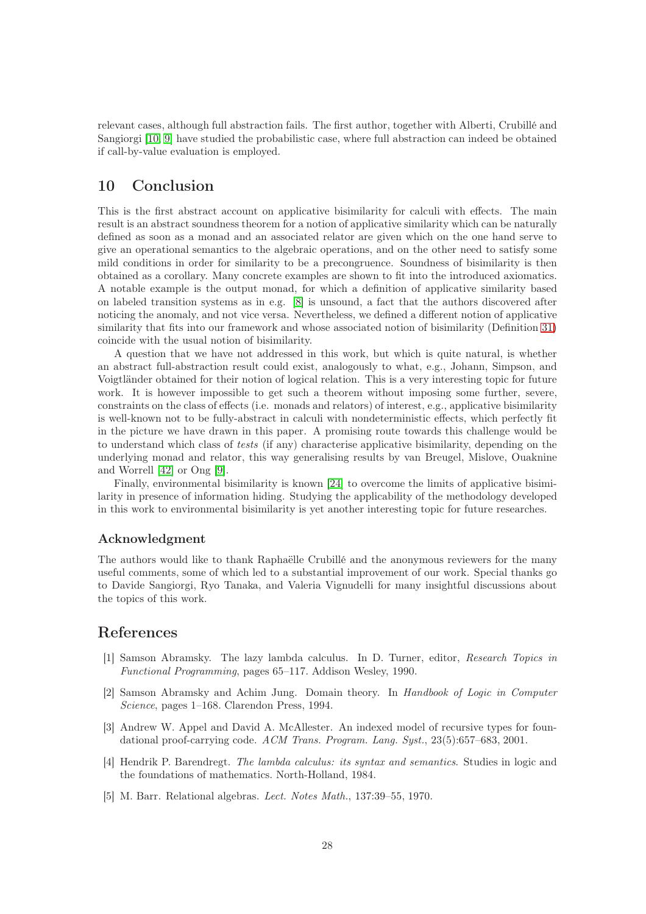relevant cases, although full abstraction fails. The first author, together with Alberti, Crubillé and Sangiorgi [\[10,](#page-29-5) [9\]](#page-29-6) have studied the probabilistic case, where full abstraction can indeed be obtained if call-by-value evaluation is employed.

# 10 Conclusion

This is the first abstract account on applicative bisimilarity for calculi with effects. The main result is an abstract soundness theorem for a notion of applicative similarity which can be naturally defined as soon as a monad and an associated relator are given which on the one hand serve to give an operational semantics to the algebraic operations, and on the other need to satisfy some mild conditions in order for similarity to be a precongruence. Soundness of bisimilarity is then obtained as a corollary. Many concrete examples are shown to fit into the introduced axiomatics. A notable example is the output monad, for which a definition of applicative similarity based on labeled transition systems as in e.g. [\[8\]](#page-29-19) is unsound, a fact that the authors discovered after noticing the anomaly, and not vice versa. Nevertheless, we defined a different notion of applicative similarity that fits into our framework and whose associated notion of bisimilarity (Definition [31\)](#page-25-1) coincide with the usual notion of bisimilarity.

A question that we have not addressed in this work, but which is quite natural, is whether an abstract full-abstraction result could exist, analogously to what, e.g., Johann, Simpson, and Voigtländer obtained for their notion of logical relation. This is a very interesting topic for future work. It is however impossible to get such a theorem without imposing some further, severe, constraints on the class of effects (i.e. monads and relators) of interest, e.g., applicative bisimilarity is well-known not to be fully-abstract in calculi with nondeterministic effects, which perfectly fit in the picture we have drawn in this paper. A promising route towards this challenge would be to understand which class of tests (if any) characterise applicative bisimilarity, depending on the underlying monad and relator, this way generalising results by van Breugel, Mislove, Ouaknine and Worrell [\[42\]](#page-30-16) or Ong [\[9\]](#page-29-6).

Finally, environmental bisimilarity is known [\[24\]](#page-29-10) to overcome the limits of applicative bisimilarity in presence of information hiding. Studying the applicability of the methodology developed in this work to environmental bisimilarity is yet another interesting topic for future researches.

#### Acknowledgment

The authors would like to thank Raphaëlle Crubillé and the anonymous reviewers for the many useful comments, some of which led to a substantial improvement of our work. Special thanks go to Davide Sangiorgi, Ryo Tanaka, and Valeria Vignudelli for many insightful discussions about the topics of this work.

### <span id="page-28-1"></span>References

- [1] Samson Abramsky. The lazy lambda calculus. In D. Turner, editor, Research Topics in Functional Programming, pages 65–117. Addison Wesley, 1990.
- <span id="page-28-3"></span>[2] Samson Abramsky and Achim Jung. Domain theory. In Handbook of Logic in Computer Science, pages 1–168. Clarendon Press, 1994.
- <span id="page-28-0"></span>[3] Andrew W. Appel and David A. McAllester. An indexed model of recursive types for foundational proof-carrying code. ACM Trans. Program. Lang. Syst., 23(5):657–683, 2001.
- <span id="page-28-4"></span>[4] Hendrik P. Barendregt. The lambda calculus: its syntax and semantics. Studies in logic and the foundations of mathematics. North-Holland, 1984.
- <span id="page-28-2"></span>[5] M. Barr. Relational algebras. Lect. Notes Math., 137:39–55, 1970.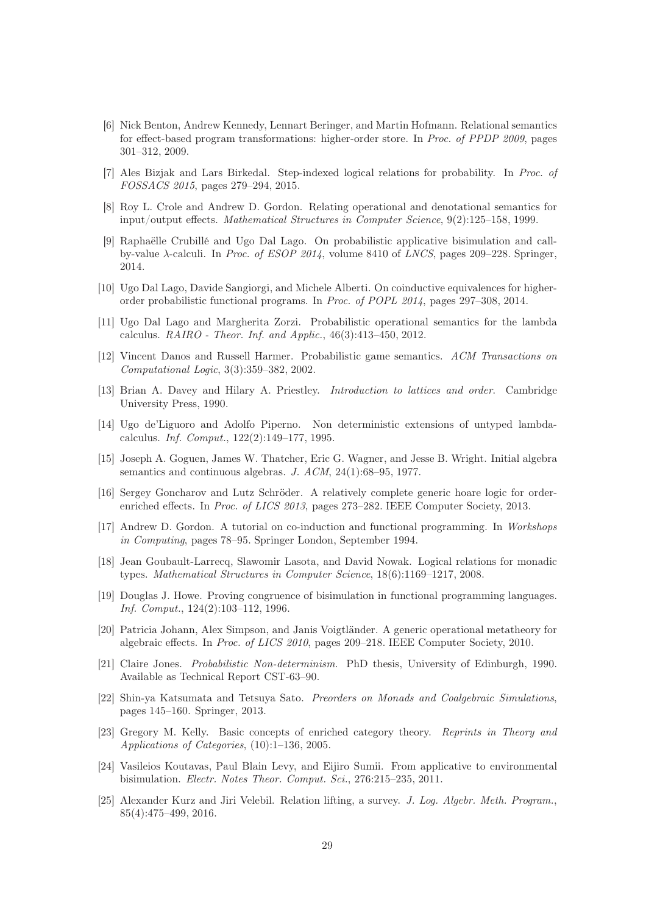- <span id="page-29-0"></span>[6] Nick Benton, Andrew Kennedy, Lennart Beringer, and Martin Hofmann. Relational semantics for effect-based program transformations: higher-order store. In Proc. of PPDP 2009, pages 301–312, 2009.
- <span id="page-29-19"></span><span id="page-29-4"></span>[7] Ales Bizjak and Lars Birkedal. Step-indexed logical relations for probability. In Proc. of FOSSACS 2015, pages 279–294, 2015.
- [8] Roy L. Crole and Andrew D. Gordon. Relating operational and denotational semantics for input/output effects. Mathematical Structures in Computer Science, 9(2):125–158, 1999.
- <span id="page-29-6"></span>[9] Raphaëlle Crubillé and Ugo Dal Lago. On probabilistic applicative bisimulation and callby-value  $\lambda$ -calculi. In *Proc. of ESOP 2014*, volume 8410 of *LNCS*, pages 209–228. Springer, 2014.
- <span id="page-29-15"></span><span id="page-29-5"></span>[10] Ugo Dal Lago, Davide Sangiorgi, and Michele Alberti. On coinductive equivalences for higherorder probabilistic functional programs. In Proc. of POPL 2014, pages 297–308, 2014.
- [11] Ugo Dal Lago and Margherita Zorzi. Probabilistic operational semantics for the lambda calculus. RAIRO - Theor. Inf. and Applic., 46(3):413–450, 2012.
- <span id="page-29-3"></span>[12] Vincent Danos and Russell Harmer. Probabilistic game semantics. ACM Transactions on Computational Logic, 3(3):359–382, 2002.
- <span id="page-29-11"></span>[13] Brian A. Davey and Hilary A. Priestley. Introduction to lattices and order. Cambridge University Press, 1990.
- <span id="page-29-2"></span>[14] Ugo de'Liguoro and Adolfo Piperno. Non deterministic extensions of untyped lambdacalculus. Inf. Comput., 122(2):149–177, 1995.
- <span id="page-29-12"></span>[15] Joseph A. Goguen, James W. Thatcher, Eric G. Wagner, and Jesse B. Wright. Initial algebra semantics and continuous algebras. J. ACM, 24(1):68–95, 1977.
- <span id="page-29-14"></span>[16] Sergey Goncharov and Lutz Schröder. A relatively complete generic hoare logic for orderenriched effects. In *Proc. of LICS 2013*, pages 273–282. IEEE Computer Society, 2013.
- <span id="page-29-16"></span>[17] Andrew D. Gordon. A tutorial on co-induction and functional programming. In Workshops in Computing, pages 78–95. Springer London, September 1994.
- <span id="page-29-7"></span>[18] Jean Goubault-Larrecq, Slawomir Lasota, and David Nowak. Logical relations for monadic types. Mathematical Structures in Computer Science, 18(6):1169–1217, 2008.
- <span id="page-29-9"></span>[19] Douglas J. Howe. Proving congruence of bisimulation in functional programming languages. Inf. Comput., 124(2):103–112, 1996.
- <span id="page-29-8"></span>[20] Patricia Johann, Alex Simpson, and Janis Voigtländer. A generic operational metatheory for algebraic effects. In Proc. of LICS 2010, pages 209–218. IEEE Computer Society, 2010.
- <span id="page-29-1"></span>[21] Claire Jones. Probabilistic Non-determinism. PhD thesis, University of Edinburgh, 1990. Available as Technical Report CST-63–90.
- <span id="page-29-18"></span>[22] Shin-ya Katsumata and Tetsuya Sato. Preorders on Monads and Coalgebraic Simulations, pages 145–160. Springer, 2013.
- <span id="page-29-13"></span>[23] Gregory M. Kelly. Basic concepts of enriched category theory. Reprints in Theory and Applications of Categories, (10):1–136, 2005.
- <span id="page-29-10"></span>[24] Vasileios Koutavas, Paul Blain Levy, and Eijiro Sumii. From applicative to environmental bisimulation. Electr. Notes Theor. Comput. Sci., 276:215–235, 2011.
- <span id="page-29-17"></span>[25] Alexander Kurz and Jiri Velebil. Relation lifting, a survey. J. Log. Algebr. Meth. Program., 85(4):475–499, 2016.